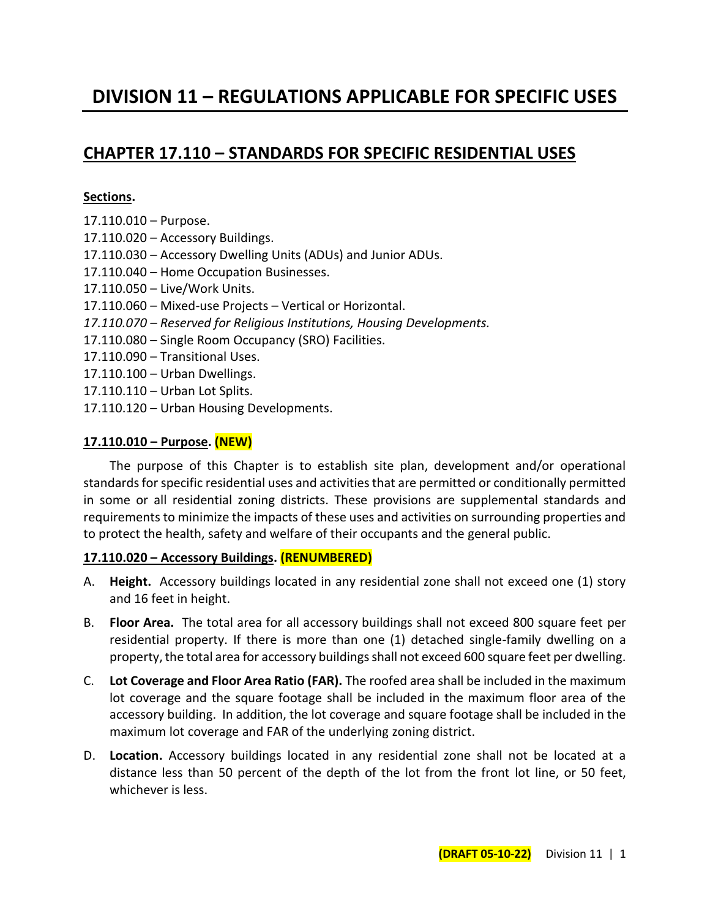# **DIVISION 11 – REGULATIONS APPLICABLE FOR SPECIFIC USES**

# **CHAPTER 17.110 – STANDARDS FOR SPECIFIC RESIDENTIAL USES**

#### **Sections.**

- 17.110.010 Purpose.
- 17.110.020 Accessory Buildings.
- 17.110.030 Accessory Dwelling Units (ADUs) and Junior ADUs.
- 17.110.040 Home Occupation Businesses.
- 17.110.050 Live/Work Units.
- 17.110.060 Mixed-use Projects Vertical or Horizontal.
- *17.110.070 – Reserved for Religious Institutions, Housing Developments.*
- 17.110.080 Single Room Occupancy (SRO) Facilities.
- 17.110.090 Transitional Uses.
- 17.110.100 Urban Dwellings.
- 17.110.110 Urban Lot Splits.
- 17.110.120 Urban Housing Developments.

#### **17.110.010 – Purpose. (NEW)**

The purpose of this Chapter is to establish site plan, development and/or operational standards for specific residential uses and activities that are permitted or conditionally permitted in some or all residential zoning districts. These provisions are supplemental standards and requirements to minimize the impacts of these uses and activities on surrounding properties and to protect the health, safety and welfare of their occupants and the general public.

#### **17.110.020 – Accessory Buildings. (RENUMBERED)**

- A. **Height.** Accessory buildings located in any residential zone shall not exceed one (1) story and 16 feet in height.
- B. **Floor Area.** The total area for all accessory buildings shall not exceed 800 square feet per residential property. If there is more than one (1) detached single-family dwelling on a property, the total area for accessory buildings shall not exceed 600 square feet per dwelling.
- C. **Lot Coverage and Floor Area Ratio (FAR).** The roofed area shall be included in the maximum lot coverage and the square footage shall be included in the maximum floor area of the accessory building. In addition, the lot coverage and square footage shall be included in the maximum lot coverage and FAR of the underlying zoning district.
- D. **Location.** Accessory buildings located in any residential zone shall not be located at a distance less than 50 percent of the depth of the lot from the front lot line, or 50 feet, whichever is less.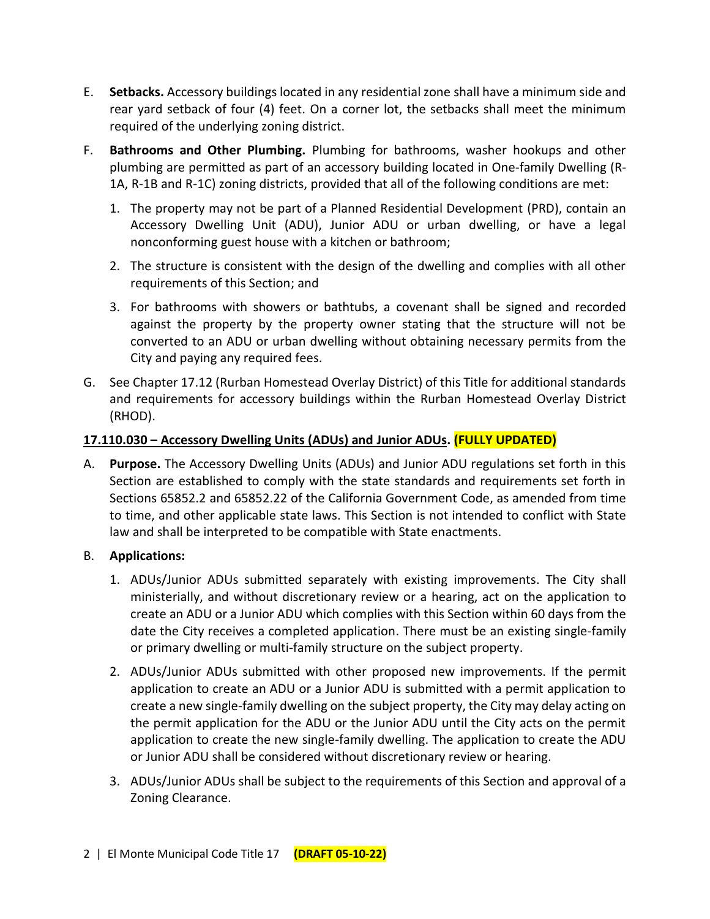- E. **Setbacks.** Accessory buildings located in any residential zone shall have a minimum side and rear yard setback of four (4) feet. On a corner lot, the setbacks shall meet the minimum required of the underlying zoning district.
- F. **Bathrooms and Other Plumbing.** Plumbing for bathrooms, washer hookups and other plumbing are permitted as part of an accessory building located in One-family Dwelling (R-1A, R-1B and R-1C) zoning districts, provided that all of the following conditions are met:
	- 1. The property may not be part of a Planned Residential Development (PRD), contain an Accessory Dwelling Unit (ADU), Junior ADU or urban dwelling, or have a legal nonconforming guest house with a kitchen or bathroom;
	- 2. The structure is consistent with the design of the dwelling and complies with all other requirements of this Section; and
	- 3. For bathrooms with showers or bathtubs, a covenant shall be signed and recorded against the property by the property owner stating that the structure will not be converted to an ADU or urban dwelling without obtaining necessary permits from the City and paying any required fees.
- G. See Chapter 17.12 (Rurban Homestead Overlay District) of this Title for additional standards and requirements for accessory buildings within the Rurban Homestead Overlay District (RHOD).

## **17.110.030 – Accessory Dwelling Units (ADUs) and Junior ADUs. (FULLY UPDATED)**

A. **Purpose.** The Accessory Dwelling Units (ADUs) and Junior ADU regulations set forth in this Section are established to comply with the state standards and requirements set forth in Sections 65852.2 and 65852.22 of the California Government Code, as amended from time to time, and other applicable state laws. This Section is not intended to conflict with State law and shall be interpreted to be compatible with State enactments.

## B. **Applications:**

- 1. ADUs/Junior ADUs submitted separately with existing improvements. The City shall ministerially, and without discretionary review or a hearing, act on the application to create an ADU or a Junior ADU which complies with this Section within 60 days from the date the City receives a completed application. There must be an existing single-family or primary dwelling or multi-family structure on the subject property.
- 2. ADUs/Junior ADUs submitted with other proposed new improvements. If the permit application to create an ADU or a Junior ADU is submitted with a permit application to create a new single-family dwelling on the subject property, the City may delay acting on the permit application for the ADU or the Junior ADU until the City acts on the permit application to create the new single-family dwelling. The application to create the ADU or Junior ADU shall be considered without discretionary review or hearing.
- 3. ADUs/Junior ADUs shall be subject to the requirements of this Section and approval of a Zoning Clearance.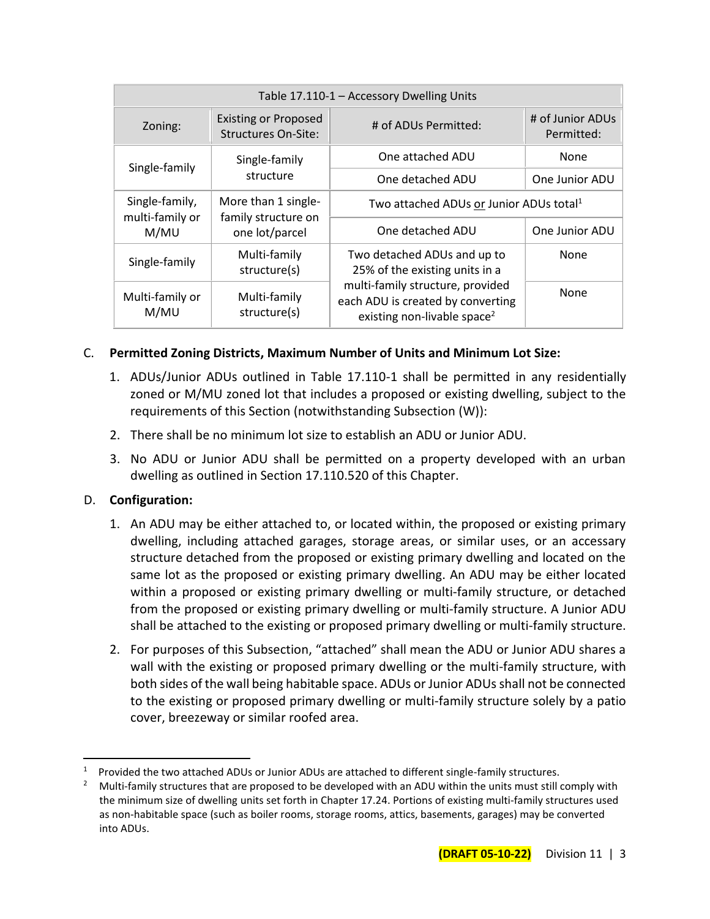| Table 17.110-1 - Accessory Dwelling Units   |                                                           |                                                                                                                  |                                |
|---------------------------------------------|-----------------------------------------------------------|------------------------------------------------------------------------------------------------------------------|--------------------------------|
| Zoning:                                     | <b>Existing or Proposed</b><br><b>Structures On-Site:</b> | # of ADUs Permitted:                                                                                             | # of Junior ADUs<br>Permitted: |
| Single-family<br>Single-family<br>structure | One attached ADU                                          | None                                                                                                             |                                |
|                                             |                                                           | One detached ADU                                                                                                 | One Junior ADU                 |
| Single-family,<br>multi-family or           | More than 1 single-<br>family structure on                | Two attached ADUs or Junior ADUs total <sup>1</sup>                                                              |                                |
| M/MU                                        | one lot/parcel                                            | One detached ADU                                                                                                 | One Junior ADU                 |
| Single-family                               | Multi-family<br>structure(s)                              | Two detached ADUs and up to<br>25% of the existing units in a                                                    | None                           |
| Multi-family or<br>M/MU                     | Multi-family<br>structure(s)                              | multi-family structure, provided<br>each ADU is created by converting<br>existing non-livable space <sup>2</sup> | None                           |

## C. **Permitted Zoning Districts, Maximum Number of Units and Minimum Lot Size:**

- 1. ADUs/Junior ADUs outlined in Table 17.110-1 shall be permitted in any residentially zoned or M/MU zoned lot that includes a proposed or existing dwelling, subject to the requirements of this Section (notwithstanding Subsection (W)):
- 2. There shall be no minimum lot size to establish an ADU or Junior ADU.
- 3. No ADU or Junior ADU shall be permitted on a property developed with an urban dwelling as outlined in Section 17.110.520 of this Chapter.

## D. **Configuration:**

- 1. An ADU may be either attached to, or located within, the proposed or existing primary dwelling, including attached garages, storage areas, or similar uses, or an accessary structure detached from the proposed or existing primary dwelling and located on the same lot as the proposed or existing primary dwelling. An ADU may be either located within a proposed or existing primary dwelling or multi-family structure, or detached from the proposed or existing primary dwelling or multi-family structure. A Junior ADU shall be attached to the existing or proposed primary dwelling or multi-family structure.
- 2. For purposes of this Subsection, "attached" shall mean the ADU or Junior ADU shares a wall with the existing or proposed primary dwelling or the multi-family structure, with both sides of the wall being habitable space. ADUs or Junior ADUs shall not be connected to the existing or proposed primary dwelling or multi-family structure solely by a patio cover, breezeway or similar roofed area.

<sup>1</sup> Provided the two attached ADUs or Junior ADUs are attached to different single-family structures.

<sup>2</sup> Multi-family structures that are proposed to be developed with an ADU within the units must still comply with the minimum size of dwelling units set forth in Chapter 17.24. Portions of existing multi-family structures used as non-habitable space (such as boiler rooms, storage rooms, attics, basements, garages) may be converted into ADUs.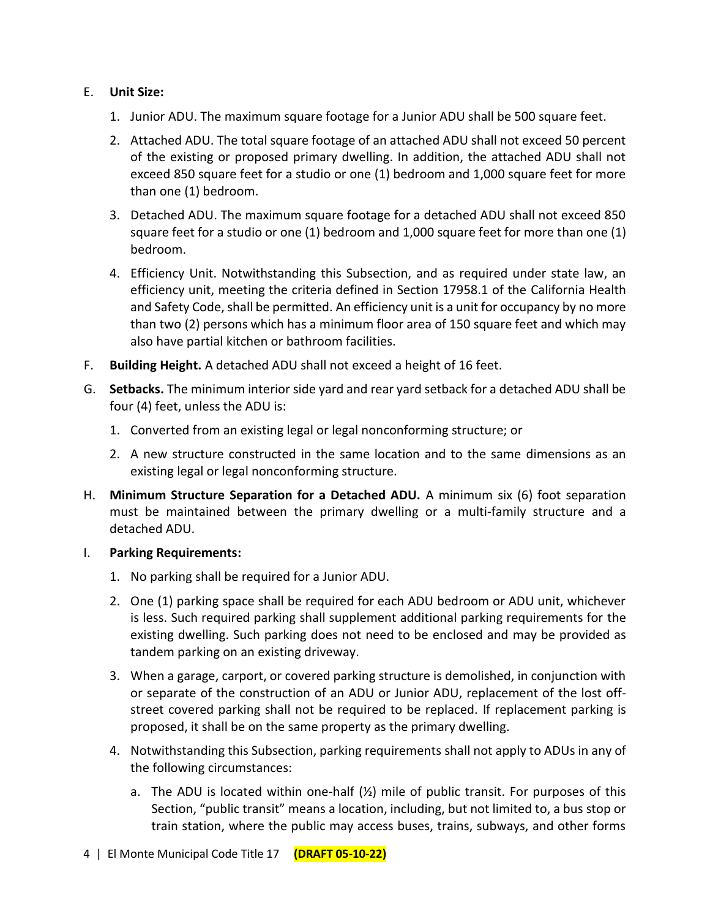## E. **Unit Size:**

- 1. Junior ADU. The maximum square footage for a Junior ADU shall be 500 square feet.
- 2. Attached ADU. The total square footage of an attached ADU shall not exceed 50 percent of the existing or proposed primary dwelling. In addition, the attached ADU shall not exceed 850 square feet for a studio or one (1) bedroom and 1,000 square feet for more than one (1) bedroom.
- 3. Detached ADU. The maximum square footage for a detached ADU shall not exceed 850 square feet for a studio or one (1) bedroom and 1,000 square feet for more than one (1) bedroom.
- 4. Efficiency Unit. Notwithstanding this Subsection, and as required under state law, an efficiency unit, meeting the criteria defined in Section 17958.1 of the California Health and Safety Code, shall be permitted. An efficiency unit is a unit for occupancy by no more than two (2) persons which has a minimum floor area of 150 square feet and which may also have partial kitchen or bathroom facilities.
- F. **Building Height.** A detached ADU shall not exceed a height of 16 feet.
- G. **Setbacks.** The minimum interior side yard and rear yard setback for a detached ADU shall be four (4) feet, unless the ADU is:
	- 1. Converted from an existing legal or legal nonconforming structure; or
	- 2. A new structure constructed in the same location and to the same dimensions as an existing legal or legal nonconforming structure.
- H. **Minimum Structure Separation for a Detached ADU.** A minimum six (6) foot separation must be maintained between the primary dwelling or a multi-family structure and a detached ADU.
- I. **Parking Requirements:**
	- 1. No parking shall be required for a Junior ADU.
	- 2. One (1) parking space shall be required for each ADU bedroom or ADU unit, whichever is less. Such required parking shall supplement additional parking requirements for the existing dwelling. Such parking does not need to be enclosed and may be provided as tandem parking on an existing driveway.
	- 3. When a garage, carport, or covered parking structure is demolished, in conjunction with or separate of the construction of an ADU or Junior ADU, replacement of the lost offstreet covered parking shall not be required to be replaced. If replacement parking is proposed, it shall be on the same property as the primary dwelling.
	- 4. Notwithstanding this Subsection, parking requirements shall not apply to ADUs in any of the following circumstances:
		- a. The ADU is located within one-half  $(\frac{1}{2})$  mile of public transit. For purposes of this Section, "public transit" means a location, including, but not limited to, a bus stop or train station, where the public may access buses, trains, subways, and other forms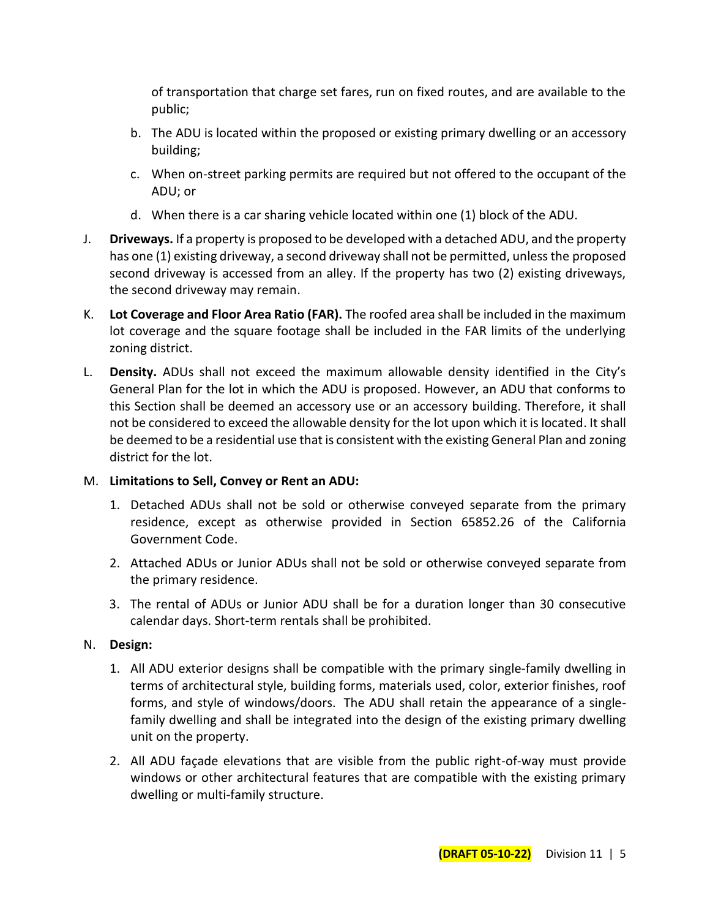of transportation that charge set fares, run on fixed routes, and are available to the public;

- b. The ADU is located within the proposed or existing primary dwelling or an accessory building;
- c. When on-street parking permits are required but not offered to the occupant of the ADU; or
- d. When there is a car sharing vehicle located within one (1) block of the ADU.
- J. **Driveways.** If a property is proposed to be developed with a detached ADU, and the property has one (1) existing driveway, a second driveway shall not be permitted, unless the proposed second driveway is accessed from an alley. If the property has two (2) existing driveways, the second driveway may remain.
- K. **Lot Coverage and Floor Area Ratio (FAR).** The roofed area shall be included in the maximum lot coverage and the square footage shall be included in the FAR limits of the underlying zoning district.
- L. **Density.** ADUs shall not exceed the maximum allowable density identified in the City's General Plan for the lot in which the ADU is proposed. However, an ADU that conforms to this Section shall be deemed an accessory use or an accessory building. Therefore, it shall not be considered to exceed the allowable density for the lot upon which it is located. It shall be deemed to be a residential use that is consistent with the existing General Plan and zoning district for the lot.

## M. **Limitations to Sell, Convey or Rent an ADU:**

- 1. Detached ADUs shall not be sold or otherwise conveyed separate from the primary residence, except as otherwise provided in Section 65852.26 of the California Government Code.
- 2. Attached ADUs or Junior ADUs shall not be sold or otherwise conveyed separate from the primary residence.
- 3. The rental of ADUs or Junior ADU shall be for a duration longer than 30 consecutive calendar days. Short-term rentals shall be prohibited.

# N. **Design:**

- 1. All ADU exterior designs shall be compatible with the primary single-family dwelling in terms of architectural style, building forms, materials used, color, exterior finishes, roof forms, and style of windows/doors. The ADU shall retain the appearance of a singlefamily dwelling and shall be integrated into the design of the existing primary dwelling unit on the property.
- 2. All ADU façade elevations that are visible from the public right-of-way must provide windows or other architectural features that are compatible with the existing primary dwelling or multi-family structure.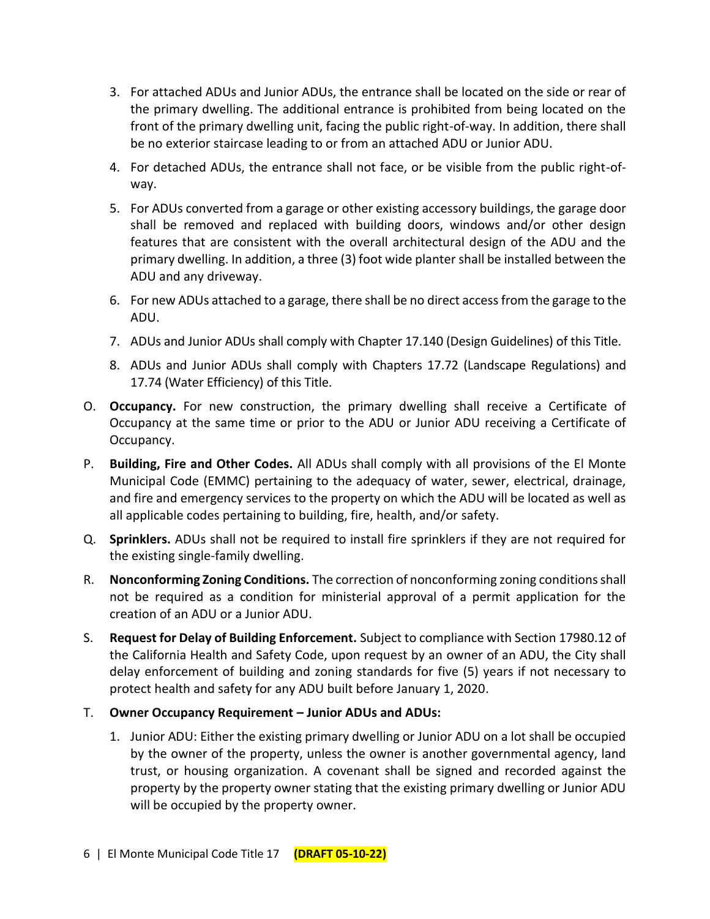- 3. For attached ADUs and Junior ADUs, the entrance shall be located on the side or rear of the primary dwelling. The additional entrance is prohibited from being located on the front of the primary dwelling unit, facing the public right-of-way. In addition, there shall be no exterior staircase leading to or from an attached ADU or Junior ADU.
- 4. For detached ADUs, the entrance shall not face, or be visible from the public right-ofway.
- 5. For ADUs converted from a garage or other existing accessory buildings, the garage door shall be removed and replaced with building doors, windows and/or other design features that are consistent with the overall architectural design of the ADU and the primary dwelling. In addition, a three (3) foot wide planter shall be installed between the ADU and any driveway.
- 6. For new ADUs attached to a garage, there shall be no direct accessfrom the garage to the ADU.
- 7. ADUs and Junior ADUs shall comply with Chapter 17.140 (Design Guidelines) of this Title.
- 8. ADUs and Junior ADUs shall comply with Chapters 17.72 (Landscape Regulations) and 17.74 (Water Efficiency) of this Title.
- O. **Occupancy.** For new construction, the primary dwelling shall receive a Certificate of Occupancy at the same time or prior to the ADU or Junior ADU receiving a Certificate of Occupancy.
- P. **Building, Fire and Other Codes.** All ADUs shall comply with all provisions of the El Monte Municipal Code (EMMC) pertaining to the adequacy of water, sewer, electrical, drainage, and fire and emergency services to the property on which the ADU will be located as well as all applicable codes pertaining to building, fire, health, and/or safety.
- Q. **Sprinklers.** ADUs shall not be required to install fire sprinklers if they are not required for the existing single-family dwelling.
- R. **Nonconforming Zoning Conditions.** The correction of nonconforming zoning conditions shall not be required as a condition for ministerial approval of a permit application for the creation of an ADU or a Junior ADU.
- S. **Request for Delay of Building Enforcement.** Subject to compliance with Section 17980.12 of the California Health and Safety Code, upon request by an owner of an ADU, the City shall delay enforcement of building and zoning standards for five (5) years if not necessary to protect health and safety for any ADU built before January 1, 2020.
- T. **Owner Occupancy Requirement – Junior ADUs and ADUs:**
	- 1. Junior ADU: Either the existing primary dwelling or Junior ADU on a lot shall be occupied by the owner of the property, unless the owner is another governmental agency, land trust, or housing organization. A covenant shall be signed and recorded against the property by the property owner stating that the existing primary dwelling or Junior ADU will be occupied by the property owner.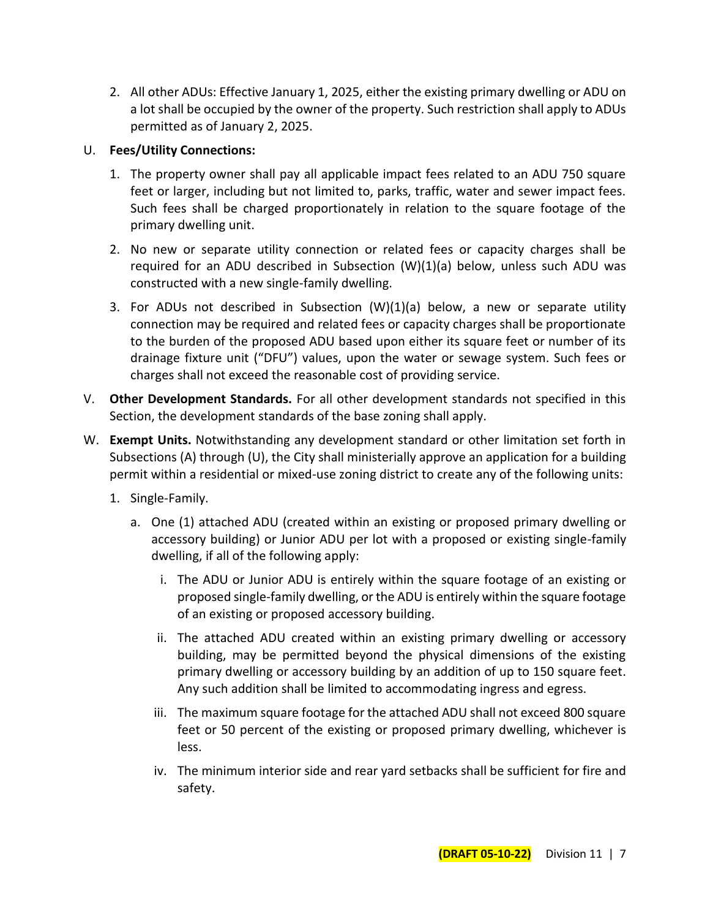2. All other ADUs: Effective January 1, 2025, either the existing primary dwelling or ADU on a lot shall be occupied by the owner of the property. Such restriction shall apply to ADUs permitted as of January 2, 2025.

## U. **Fees/Utility Connections:**

- 1. The property owner shall pay all applicable impact fees related to an ADU 750 square feet or larger, including but not limited to, parks, traffic, water and sewer impact fees. Such fees shall be charged proportionately in relation to the square footage of the primary dwelling unit.
- 2. No new or separate utility connection or related fees or capacity charges shall be required for an ADU described in Subsection (W)(1)(a) below, unless such ADU was constructed with a new single-family dwelling.
- 3. For ADUs not described in Subsection (W)(1)(a) below, a new or separate utility connection may be required and related fees or capacity charges shall be proportionate to the burden of the proposed ADU based upon either its square feet or number of its drainage fixture unit ("DFU") values, upon the water or sewage system. Such fees or charges shall not exceed the reasonable cost of providing service.
- V. **Other Development Standards.** For all other development standards not specified in this Section, the development standards of the base zoning shall apply.
- W. **Exempt Units.** Notwithstanding any development standard or other limitation set forth in Subsections (A) through (U), the City shall ministerially approve an application for a building permit within a residential or mixed-use zoning district to create any of the following units:
	- 1. Single-Family.
		- a. One (1) attached ADU (created within an existing or proposed primary dwelling or accessory building) or Junior ADU per lot with a proposed or existing single-family dwelling, if all of the following apply:
			- i. The ADU or Junior ADU is entirely within the square footage of an existing or proposed single-family dwelling, or the ADU is entirely within the square footage of an existing or proposed accessory building.
			- ii. The attached ADU created within an existing primary dwelling or accessory building, may be permitted beyond the physical dimensions of the existing primary dwelling or accessory building by an addition of up to 150 square feet. Any such addition shall be limited to accommodating ingress and egress.
			- iii. The maximum square footage for the attached ADU shall not exceed 800 square feet or 50 percent of the existing or proposed primary dwelling, whichever is less.
			- iv. The minimum interior side and rear yard setbacks shall be sufficient for fire and safety.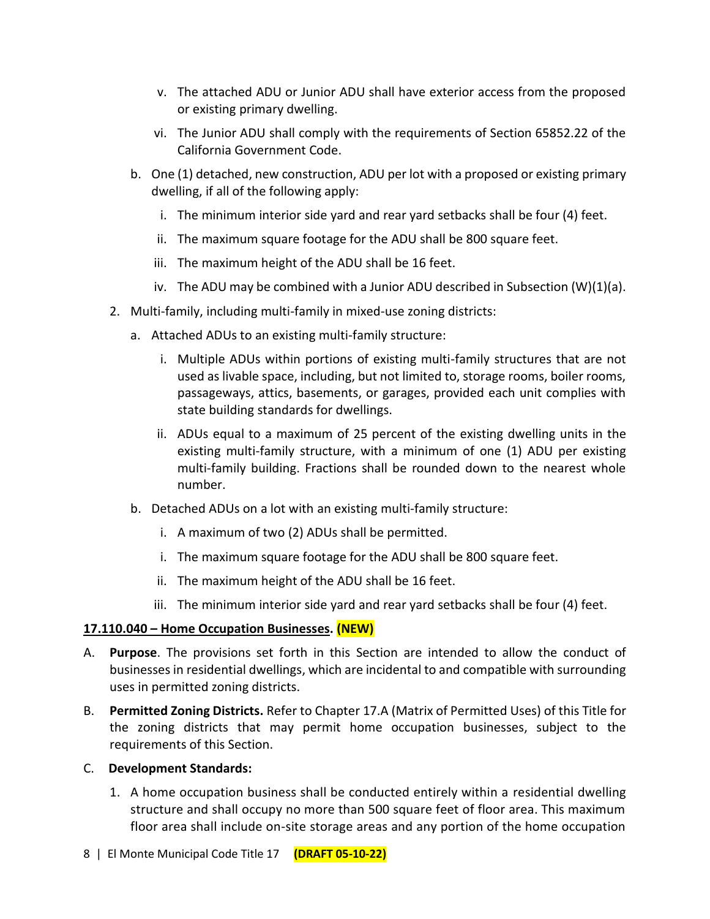- v. The attached ADU or Junior ADU shall have exterior access from the proposed or existing primary dwelling.
- vi. The Junior ADU shall comply with the requirements of Section 65852.22 of the California Government Code.
- b. One (1) detached, new construction, ADU per lot with a proposed or existing primary dwelling, if all of the following apply:
	- i. The minimum interior side yard and rear yard setbacks shall be four (4) feet.
	- ii. The maximum square footage for the ADU shall be 800 square feet.
	- iii. The maximum height of the ADU shall be 16 feet.
	- iv. The ADU may be combined with a Junior ADU described in Subsection (W)(1)(a).
- 2. Multi-family, including multi-family in mixed-use zoning districts:
	- a. Attached ADUs to an existing multi-family structure:
		- i. Multiple ADUs within portions of existing multi-family structures that are not used as livable space, including, but not limited to, storage rooms, boiler rooms, passageways, attics, basements, or garages, provided each unit complies with state building standards for dwellings.
		- ii. ADUs equal to a maximum of 25 percent of the existing dwelling units in the existing multi-family structure, with a minimum of one (1) ADU per existing multi-family building. Fractions shall be rounded down to the nearest whole number.
	- b. Detached ADUs on a lot with an existing multi-family structure:
		- i. A maximum of two (2) ADUs shall be permitted.
		- i. The maximum square footage for the ADU shall be 800 square feet.
		- ii. The maximum height of the ADU shall be 16 feet.
		- iii. The minimum interior side yard and rear yard setbacks shall be four (4) feet.

# **17.110.040 – Home Occupation Businesses. (NEW)**

- A. **Purpose**. The provisions set forth in this Section are intended to allow the conduct of businesses in residential dwellings, which are incidental to and compatible with surrounding uses in permitted zoning districts.
- B. **Permitted Zoning Districts.** Refer to Chapter 17.A (Matrix of Permitted Uses) of this Title for the zoning districts that may permit home occupation businesses, subject to the requirements of this Section.

## C. **Development Standards:**

1. A home occupation business shall be conducted entirely within a residential dwelling structure and shall occupy no more than 500 square feet of floor area. This maximum floor area shall include on-site storage areas and any portion of the home occupation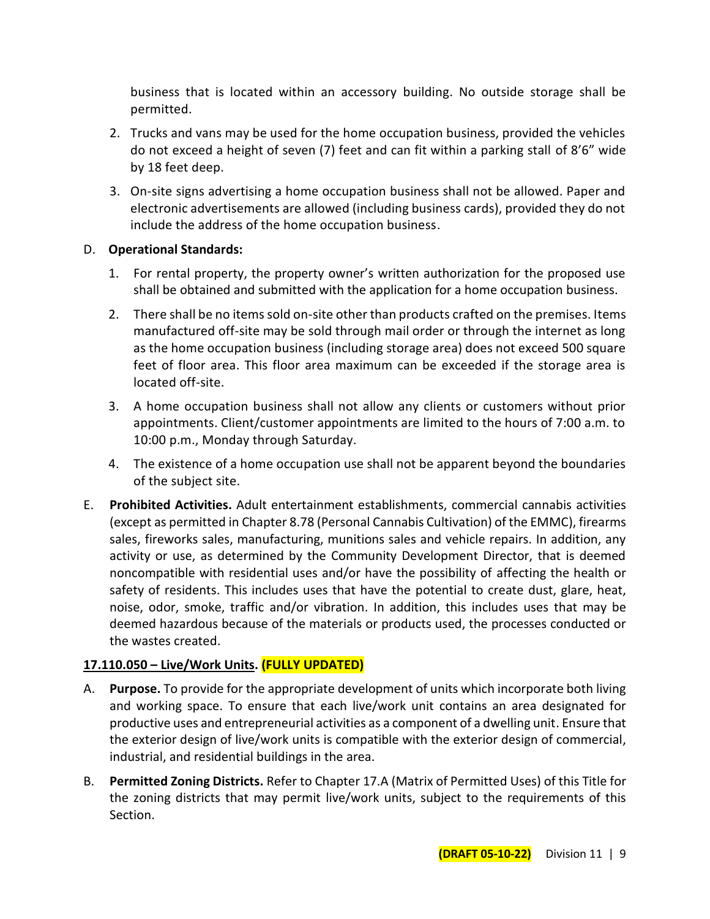business that is located within an accessory building. No outside storage shall be permitted.

- 2. Trucks and vans may be used for the home occupation business, provided the vehicles do not exceed a height of seven (7) feet and can fit within a parking stall of 8'6" wide by 18 feet deep.
- 3. On-site signs advertising a home occupation business shall not be allowed. Paper and electronic advertisements are allowed (including business cards), provided they do not include the address of the home occupation business.

## D. **Operational Standards:**

- 1. For rental property, the property owner's written authorization for the proposed use shall be obtained and submitted with the application for a home occupation business.
- 2. There shall be no items sold on-site other than products crafted on the premises. Items manufactured off-site may be sold through mail order or through the internet as long as the home occupation business (including storage area) does not exceed 500 square feet of floor area. This floor area maximum can be exceeded if the storage area is located off-site.
- 3. A home occupation business shall not allow any clients or customers without prior appointments. Client/customer appointments are limited to the hours of 7:00 a.m. to 10:00 p.m., Monday through Saturday.
- 4. The existence of a home occupation use shall not be apparent beyond the boundaries of the subject site.
- E. **Prohibited Activities.** Adult entertainment establishments, commercial cannabis activities (except as permitted in Chapter 8.78 (Personal Cannabis Cultivation) of the EMMC), firearms sales, fireworks sales, manufacturing, munitions sales and vehicle repairs. In addition, any activity or use, as determined by the Community Development Director, that is deemed noncompatible with residential uses and/or have the possibility of affecting the health or safety of residents. This includes uses that have the potential to create dust, glare, heat, noise, odor, smoke, traffic and/or vibration. In addition, this includes uses that may be deemed hazardous because of the materials or products used, the processes conducted or the wastes created.

# **17.110.050 – Live/Work Units. (FULLY UPDATED)**

- A. **Purpose.** To provide for the appropriate development of units which incorporate both living and working space. To ensure that each live/work unit contains an area designated for productive uses and entrepreneurial activities as a component of a dwelling unit. Ensure that the exterior design of live/work units is compatible with the exterior design of commercial, industrial, and residential buildings in the area.
- B. **Permitted Zoning Districts.** Refer to Chapter 17.A (Matrix of Permitted Uses) of this Title for the zoning districts that may permit live/work units, subject to the requirements of this Section.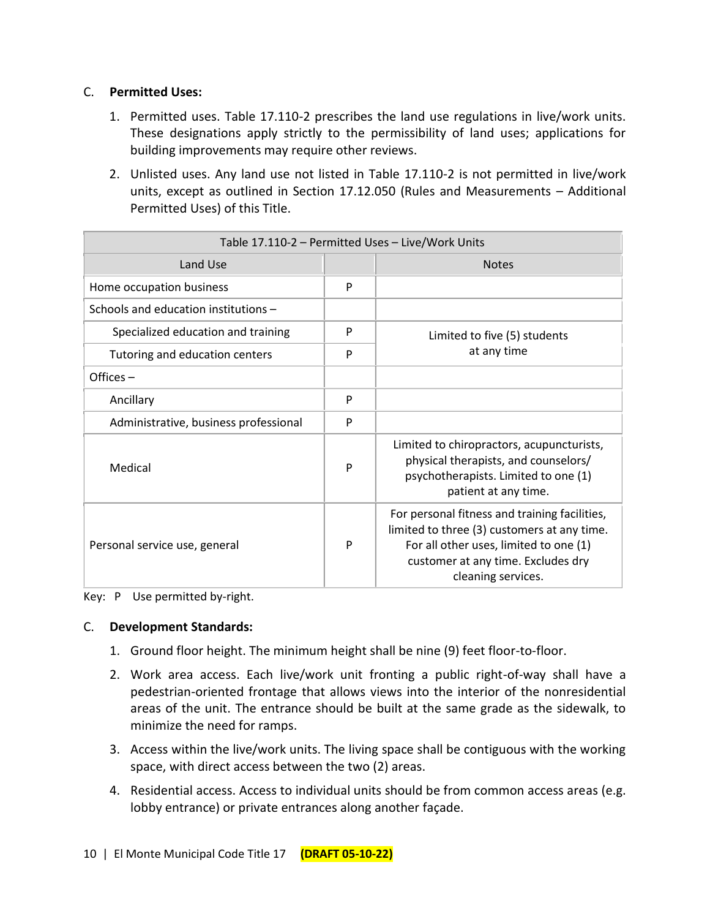## C. **Permitted Uses:**

- 1. Permitted uses. Table 17.110-2 prescribes the land use regulations in live/work units. These designations apply strictly to the permissibility of land uses; applications for building improvements may require other reviews.
- 2. Unlisted uses. Any land use not listed in Table 17.110-2 is not permitted in live/work units, except as outlined in Section 17.12.050 (Rules and Measurements – Additional Permitted Uses) of this Title.

| Table 17.110-2 - Permitted Uses - Live/Work Units |   |                                                                                                                                                                                                    |  |
|---------------------------------------------------|---|----------------------------------------------------------------------------------------------------------------------------------------------------------------------------------------------------|--|
| Land Use                                          |   | <b>Notes</b>                                                                                                                                                                                       |  |
| Home occupation business                          | P |                                                                                                                                                                                                    |  |
| Schools and education institutions -              |   |                                                                                                                                                                                                    |  |
| Specialized education and training                | P | Limited to five (5) students                                                                                                                                                                       |  |
| Tutoring and education centers                    | P | at any time                                                                                                                                                                                        |  |
| Offices $-$                                       |   |                                                                                                                                                                                                    |  |
| Ancillary                                         | P |                                                                                                                                                                                                    |  |
| Administrative, business professional             | P |                                                                                                                                                                                                    |  |
| Medical                                           | P | Limited to chiropractors, acupuncturists,<br>physical therapists, and counselors/<br>psychotherapists. Limited to one (1)<br>patient at any time.                                                  |  |
| Personal service use, general                     | P | For personal fitness and training facilities,<br>limited to three (3) customers at any time.<br>For all other uses, limited to one (1)<br>customer at any time. Excludes dry<br>cleaning services. |  |

Key: P Use permitted by-right.

#### C. **Development Standards:**

- 1. Ground floor height. The minimum height shall be nine (9) feet floor-to-floor.
- 2. Work area access. Each live/work unit fronting a public right-of-way shall have a pedestrian-oriented frontage that allows views into the interior of the nonresidential areas of the unit. The entrance should be built at the same grade as the sidewalk, to minimize the need for ramps.
- 3. Access within the live/work units. The living space shall be contiguous with the working space, with direct access between the two (2) areas.
- 4. Residential access. Access to individual units should be from common access areas (e.g. lobby entrance) or private entrances along another façade.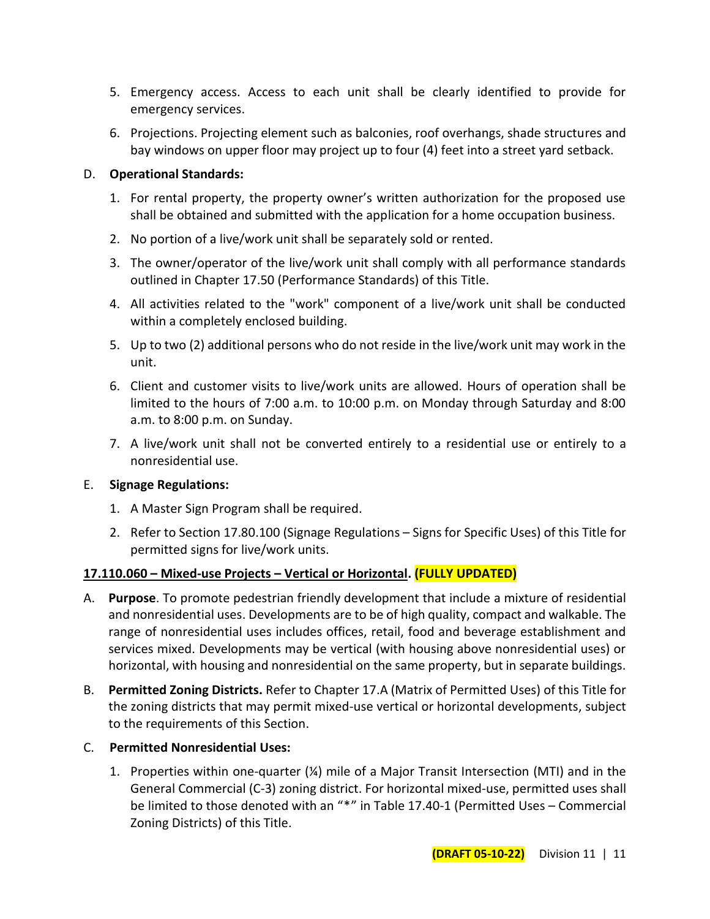- 5. Emergency access. Access to each unit shall be clearly identified to provide for emergency services.
- 6. Projections. Projecting element such as balconies, roof overhangs, shade structures and bay windows on upper floor may project up to four (4) feet into a street yard setback.

#### D. **Operational Standards:**

- 1. For rental property, the property owner's written authorization for the proposed use shall be obtained and submitted with the application for a home occupation business.
- 2. No portion of a live/work unit shall be separately sold or rented.
- 3. The owner/operator of the live/work unit shall comply with all performance standards outlined in Chapter 17.50 (Performance Standards) of this Title.
- 4. All activities related to the "work" component of a live/work unit shall be conducted within a completely enclosed building.
- 5. Up to two (2) additional persons who do not reside in the live/work unit may work in the unit.
- 6. Client and customer visits to live/work units are allowed. Hours of operation shall be limited to the hours of 7:00 a.m. to 10:00 p.m. on Monday through Saturday and 8:00 a.m. to 8:00 p.m. on Sunday.
- 7. A live/work unit shall not be converted entirely to a residential use or entirely to a nonresidential use.

## E. **Signage Regulations:**

- 1. A Master Sign Program shall be required.
- 2. Refer to Section 17.80.100 (Signage Regulations Signs for Specific Uses) of this Title for permitted signs for live/work units.

## **17.110.060 – Mixed-use Projects – Vertical or Horizontal. (FULLY UPDATED)**

- A. **Purpose**. To promote pedestrian friendly development that include a mixture of residential and nonresidential uses. Developments are to be of high quality, compact and walkable. The range of nonresidential uses includes offices, retail, food and beverage establishment and services mixed. Developments may be vertical (with housing above nonresidential uses) or horizontal, with housing and nonresidential on the same property, but in separate buildings.
- B. **Permitted Zoning Districts.** Refer to Chapter 17.A (Matrix of Permitted Uses) of this Title for the zoning districts that may permit mixed-use vertical or horizontal developments, subject to the requirements of this Section.

## C. **Permitted Nonresidential Uses:**

1. Properties within one-quarter  $(X)$  mile of a Major Transit Intersection (MTI) and in the General Commercial (C-3) zoning district. For horizontal mixed-use, permitted uses shall be limited to those denoted with an "\*" in Table 17.40-1 (Permitted Uses – Commercial Zoning Districts) of this Title.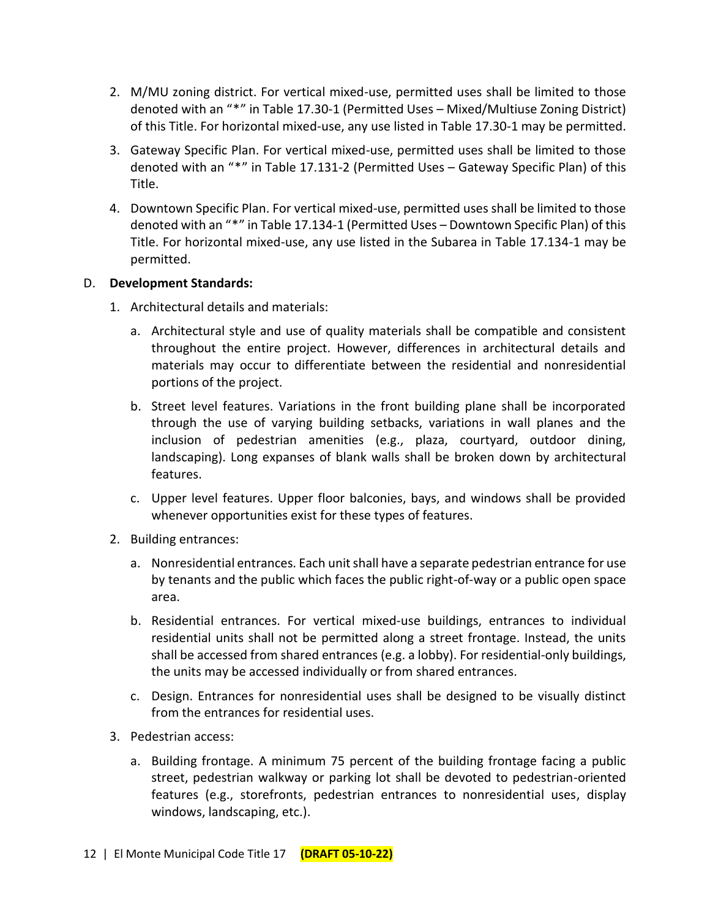- 2. M/MU zoning district. For vertical mixed-use, permitted uses shall be limited to those denoted with an "\*" in Table 17.30-1 (Permitted Uses – Mixed/Multiuse Zoning District) of this Title. For horizontal mixed-use, any use listed in Table 17.30-1 may be permitted.
- 3. Gateway Specific Plan. For vertical mixed-use, permitted uses shall be limited to those denoted with an "\*" in Table 17.131-2 (Permitted Uses – Gateway Specific Plan) of this Title.
- 4. Downtown Specific Plan. For vertical mixed-use, permitted uses shall be limited to those denoted with an "\*" in Table 17.134-1 (Permitted Uses – Downtown Specific Plan) of this Title. For horizontal mixed-use, any use listed in the Subarea in Table 17.134-1 may be permitted.

## D. **Development Standards:**

- 1. Architectural details and materials:
	- a. Architectural style and use of quality materials shall be compatible and consistent throughout the entire project. However, differences in architectural details and materials may occur to differentiate between the residential and nonresidential portions of the project.
	- b. Street level features. Variations in the front building plane shall be incorporated through the use of varying building setbacks, variations in wall planes and the inclusion of pedestrian amenities (e.g., plaza, courtyard, outdoor dining, landscaping). Long expanses of blank walls shall be broken down by architectural features.
	- c. Upper level features. Upper floor balconies, bays, and windows shall be provided whenever opportunities exist for these types of features.
- 2. Building entrances:
	- a. Nonresidential entrances. Each unit shall have a separate pedestrian entrance for use by tenants and the public which faces the public right-of-way or a public open space area.
	- b. Residential entrances. For vertical mixed-use buildings, entrances to individual residential units shall not be permitted along a street frontage. Instead, the units shall be accessed from shared entrances (e.g. a lobby). For residential-only buildings, the units may be accessed individually or from shared entrances.
	- c. Design. Entrances for nonresidential uses shall be designed to be visually distinct from the entrances for residential uses.
- 3. Pedestrian access:
	- a. Building frontage. A minimum 75 percent of the building frontage facing a public street, pedestrian walkway or parking lot shall be devoted to pedestrian-oriented features (e.g., storefronts, pedestrian entrances to nonresidential uses, display windows, landscaping, etc.).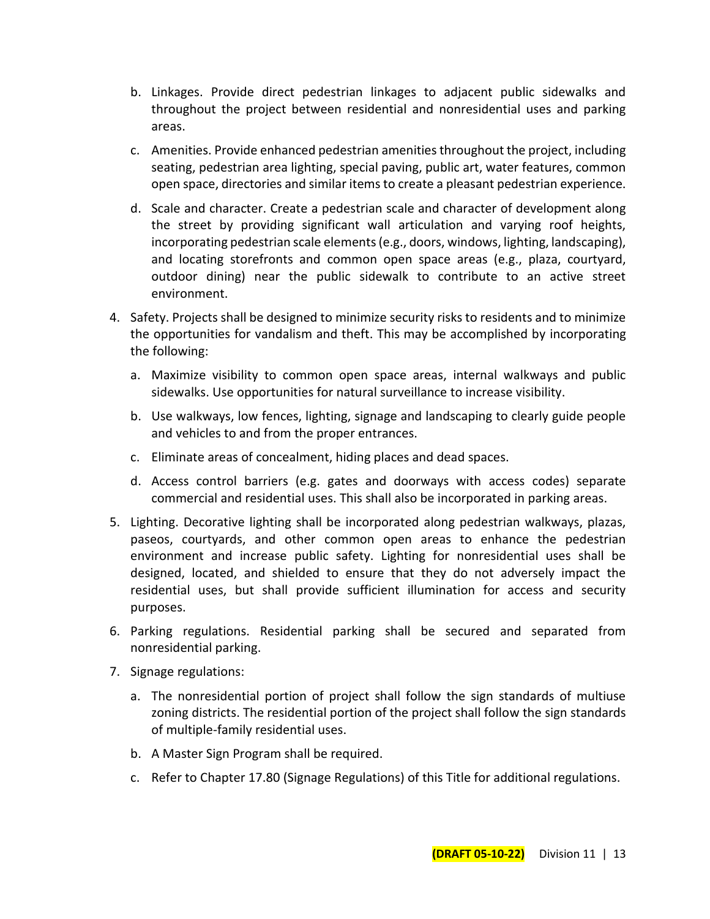- b. Linkages. Provide direct pedestrian linkages to adjacent public sidewalks and throughout the project between residential and nonresidential uses and parking areas.
- c. Amenities. Provide enhanced pedestrian amenities throughout the project, including seating, pedestrian area lighting, special paving, public art, water features, common open space, directories and similar items to create a pleasant pedestrian experience.
- d. Scale and character. Create a pedestrian scale and character of development along the street by providing significant wall articulation and varying roof heights, incorporating pedestrian scale elements (e.g., doors, windows, lighting, landscaping), and locating storefronts and common open space areas (e.g., plaza, courtyard, outdoor dining) near the public sidewalk to contribute to an active street environment.
- 4. Safety. Projects shall be designed to minimize security risks to residents and to minimize the opportunities for vandalism and theft. This may be accomplished by incorporating the following:
	- a. Maximize visibility to common open space areas, internal walkways and public sidewalks. Use opportunities for natural surveillance to increase visibility.
	- b. Use walkways, low fences, lighting, signage and landscaping to clearly guide people and vehicles to and from the proper entrances.
	- c. Eliminate areas of concealment, hiding places and dead spaces.
	- d. Access control barriers (e.g. gates and doorways with access codes) separate commercial and residential uses. This shall also be incorporated in parking areas.
- 5. Lighting. Decorative lighting shall be incorporated along pedestrian walkways, plazas, paseos, courtyards, and other common open areas to enhance the pedestrian environment and increase public safety. Lighting for nonresidential uses shall be designed, located, and shielded to ensure that they do not adversely impact the residential uses, but shall provide sufficient illumination for access and security purposes.
- 6. Parking regulations. Residential parking shall be secured and separated from nonresidential parking.
- 7. Signage regulations:
	- a. The nonresidential portion of project shall follow the sign standards of multiuse zoning districts. The residential portion of the project shall follow the sign standards of multiple-family residential uses.
	- b. A Master Sign Program shall be required.
	- c. Refer to Chapter 17.80 (Signage Regulations) of this Title for additional regulations.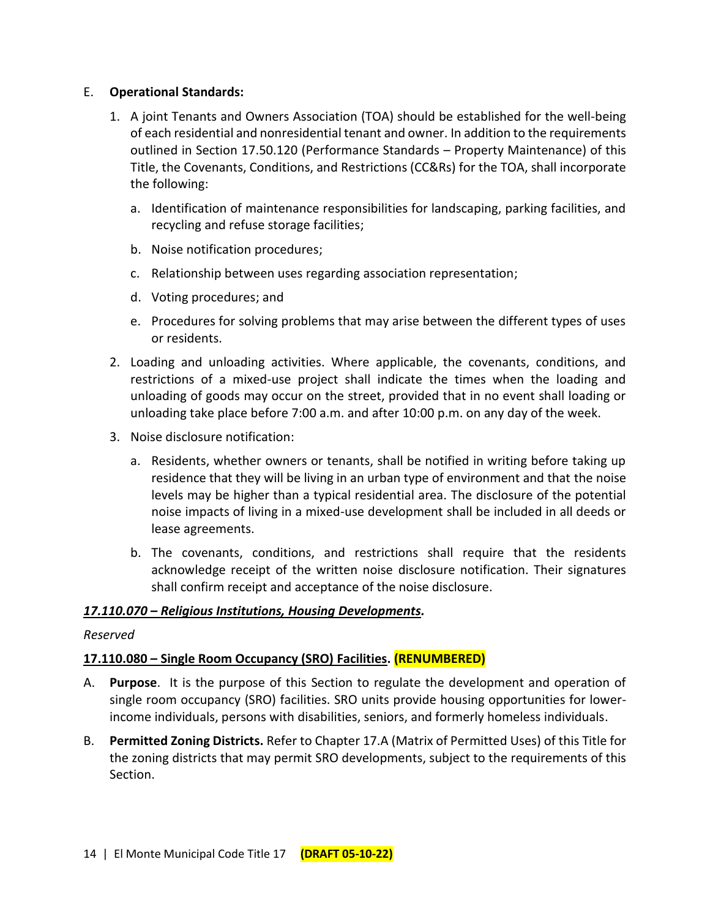#### E. **Operational Standards:**

- 1. A joint Tenants and Owners Association (TOA) should be established for the well-being of each residential and nonresidential tenant and owner. In addition to the requirements outlined in Section 17.50.120 (Performance Standards – Property Maintenance) of this Title, the Covenants, Conditions, and Restrictions (CC&Rs) for the TOA, shall incorporate the following:
	- a. Identification of maintenance responsibilities for landscaping, parking facilities, and recycling and refuse storage facilities;
	- b. Noise notification procedures;
	- c. Relationship between uses regarding association representation;
	- d. Voting procedures; and
	- e. Procedures for solving problems that may arise between the different types of uses or residents.
- 2. Loading and unloading activities. Where applicable, the covenants, conditions, and restrictions of a mixed-use project shall indicate the times when the loading and unloading of goods may occur on the street, provided that in no event shall loading or unloading take place before 7:00 a.m. and after 10:00 p.m. on any day of the week.
- 3. Noise disclosure notification:
	- a. Residents, whether owners or tenants, shall be notified in writing before taking up residence that they will be living in an urban type of environment and that the noise levels may be higher than a typical residential area. The disclosure of the potential noise impacts of living in a mixed-use development shall be included in all deeds or lease agreements.
	- b. The covenants, conditions, and restrictions shall require that the residents acknowledge receipt of the written noise disclosure notification. Their signatures shall confirm receipt and acceptance of the noise disclosure.

#### *17.110.070 – Religious Institutions, Housing Developments.*

#### *Reserved*

## **17.110.080 – Single Room Occupancy (SRO) Facilities. (RENUMBERED)**

- A. **Purpose**. It is the purpose of this Section to regulate the development and operation of single room occupancy (SRO) facilities. SRO units provide housing opportunities for lowerincome individuals, persons with disabilities, seniors, and formerly homeless individuals.
- B. **Permitted Zoning Districts.** Refer to Chapter 17.A (Matrix of Permitted Uses) of this Title for the zoning districts that may permit SRO developments, subject to the requirements of this Section.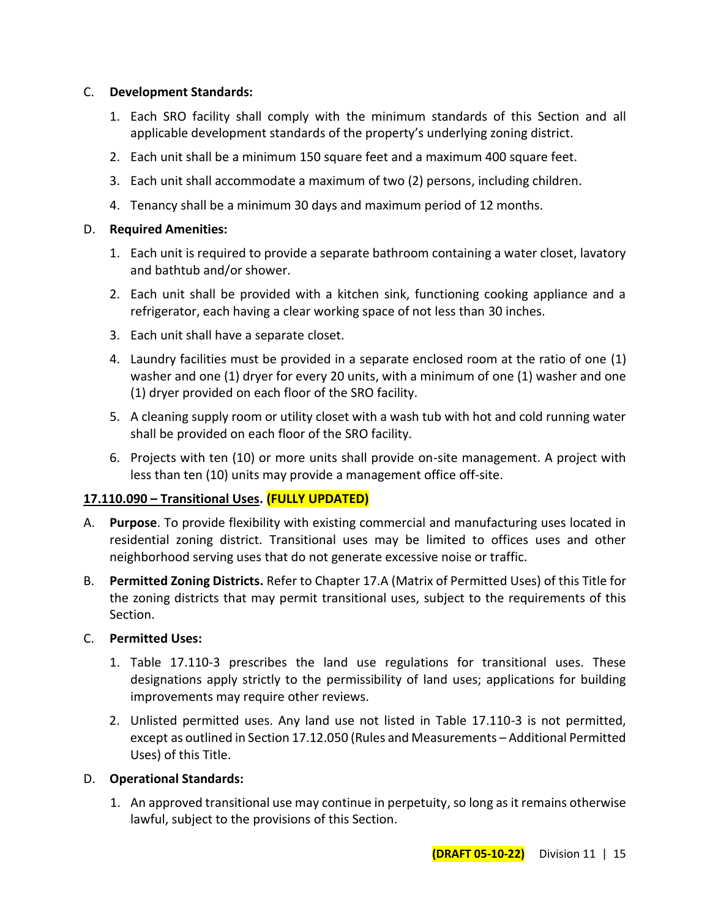#### C. **Development Standards:**

- 1. Each SRO facility shall comply with the minimum standards of this Section and all applicable development standards of the property's underlying zoning district.
- 2. Each unit shall be a minimum 150 square feet and a maximum 400 square feet.
- 3. Each unit shall accommodate a maximum of two (2) persons, including children.
- 4. Tenancy shall be a minimum 30 days and maximum period of 12 months.

#### D. **Required Amenities:**

- 1. Each unit is required to provide a separate bathroom containing a water closet, lavatory and bathtub and/or shower.
- 2. Each unit shall be provided with a kitchen sink, functioning cooking appliance and a refrigerator, each having a clear working space of not less than 30 inches.
- 3. Each unit shall have a separate closet.
- 4. Laundry facilities must be provided in a separate enclosed room at the ratio of one (1) washer and one (1) dryer for every 20 units, with a minimum of one (1) washer and one (1) dryer provided on each floor of the SRO facility.
- 5. A cleaning supply room or utility closet with a wash tub with hot and cold running water shall be provided on each floor of the SRO facility.
- 6. Projects with ten (10) or more units shall provide on-site management. A project with less than ten (10) units may provide a management office off-site.

## **17.110.090 – Transitional Uses. (FULLY UPDATED)**

- A. **Purpose**. To provide flexibility with existing commercial and manufacturing uses located in residential zoning district. Transitional uses may be limited to offices uses and other neighborhood serving uses that do not generate excessive noise or traffic.
- B. **Permitted Zoning Districts.** Refer to Chapter 17.A (Matrix of Permitted Uses) of this Title for the zoning districts that may permit transitional uses, subject to the requirements of this Section.

#### C. **Permitted Uses:**

- 1. Table 17.110-3 prescribes the land use regulations for transitional uses. These designations apply strictly to the permissibility of land uses; applications for building improvements may require other reviews.
- 2. Unlisted permitted uses. Any land use not listed in Table 17.110-3 is not permitted, except as outlined in Section 17.12.050 (Rules and Measurements – Additional Permitted Uses) of this Title.

#### D. **Operational Standards:**

1. An approved transitional use may continue in perpetuity, so long as it remains otherwise lawful, subject to the provisions of this Section.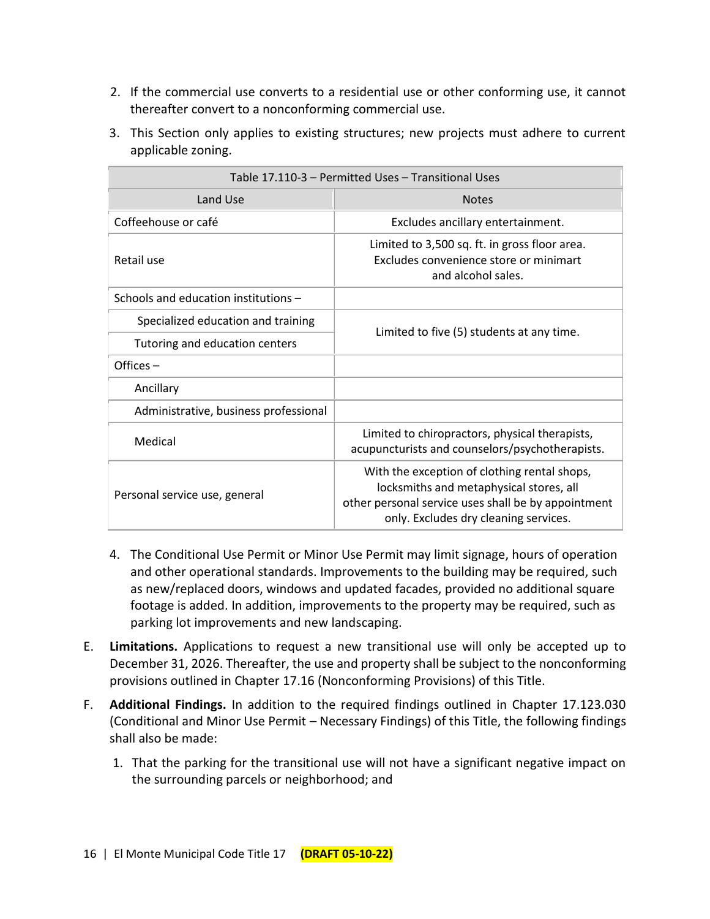- 2. If the commercial use converts to a residential use or other conforming use, it cannot thereafter convert to a nonconforming commercial use.
- 3. This Section only applies to existing structures; new projects must adhere to current applicable zoning.

| Table 17.110-3 - Permitted Uses - Transitional Uses |                                                                                                                                                                                         |  |
|-----------------------------------------------------|-----------------------------------------------------------------------------------------------------------------------------------------------------------------------------------------|--|
| Land Use                                            | <b>Notes</b>                                                                                                                                                                            |  |
| Coffeehouse or café                                 | Excludes ancillary entertainment.                                                                                                                                                       |  |
| Retail use                                          | Limited to 3,500 sq. ft. in gross floor area.<br>Excludes convenience store or minimart<br>and alcohol sales.                                                                           |  |
| Schools and education institutions -                |                                                                                                                                                                                         |  |
| Specialized education and training                  | Limited to five (5) students at any time.                                                                                                                                               |  |
| Tutoring and education centers                      |                                                                                                                                                                                         |  |
| Offices-                                            |                                                                                                                                                                                         |  |
| Ancillary                                           |                                                                                                                                                                                         |  |
| Administrative, business professional               |                                                                                                                                                                                         |  |
| Medical                                             | Limited to chiropractors, physical therapists,<br>acupuncturists and counselors/psychotherapists.                                                                                       |  |
| Personal service use, general                       | With the exception of clothing rental shops,<br>locksmiths and metaphysical stores, all<br>other personal service uses shall be by appointment<br>only. Excludes dry cleaning services. |  |

- 4. The Conditional Use Permit or Minor Use Permit may limit signage, hours of operation and other operational standards. Improvements to the building may be required, such as new/replaced doors, windows and updated facades, provided no additional square footage is added. In addition, improvements to the property may be required, such as parking lot improvements and new landscaping.
- E. **Limitations.** Applications to request a new transitional use will only be accepted up to December 31, 2026. Thereafter, the use and property shall be subject to the nonconforming provisions outlined in Chapter 17.16 (Nonconforming Provisions) of this Title.
- F. **Additional Findings.** In addition to the required findings outlined in Chapter 17.123.030 (Conditional and Minor Use Permit – Necessary Findings) of this Title, the following findings shall also be made:
	- 1. That the parking for the transitional use will not have a significant negative impact on the surrounding parcels or neighborhood; and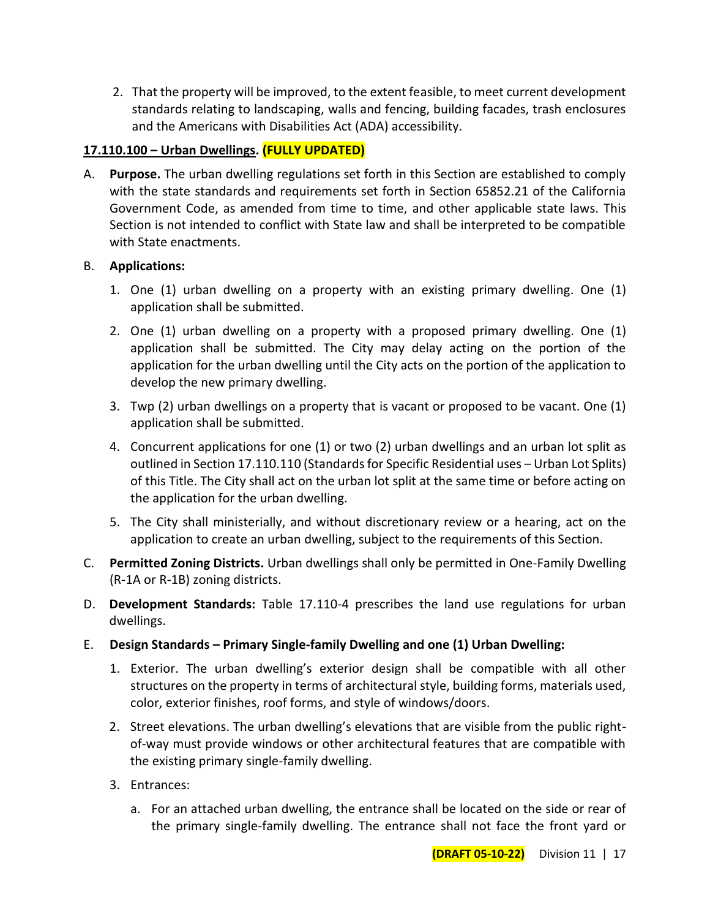2. That the property will be improved, to the extent feasible, to meet current development standards relating to landscaping, walls and fencing, building facades, trash enclosures and the Americans with Disabilities Act (ADA) accessibility.

## **17.110.100 – Urban Dwellings. (FULLY UPDATED)**

A. **Purpose.** The urban dwelling regulations set forth in this Section are established to comply with the state standards and requirements set forth in Section 65852.21 of the California Government Code, as amended from time to time, and other applicable state laws. This Section is not intended to conflict with State law and shall be interpreted to be compatible with State enactments.

## B. **Applications:**

- 1. One (1) urban dwelling on a property with an existing primary dwelling. One (1) application shall be submitted.
- 2. One (1) urban dwelling on a property with a proposed primary dwelling. One (1) application shall be submitted. The City may delay acting on the portion of the application for the urban dwelling until the City acts on the portion of the application to develop the new primary dwelling.
- 3. Twp (2) urban dwellings on a property that is vacant or proposed to be vacant. One (1) application shall be submitted.
- 4. Concurrent applications for one (1) or two (2) urban dwellings and an urban lot split as outlined in Section 17.110.110 (Standards for Specific Residential uses – Urban Lot Splits) of this Title. The City shall act on the urban lot split at the same time or before acting on the application for the urban dwelling.
- 5. The City shall ministerially, and without discretionary review or a hearing, act on the application to create an urban dwelling, subject to the requirements of this Section.
- C. **Permitted Zoning Districts.** Urban dwellings shall only be permitted in One-Family Dwelling (R-1A or R-1B) zoning districts.
- D. **Development Standards:** Table 17.110-4 prescribes the land use regulations for urban dwellings.
- E. **Design Standards – Primary Single-family Dwelling and one (1) Urban Dwelling:**
	- 1. Exterior. The urban dwelling's exterior design shall be compatible with all other structures on the property in terms of architectural style, building forms, materials used, color, exterior finishes, roof forms, and style of windows/doors.
	- 2. Street elevations. The urban dwelling's elevations that are visible from the public rightof-way must provide windows or other architectural features that are compatible with the existing primary single-family dwelling.
	- 3. Entrances:
		- a. For an attached urban dwelling, the entrance shall be located on the side or rear of the primary single-family dwelling. The entrance shall not face the front yard or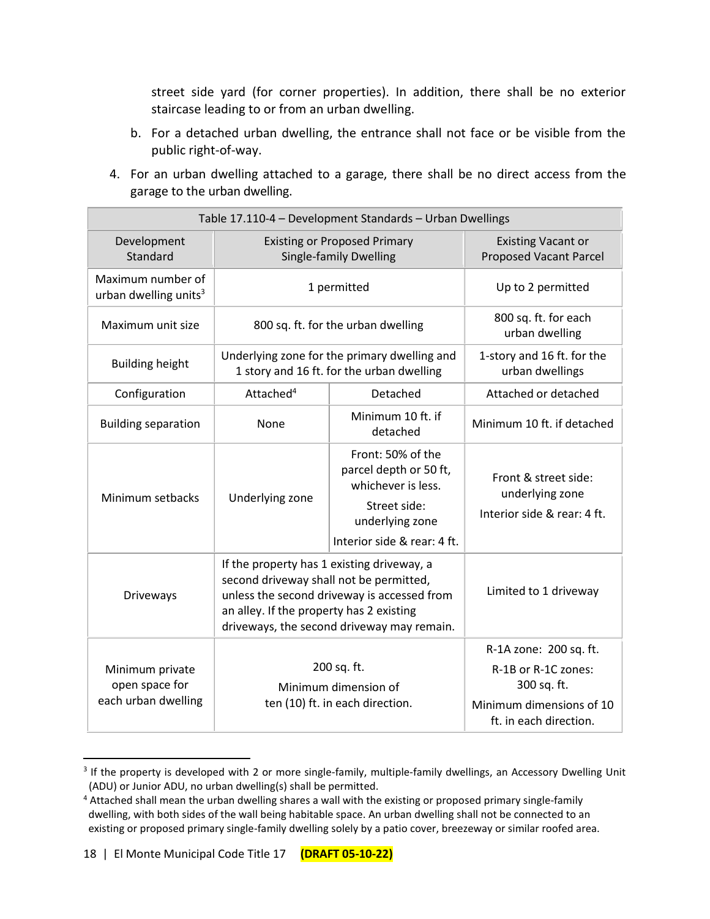street side yard (for corner properties). In addition, there shall be no exterior staircase leading to or from an urban dwelling.

- b. For a detached urban dwelling, the entrance shall not face or be visible from the public right-of-way.
- 4. For an urban dwelling attached to a garage, there shall be no direct access from the garage to the urban dwelling.

| Table 17.110-4 - Development Standards - Urban Dwellings |                                                                                                                                                                                                                                |                                                                                                                                     |                                                                                                                    |  |
|----------------------------------------------------------|--------------------------------------------------------------------------------------------------------------------------------------------------------------------------------------------------------------------------------|-------------------------------------------------------------------------------------------------------------------------------------|--------------------------------------------------------------------------------------------------------------------|--|
| Development<br>Standard                                  | <b>Existing or Proposed Primary</b><br><b>Single-family Dwelling</b>                                                                                                                                                           |                                                                                                                                     | <b>Existing Vacant or</b><br><b>Proposed Vacant Parcel</b>                                                         |  |
| Maximum number of<br>urban dwelling units <sup>3</sup>   | 1 permitted                                                                                                                                                                                                                    |                                                                                                                                     | Up to 2 permitted                                                                                                  |  |
| Maximum unit size                                        | 800 sq. ft. for the urban dwelling                                                                                                                                                                                             |                                                                                                                                     | 800 sq. ft. for each<br>urban dwelling                                                                             |  |
| <b>Building height</b>                                   | Underlying zone for the primary dwelling and<br>1 story and 16 ft. for the urban dwelling                                                                                                                                      |                                                                                                                                     | 1-story and 16 ft. for the<br>urban dwellings                                                                      |  |
| Configuration                                            | Attached <sup>4</sup>                                                                                                                                                                                                          | Detached                                                                                                                            | Attached or detached                                                                                               |  |
| <b>Building separation</b>                               | None                                                                                                                                                                                                                           | Minimum 10 ft. if<br>detached                                                                                                       | Minimum 10 ft. if detached                                                                                         |  |
| Minimum setbacks                                         | Underlying zone                                                                                                                                                                                                                | Front: 50% of the<br>parcel depth or 50 ft,<br>whichever is less.<br>Street side:<br>underlying zone<br>Interior side & rear: 4 ft. | Front & street side:<br>underlying zone<br>Interior side & rear: 4 ft.                                             |  |
| Driveways                                                | If the property has 1 existing driveway, a<br>second driveway shall not be permitted,<br>unless the second driveway is accessed from<br>an alley. If the property has 2 existing<br>driveways, the second driveway may remain. |                                                                                                                                     | Limited to 1 driveway                                                                                              |  |
| Minimum private<br>open space for<br>each urban dwelling | 200 sq. ft.<br>Minimum dimension of<br>ten (10) ft. in each direction.                                                                                                                                                         |                                                                                                                                     | R-1A zone: 200 sq. ft.<br>R-1B or R-1C zones:<br>300 sq. ft.<br>Minimum dimensions of 10<br>ft. in each direction. |  |

<sup>&</sup>lt;sup>3</sup> If the property is developed with 2 or more single-family, multiple-family dwellings, an Accessory Dwelling Unit (ADU) or Junior ADU, no urban dwelling(s) shall be permitted.

<sup>4</sup> Attached shall mean the urban dwelling shares a wall with the existing or proposed primary single-family dwelling, with both sides of the wall being habitable space. An urban dwelling shall not be connected to an existing or proposed primary single-family dwelling solely by a patio cover, breezeway or similar roofed area.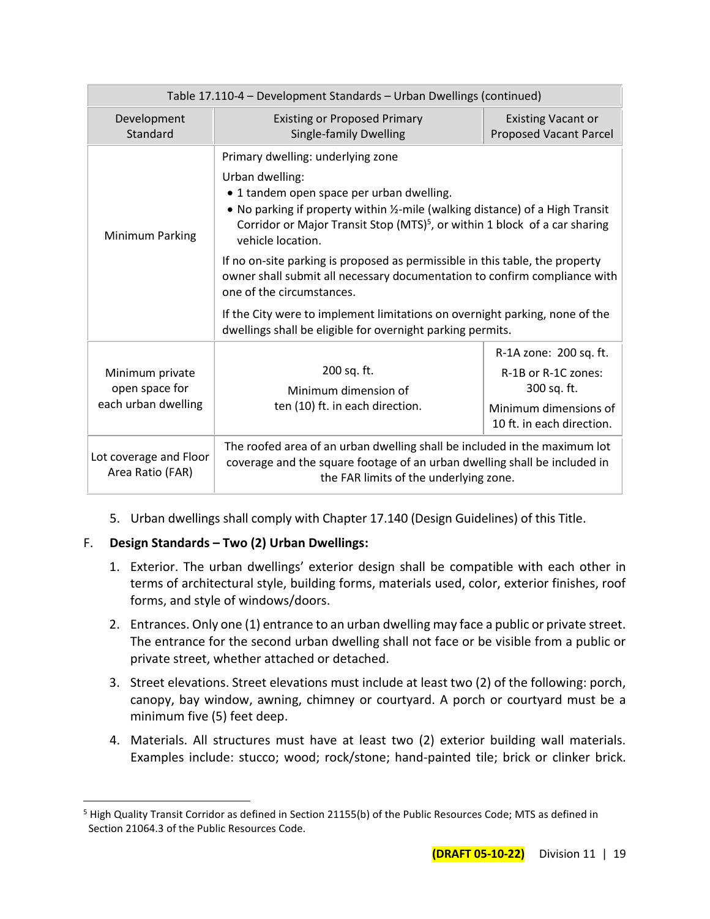| Table 17.110-4 - Development Standards - Urban Dwellings (continued) |                                                                                                                                                                                                                                                                                                                                                                                                                                                                                             |                                                                                                                    |  |
|----------------------------------------------------------------------|---------------------------------------------------------------------------------------------------------------------------------------------------------------------------------------------------------------------------------------------------------------------------------------------------------------------------------------------------------------------------------------------------------------------------------------------------------------------------------------------|--------------------------------------------------------------------------------------------------------------------|--|
| Development<br>Standard                                              | <b>Existing or Proposed Primary</b><br><b>Single-family Dwelling</b>                                                                                                                                                                                                                                                                                                                                                                                                                        | <b>Existing Vacant or</b><br><b>Proposed Vacant Parcel</b>                                                         |  |
| Minimum Parking                                                      | Primary dwelling: underlying zone<br>Urban dwelling:<br>• 1 tandem open space per urban dwelling.<br>• No parking if property within 1/2-mile (walking distance) of a High Transit<br>Corridor or Major Transit Stop (MTS) <sup>5</sup> , or within 1 block of a car sharing<br>vehicle location.<br>If no on-site parking is proposed as permissible in this table, the property<br>owner shall submit all necessary documentation to confirm compliance with<br>one of the circumstances. |                                                                                                                    |  |
|                                                                      | If the City were to implement limitations on overnight parking, none of the<br>dwellings shall be eligible for overnight parking permits.                                                                                                                                                                                                                                                                                                                                                   |                                                                                                                    |  |
| Minimum private<br>open space for<br>each urban dwelling             | 200 sq. ft.<br>Minimum dimension of<br>ten (10) ft. in each direction.                                                                                                                                                                                                                                                                                                                                                                                                                      | R-1A zone: 200 sq. ft.<br>R-1B or R-1C zones:<br>300 sq. ft.<br>Minimum dimensions of<br>10 ft. in each direction. |  |
| Lot coverage and Floor<br>Area Ratio (FAR)                           | The roofed area of an urban dwelling shall be included in the maximum lot<br>coverage and the square footage of an urban dwelling shall be included in<br>the FAR limits of the underlying zone.                                                                                                                                                                                                                                                                                            |                                                                                                                    |  |

5. Urban dwellings shall comply with Chapter 17.140 (Design Guidelines) of this Title.

# F. **Design Standards – Two (2) Urban Dwellings:**

- 1. Exterior. The urban dwellings' exterior design shall be compatible with each other in terms of architectural style, building forms, materials used, color, exterior finishes, roof forms, and style of windows/doors.
- 2. Entrances. Only one (1) entrance to an urban dwelling may face a public or private street. The entrance for the second urban dwelling shall not face or be visible from a public or private street, whether attached or detached.
- 3. Street elevations. Street elevations must include at least two (2) of the following: porch, canopy, bay window, awning, chimney or courtyard. A porch or courtyard must be a minimum five (5) feet deep.
- 4. Materials. All structures must have at least two (2) exterior building wall materials. Examples include: stucco; wood; rock/stone; hand-painted tile; brick or clinker brick.

<sup>&</sup>lt;sup>5</sup> High Quality Transit Corridor as defined in Section 21155(b) of the Public Resources Code; MTS as defined in Section 21064.3 of the Public Resources Code.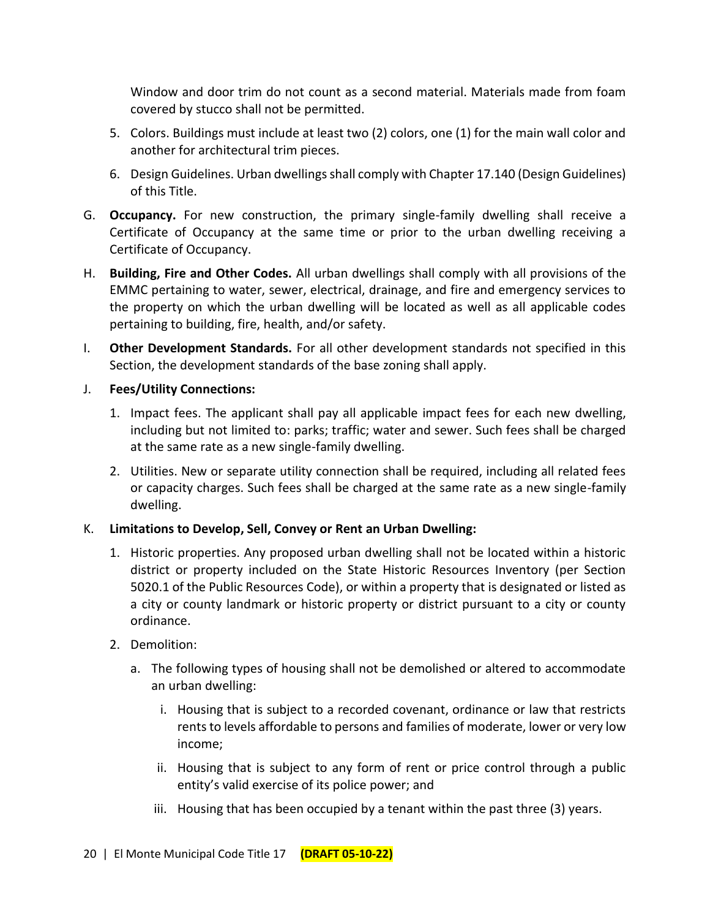Window and door trim do not count as a second material. Materials made from foam covered by stucco shall not be permitted.

- 5. Colors. Buildings must include at least two (2) colors, one (1) for the main wall color and another for architectural trim pieces.
- 6. Design Guidelines. Urban dwellings shall comply with Chapter 17.140 (Design Guidelines) of this Title.
- G. **Occupancy.** For new construction, the primary single-family dwelling shall receive a Certificate of Occupancy at the same time or prior to the urban dwelling receiving a Certificate of Occupancy.
- H. **Building, Fire and Other Codes.** All urban dwellings shall comply with all provisions of the EMMC pertaining to water, sewer, electrical, drainage, and fire and emergency services to the property on which the urban dwelling will be located as well as all applicable codes pertaining to building, fire, health, and/or safety.
- I. **Other Development Standards.** For all other development standards not specified in this Section, the development standards of the base zoning shall apply.
- J. **Fees/Utility Connections:**
	- 1. Impact fees. The applicant shall pay all applicable impact fees for each new dwelling, including but not limited to: parks; traffic; water and sewer. Such fees shall be charged at the same rate as a new single-family dwelling.
	- 2. Utilities. New or separate utility connection shall be required, including all related fees or capacity charges. Such fees shall be charged at the same rate as a new single-family dwelling.

## K. **Limitations to Develop, Sell, Convey or Rent an Urban Dwelling:**

- 1. Historic properties. Any proposed urban dwelling shall not be located within a historic district or property included on the State Historic Resources Inventory (per Section 5020.1 of the Public Resources Code), or within a property that is designated or listed as a city or county landmark or historic property or district pursuant to a city or county ordinance.
- 2. Demolition:
	- a. The following types of housing shall not be demolished or altered to accommodate an urban dwelling:
		- i. Housing that is subject to a recorded covenant, ordinance or law that restricts rents to levels affordable to persons and families of moderate, lower or very low income;
		- ii. Housing that is subject to any form of rent or price control through a public entity's valid exercise of its police power; and
		- iii. Housing that has been occupied by a tenant within the past three (3) years.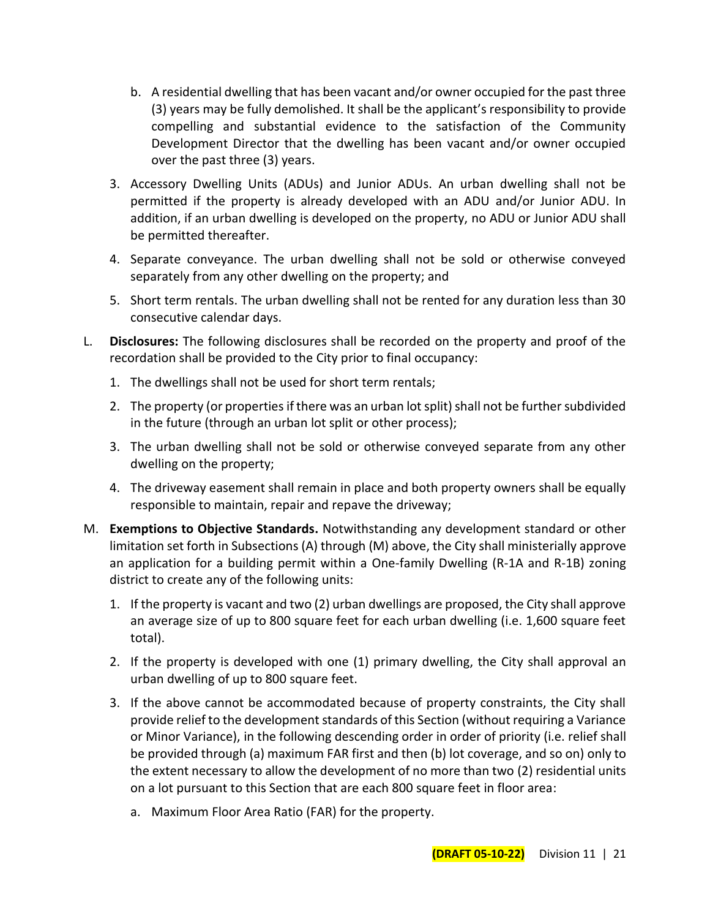- b. A residential dwelling that has been vacant and/or owner occupied for the past three (3) years may be fully demolished. It shall be the applicant's responsibility to provide compelling and substantial evidence to the satisfaction of the Community Development Director that the dwelling has been vacant and/or owner occupied over the past three (3) years.
- 3. Accessory Dwelling Units (ADUs) and Junior ADUs. An urban dwelling shall not be permitted if the property is already developed with an ADU and/or Junior ADU. In addition, if an urban dwelling is developed on the property, no ADU or Junior ADU shall be permitted thereafter.
- 4. Separate conveyance. The urban dwelling shall not be sold or otherwise conveyed separately from any other dwelling on the property; and
- 5. Short term rentals. The urban dwelling shall not be rented for any duration less than 30 consecutive calendar days.
- L. **Disclosures:** The following disclosures shall be recorded on the property and proof of the recordation shall be provided to the City prior to final occupancy:
	- 1. The dwellings shall not be used for short term rentals;
	- 2. The property (or properties if there was an urban lot split) shall not be further subdivided in the future (through an urban lot split or other process);
	- 3. The urban dwelling shall not be sold or otherwise conveyed separate from any other dwelling on the property;
	- 4. The driveway easement shall remain in place and both property owners shall be equally responsible to maintain, repair and repave the driveway;
- M. **Exemptions to Objective Standards.** Notwithstanding any development standard or other limitation set forth in Subsections (A) through (M) above, the City shall ministerially approve an application for a building permit within a One-family Dwelling (R-1A and R-1B) zoning district to create any of the following units:
	- 1. If the property is vacant and two (2) urban dwellings are proposed, the City shall approve an average size of up to 800 square feet for each urban dwelling (i.e. 1,600 square feet total).
	- 2. If the property is developed with one (1) primary dwelling, the City shall approval an urban dwelling of up to 800 square feet.
	- 3. If the above cannot be accommodated because of property constraints, the City shall provide relief to the development standards of this Section (without requiring a Variance or Minor Variance), in the following descending order in order of priority (i.e. relief shall be provided through (a) maximum FAR first and then (b) lot coverage, and so on) only to the extent necessary to allow the development of no more than two (2) residential units on a lot pursuant to this Section that are each 800 square feet in floor area:
		- a. Maximum Floor Area Ratio (FAR) for the property.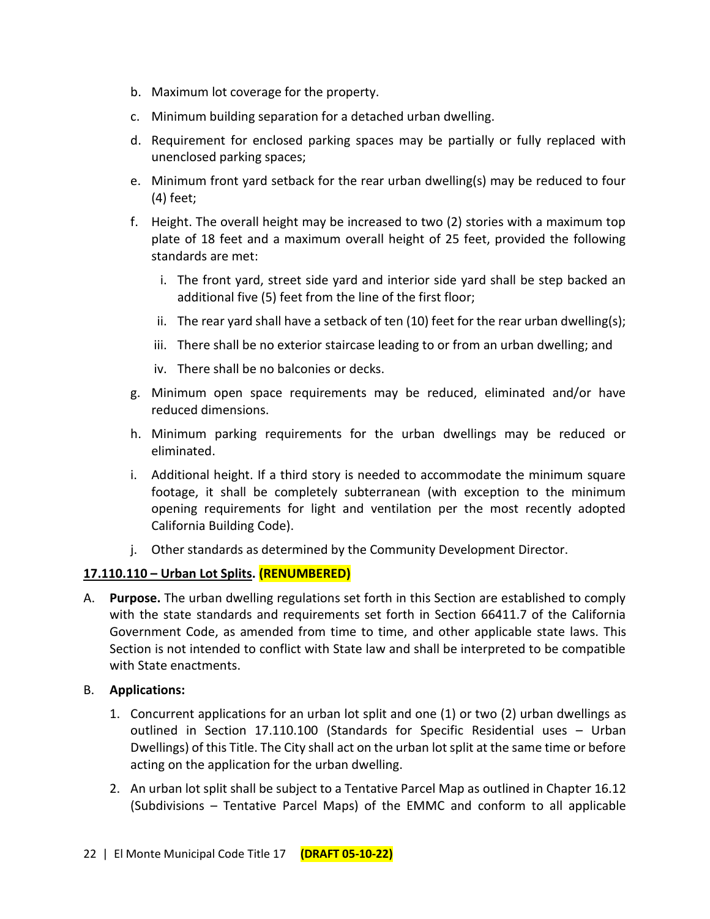- b. Maximum lot coverage for the property.
- c. Minimum building separation for a detached urban dwelling.
- d. Requirement for enclosed parking spaces may be partially or fully replaced with unenclosed parking spaces;
- e. Minimum front yard setback for the rear urban dwelling(s) may be reduced to four (4) feet;
- f. Height. The overall height may be increased to two (2) stories with a maximum top plate of 18 feet and a maximum overall height of 25 feet, provided the following standards are met:
	- i. The front yard, street side yard and interior side yard shall be step backed an additional five (5) feet from the line of the first floor;
	- ii. The rear yard shall have a setback of ten  $(10)$  feet for the rear urban dwelling(s);
	- iii. There shall be no exterior staircase leading to or from an urban dwelling; and
	- iv. There shall be no balconies or decks.
- g. Minimum open space requirements may be reduced, eliminated and/or have reduced dimensions.
- h. Minimum parking requirements for the urban dwellings may be reduced or eliminated.
- i. Additional height. If a third story is needed to accommodate the minimum square footage, it shall be completely subterranean (with exception to the minimum opening requirements for light and ventilation per the most recently adopted California Building Code).
- j. Other standards as determined by the Community Development Director.

## **17.110.110 – Urban Lot Splits. (RENUMBERED)**

A. **Purpose.** The urban dwelling regulations set forth in this Section are established to comply with the state standards and requirements set forth in Section 66411.7 of the California Government Code, as amended from time to time, and other applicable state laws. This Section is not intended to conflict with State law and shall be interpreted to be compatible with State enactments.

## B. **Applications:**

- 1. Concurrent applications for an urban lot split and one (1) or two (2) urban dwellings as outlined in Section 17.110.100 (Standards for Specific Residential uses – Urban Dwellings) of this Title. The City shall act on the urban lot split at the same time or before acting on the application for the urban dwelling.
- 2. An urban lot split shall be subject to a Tentative Parcel Map as outlined in Chapter 16.12 (Subdivisions – Tentative Parcel Maps) of the EMMC and conform to all applicable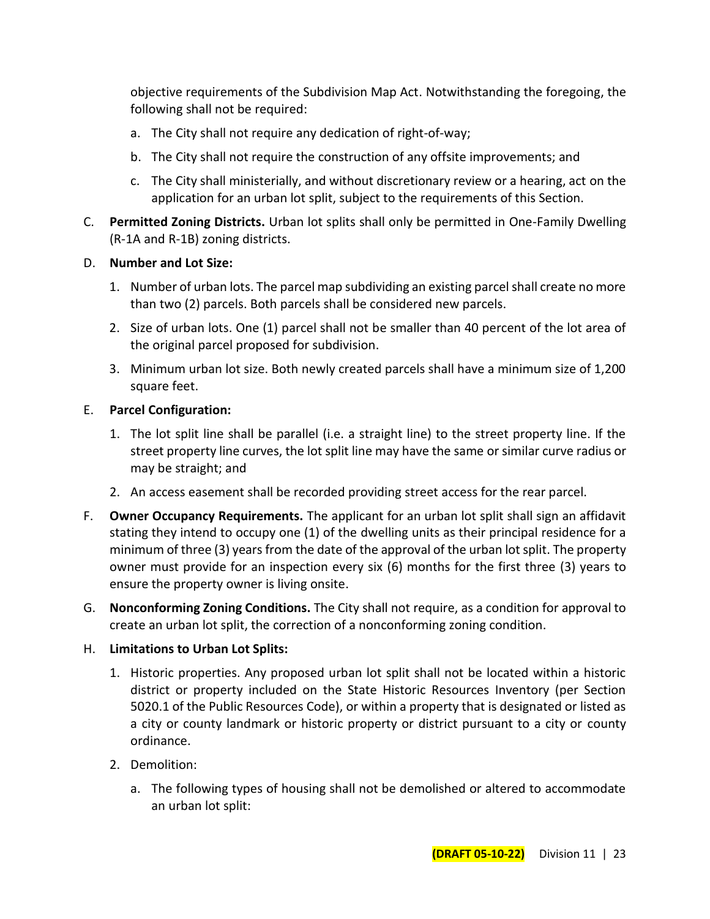objective requirements of the Subdivision Map Act. Notwithstanding the foregoing, the following shall not be required:

- a. The City shall not require any dedication of right-of-way;
- b. The City shall not require the construction of any offsite improvements; and
- c. The City shall ministerially, and without discretionary review or a hearing, act on the application for an urban lot split, subject to the requirements of this Section.
- C. **Permitted Zoning Districts.** Urban lot splits shall only be permitted in One-Family Dwelling (R-1A and R-1B) zoning districts.

#### D. **Number and Lot Size:**

- 1. Number of urban lots. The parcel map subdividing an existing parcel shall create no more than two (2) parcels. Both parcels shall be considered new parcels.
- 2. Size of urban lots. One (1) parcel shall not be smaller than 40 percent of the lot area of the original parcel proposed for subdivision.
- 3. Minimum urban lot size. Both newly created parcels shall have a minimum size of 1,200 square feet.

## E. **Parcel Configuration:**

- 1. The lot split line shall be parallel (i.e. a straight line) to the street property line. If the street property line curves, the lot split line may have the same or similar curve radius or may be straight; and
- 2. An access easement shall be recorded providing street access for the rear parcel.
- F. **Owner Occupancy Requirements.** The applicant for an urban lot split shall sign an affidavit stating they intend to occupy one (1) of the dwelling units as their principal residence for a minimum of three (3) years from the date of the approval of the urban lot split. The property owner must provide for an inspection every six (6) months for the first three (3) years to ensure the property owner is living onsite.
- G. **Nonconforming Zoning Conditions.** The City shall not require, as a condition for approval to create an urban lot split, the correction of a nonconforming zoning condition.

## H. **Limitations to Urban Lot Splits:**

- 1. Historic properties. Any proposed urban lot split shall not be located within a historic district or property included on the State Historic Resources Inventory (per Section 5020.1 of the Public Resources Code), or within a property that is designated or listed as a city or county landmark or historic property or district pursuant to a city or county ordinance.
- 2. Demolition:
	- a. The following types of housing shall not be demolished or altered to accommodate an urban lot split: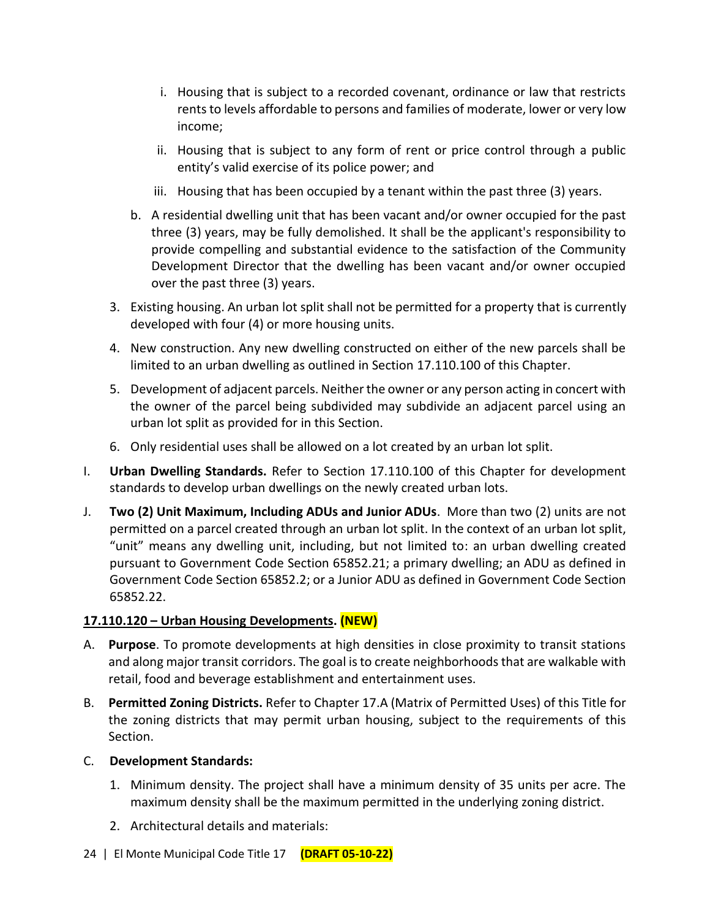- i. Housing that is subject to a recorded covenant, ordinance or law that restricts rents to levels affordable to persons and families of moderate, lower or very low income;
- ii. Housing that is subject to any form of rent or price control through a public entity's valid exercise of its police power; and
- iii. Housing that has been occupied by a tenant within the past three (3) years.
- b. A residential dwelling unit that has been vacant and/or owner occupied for the past three (3) years, may be fully demolished. It shall be the applicant's responsibility to provide compelling and substantial evidence to the satisfaction of the Community Development Director that the dwelling has been vacant and/or owner occupied over the past three (3) years.
- 3. Existing housing. An urban lot split shall not be permitted for a property that is currently developed with four (4) or more housing units.
- 4. New construction. Any new dwelling constructed on either of the new parcels shall be limited to an urban dwelling as outlined in Section 17.110.100 of this Chapter.
- 5. Development of adjacent parcels. Neither the owner or any person acting in concert with the owner of the parcel being subdivided may subdivide an adjacent parcel using an urban lot split as provided for in this Section.
- 6. Only residential uses shall be allowed on a lot created by an urban lot split.
- I. **Urban Dwelling Standards.** Refer to Section 17.110.100 of this Chapter for development standards to develop urban dwellings on the newly created urban lots.
- J. **Two (2) Unit Maximum, Including ADUs and Junior ADUs**. More than two (2) units are not permitted on a parcel created through an urban lot split. In the context of an urban lot split, "unit" means any dwelling unit, including, but not limited to: an urban dwelling created pursuant to Government Code Section 65852.21; a primary dwelling; an ADU as defined in Government Code Section 65852.2; or a Junior ADU as defined in Government Code Section 65852.22.

## **17.110.120 – Urban Housing Developments. (NEW)**

- A. **Purpose**. To promote developments at high densities in close proximity to transit stations and along major transit corridors. The goal is to create neighborhoods that are walkable with retail, food and beverage establishment and entertainment uses.
- B. **Permitted Zoning Districts.** Refer to Chapter 17.A (Matrix of Permitted Uses) of this Title for the zoning districts that may permit urban housing, subject to the requirements of this Section.
- C. **Development Standards:**
	- 1. Minimum density. The project shall have a minimum density of 35 units per acre. The maximum density shall be the maximum permitted in the underlying zoning district.
	- 2. Architectural details and materials:
- 24 | El Monte Municipal Code Title 17 **(DRAFT 05-10-22)**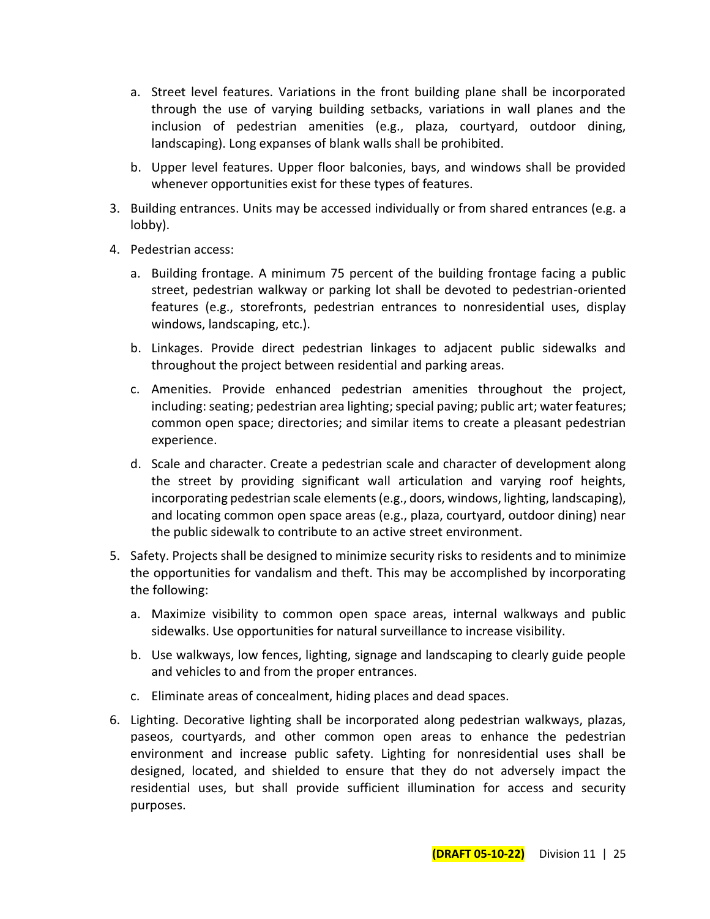- a. Street level features. Variations in the front building plane shall be incorporated through the use of varying building setbacks, variations in wall planes and the inclusion of pedestrian amenities (e.g., plaza, courtyard, outdoor dining, landscaping). Long expanses of blank walls shall be prohibited.
- b. Upper level features. Upper floor balconies, bays, and windows shall be provided whenever opportunities exist for these types of features.
- 3. Building entrances. Units may be accessed individually or from shared entrances (e.g. a lobby).
- 4. Pedestrian access:
	- a. Building frontage. A minimum 75 percent of the building frontage facing a public street, pedestrian walkway or parking lot shall be devoted to pedestrian-oriented features (e.g., storefronts, pedestrian entrances to nonresidential uses, display windows, landscaping, etc.).
	- b. Linkages. Provide direct pedestrian linkages to adjacent public sidewalks and throughout the project between residential and parking areas.
	- c. Amenities. Provide enhanced pedestrian amenities throughout the project, including: seating; pedestrian area lighting; special paving; public art; water features; common open space; directories; and similar items to create a pleasant pedestrian experience.
	- d. Scale and character. Create a pedestrian scale and character of development along the street by providing significant wall articulation and varying roof heights, incorporating pedestrian scale elements (e.g., doors, windows, lighting, landscaping), and locating common open space areas (e.g., plaza, courtyard, outdoor dining) near the public sidewalk to contribute to an active street environment.
- 5. Safety. Projects shall be designed to minimize security risks to residents and to minimize the opportunities for vandalism and theft. This may be accomplished by incorporating the following:
	- a. Maximize visibility to common open space areas, internal walkways and public sidewalks. Use opportunities for natural surveillance to increase visibility.
	- b. Use walkways, low fences, lighting, signage and landscaping to clearly guide people and vehicles to and from the proper entrances.
	- c. Eliminate areas of concealment, hiding places and dead spaces.
- 6. Lighting. Decorative lighting shall be incorporated along pedestrian walkways, plazas, paseos, courtyards, and other common open areas to enhance the pedestrian environment and increase public safety. Lighting for nonresidential uses shall be designed, located, and shielded to ensure that they do not adversely impact the residential uses, but shall provide sufficient illumination for access and security purposes.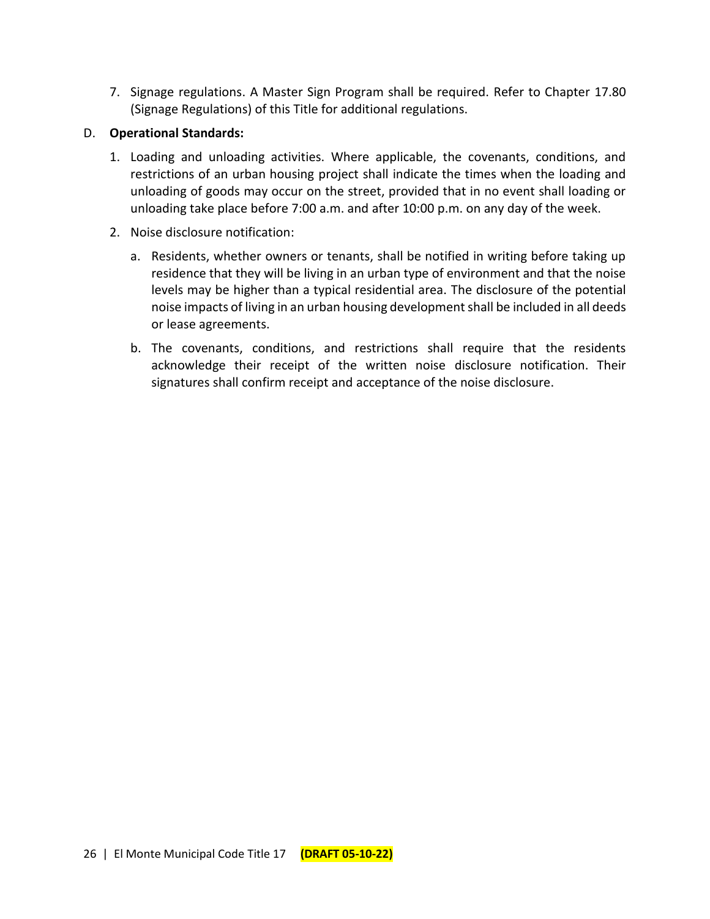7. Signage regulations. A Master Sign Program shall be required. Refer to Chapter 17.80 (Signage Regulations) of this Title for additional regulations.

#### D. **Operational Standards:**

- 1. Loading and unloading activities. Where applicable, the covenants, conditions, and restrictions of an urban housing project shall indicate the times when the loading and unloading of goods may occur on the street, provided that in no event shall loading or unloading take place before 7:00 a.m. and after 10:00 p.m. on any day of the week.
- 2. Noise disclosure notification:
	- a. Residents, whether owners or tenants, shall be notified in writing before taking up residence that they will be living in an urban type of environment and that the noise levels may be higher than a typical residential area. The disclosure of the potential noise impacts of living in an urban housing development shall be included in all deeds or lease agreements.
	- b. The covenants, conditions, and restrictions shall require that the residents acknowledge their receipt of the written noise disclosure notification. Their signatures shall confirm receipt and acceptance of the noise disclosure.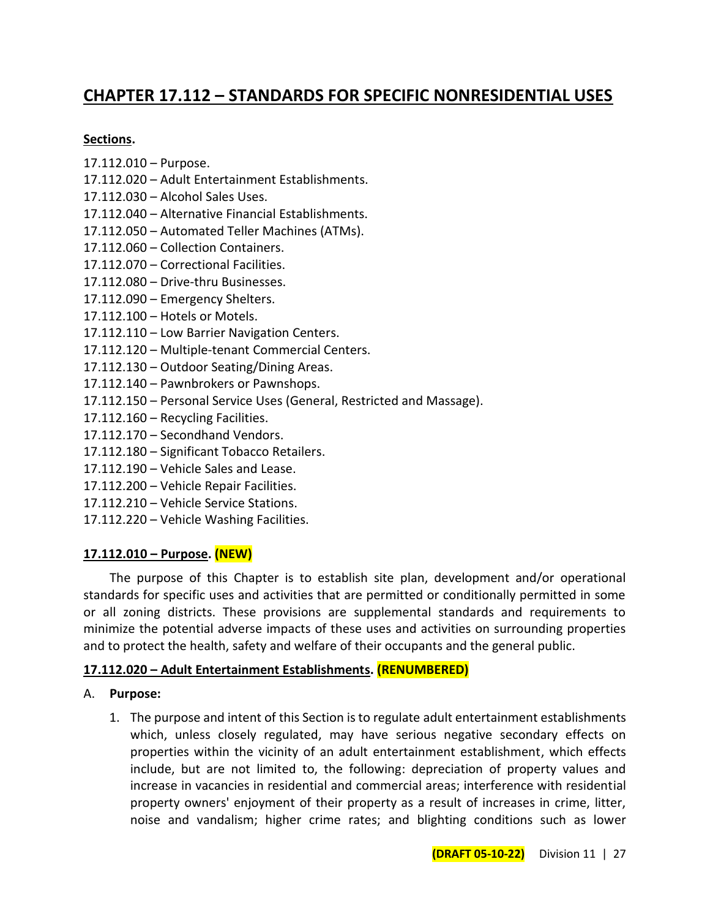# **CHAPTER 17.112 – STANDARDS FOR SPECIFIC NONRESIDENTIAL USES**

#### **Sections.**

- 17.112.010 Purpose.
- 17.112.020 Adult Entertainment Establishments.
- 17.112.030 Alcohol Sales Uses.
- 17.112.040 Alternative Financial Establishments.
- 17.112.050 Automated Teller Machines (ATMs).
- 17.112.060 Collection Containers.
- 17.112.070 Correctional Facilities.
- 17.112.080 Drive-thru Businesses.
- 17.112.090 Emergency Shelters.
- 17.112.100 Hotels or Motels.
- 17.112.110 Low Barrier Navigation Centers.
- 17.112.120 Multiple-tenant Commercial Centers.
- 17.112.130 Outdoor Seating/Dining Areas.
- 17.112.140 Pawnbrokers or Pawnshops.
- 17.112.150 Personal Service Uses (General, Restricted and Massage).
- 17.112.160 Recycling Facilities.
- 17.112.170 Secondhand Vendors.
- 17.112.180 Significant Tobacco Retailers.
- 17.112.190 Vehicle Sales and Lease.
- 17.112.200 Vehicle Repair Facilities.
- 17.112.210 Vehicle Service Stations.
- 17.112.220 Vehicle Washing Facilities.

## **17.112.010 – Purpose. (NEW)**

The purpose of this Chapter is to establish site plan, development and/or operational standards for specific uses and activities that are permitted or conditionally permitted in some or all zoning districts. These provisions are supplemental standards and requirements to minimize the potential adverse impacts of these uses and activities on surrounding properties and to protect the health, safety and welfare of their occupants and the general public.

## **17.112.020 – Adult Entertainment Establishments. (RENUMBERED)**

#### A. **Purpose:**

1. The purpose and intent of this Section is to regulate adult entertainment establishments which, unless closely regulated, may have serious negative secondary effects on properties within the vicinity of an adult entertainment establishment, which effects include, but are not limited to, the following: depreciation of property values and increase in vacancies in residential and commercial areas; interference with residential property owners' enjoyment of their property as a result of increases in crime, litter, noise and vandalism; higher crime rates; and blighting conditions such as lower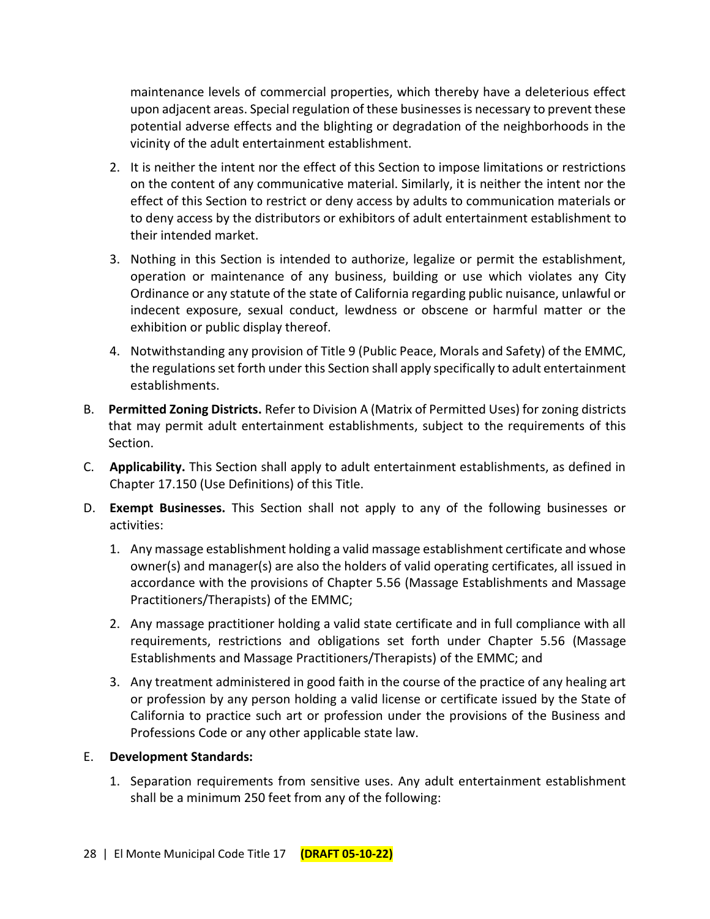maintenance levels of commercial properties, which thereby have a deleterious effect upon adjacent areas. Special regulation of these businesses is necessary to prevent these potential adverse effects and the blighting or degradation of the neighborhoods in the vicinity of the adult entertainment establishment.

- 2. It is neither the intent nor the effect of this Section to impose limitations or restrictions on the content of any communicative material. Similarly, it is neither the intent nor the effect of this Section to restrict or deny access by adults to communication materials or to deny access by the distributors or exhibitors of adult entertainment establishment to their intended market.
- 3. Nothing in this Section is intended to authorize, legalize or permit the establishment, operation or maintenance of any business, building or use which violates any City Ordinance or any statute of the state of California regarding public nuisance, unlawful or indecent exposure, sexual conduct, lewdness or obscene or harmful matter or the exhibition or public display thereof.
- 4. Notwithstanding any provision of Title 9 (Public Peace, Morals and Safety) of the EMMC, the regulations set forth under this Section shall apply specifically to adult entertainment establishments.
- B. **Permitted Zoning Districts.** Refer to Division A (Matrix of Permitted Uses) for zoning districts that may permit adult entertainment establishments, subject to the requirements of this Section.
- C. **Applicability.** This Section shall apply to adult entertainment establishments, as defined in Chapter 17.150 (Use Definitions) of this Title.
- D. **Exempt Businesses.** This Section shall not apply to any of the following businesses or activities:
	- 1. Any massage establishment holding a valid massage establishment certificate and whose owner(s) and manager(s) are also the holders of valid operating certificates, all issued in accordance with the provisions of Chapter 5.56 (Massage Establishments and Massage Practitioners/Therapists) of the EMMC;
	- 2. Any massage practitioner holding a valid state certificate and in full compliance with all requirements, restrictions and obligations set forth under Chapter 5.56 (Massage Establishments and Massage Practitioners/Therapists) of the EMMC; and
	- 3. Any treatment administered in good faith in the course of the practice of any healing art or profession by any person holding a valid license or certificate issued by the State of California to practice such art or profession under the provisions of the Business and Professions Code or any other applicable state law.

## E. **Development Standards:**

1. Separation requirements from sensitive uses. Any adult entertainment establishment shall be a minimum 250 feet from any of the following: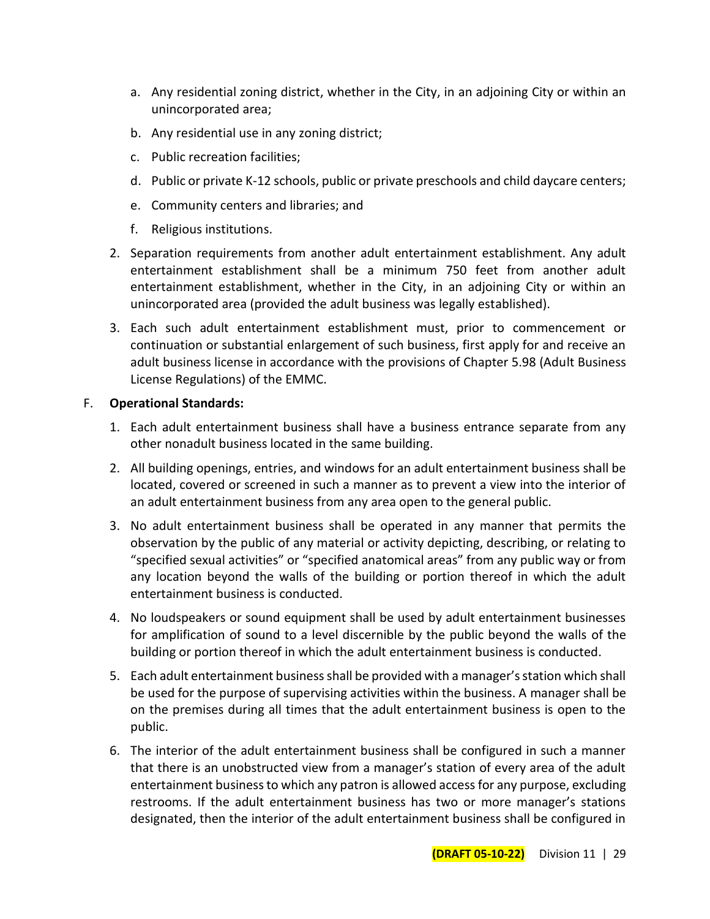- a. Any residential zoning district, whether in the City, in an adjoining City or within an unincorporated area;
- b. Any residential use in any zoning district;
- c. Public recreation facilities;
- d. Public or private K-12 schools, public or private preschools and child daycare centers;
- e. Community centers and libraries; and
- f. Religious institutions.
- 2. Separation requirements from another adult entertainment establishment. Any adult entertainment establishment shall be a minimum 750 feet from another adult entertainment establishment, whether in the City, in an adjoining City or within an unincorporated area (provided the adult business was legally established).
- 3. Each such adult entertainment establishment must, prior to commencement or continuation or substantial enlargement of such business, first apply for and receive an adult business license in accordance with the provisions of Chapter 5.98 (Adult Business License Regulations) of the EMMC.

## F. **Operational Standards:**

- 1. Each adult entertainment business shall have a business entrance separate from any other nonadult business located in the same building.
- 2. All building openings, entries, and windows for an adult entertainment business shall be located, covered or screened in such a manner as to prevent a view into the interior of an adult entertainment business from any area open to the general public.
- 3. No adult entertainment business shall be operated in any manner that permits the observation by the public of any material or activity depicting, describing, or relating to "specified sexual activities" or "specified anatomical areas" from any public way or from any location beyond the walls of the building or portion thereof in which the adult entertainment business is conducted.
- 4. No loudspeakers or sound equipment shall be used by adult entertainment businesses for amplification of sound to a level discernible by the public beyond the walls of the building or portion thereof in which the adult entertainment business is conducted.
- 5. Each adult entertainment business shall be provided with a manager's station which shall be used for the purpose of supervising activities within the business. A manager shall be on the premises during all times that the adult entertainment business is open to the public.
- 6. The interior of the adult entertainment business shall be configured in such a manner that there is an unobstructed view from a manager's station of every area of the adult entertainment business to which any patron is allowed access for any purpose, excluding restrooms. If the adult entertainment business has two or more manager's stations designated, then the interior of the adult entertainment business shall be configured in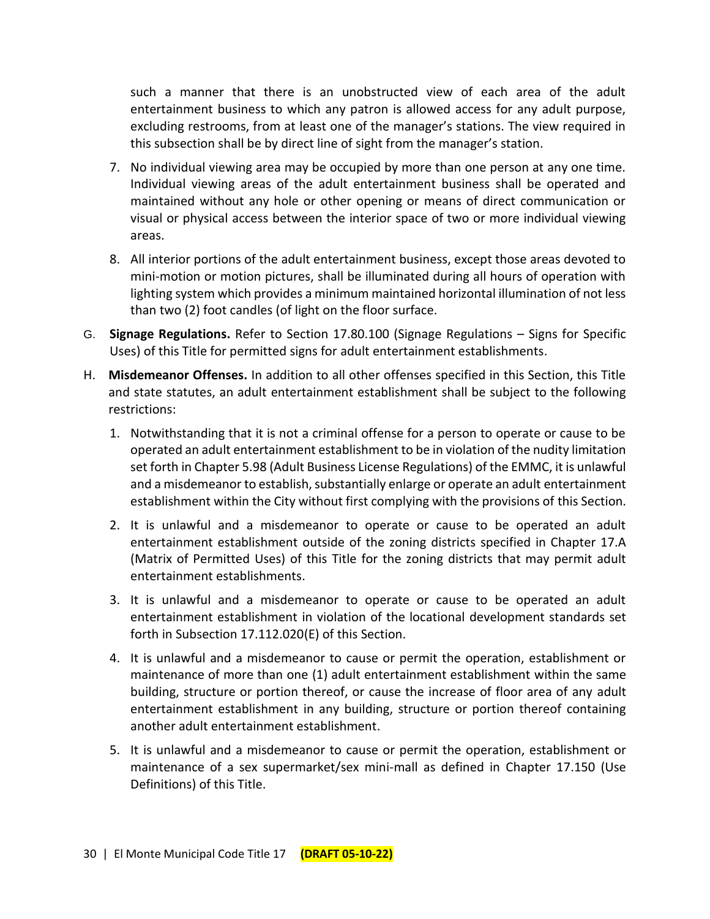such a manner that there is an unobstructed view of each area of the adult entertainment business to which any patron is allowed access for any adult purpose, excluding restrooms, from at least one of the manager's stations. The view required in this subsection shall be by direct line of sight from the manager's station.

- 7. No individual viewing area may be occupied by more than one person at any one time. Individual viewing areas of the adult entertainment business shall be operated and maintained without any hole or other opening or means of direct communication or visual or physical access between the interior space of two or more individual viewing areas.
- 8. All interior portions of the adult entertainment business, except those areas devoted to mini-motion or motion pictures, shall be illuminated during all hours of operation with lighting system which provides a minimum maintained horizontal illumination of not less than two (2) foot candles (of light on the floor surface.
- G. **Signage Regulations.** Refer to Section 17.80.100 (Signage Regulations Signs for Specific Uses) of this Title for permitted signs for adult entertainment establishments.
- H. **Misdemeanor Offenses.** In addition to all other offenses specified in this Section, this Title and state statutes, an adult entertainment establishment shall be subject to the following restrictions:
	- 1. Notwithstanding that it is not a criminal offense for a person to operate or cause to be operated an adult entertainment establishment to be in violation of the nudity limitation set forth in Chapter 5.98 (Adult Business License Regulations) of the EMMC, it is unlawful and a misdemeanor to establish, substantially enlarge or operate an adult entertainment establishment within the City without first complying with the provisions of this Section.
	- 2. It is unlawful and a misdemeanor to operate or cause to be operated an adult entertainment establishment outside of the zoning districts specified in Chapter 17.A (Matrix of Permitted Uses) of this Title for the zoning districts that may permit adult entertainment establishments.
	- 3. It is unlawful and a misdemeanor to operate or cause to be operated an adult entertainment establishment in violation of the locational development standards set forth in Subsection 17.112.020(E) of this Section.
	- 4. It is unlawful and a misdemeanor to cause or permit the operation, establishment or maintenance of more than one (1) adult entertainment establishment within the same building, structure or portion thereof, or cause the increase of floor area of any adult entertainment establishment in any building, structure or portion thereof containing another adult entertainment establishment.
	- 5. It is unlawful and a misdemeanor to cause or permit the operation, establishment or maintenance of a sex supermarket/sex mini-mall as defined in Chapter 17.150 (Use Definitions) of this Title.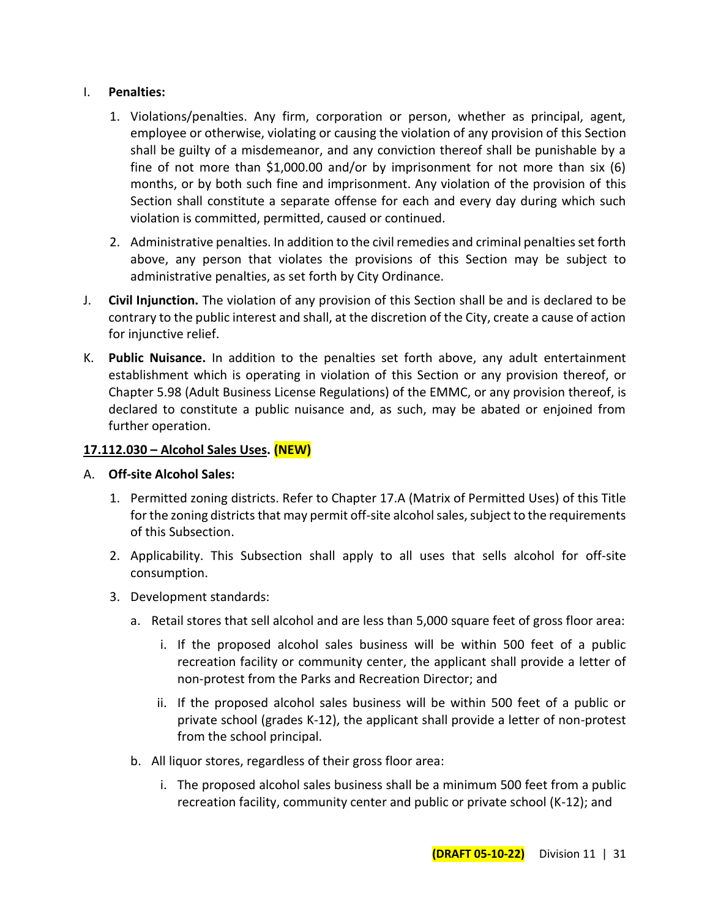#### I. **Penalties:**

- 1. Violations/penalties. Any firm, corporation or person, whether as principal, agent, employee or otherwise, violating or causing the violation of any provision of this Section shall be guilty of a misdemeanor, and any conviction thereof shall be punishable by a fine of not more than \$1,000.00 and/or by imprisonment for not more than six (6) months, or by both such fine and imprisonment. Any violation of the provision of this Section shall constitute a separate offense for each and every day during which such violation is committed, permitted, caused or continued.
- 2. Administrative penalties. In addition to the civil remedies and criminal penalties set forth above, any person that violates the provisions of this Section may be subject to administrative penalties, as set forth by City Ordinance.
- J. **Civil Injunction.** The violation of any provision of this Section shall be and is declared to be contrary to the public interest and shall, at the discretion of the City, create a cause of action for injunctive relief.
- K. **Public Nuisance.** In addition to the penalties set forth above, any adult entertainment establishment which is operating in violation of this Section or any provision thereof, or Chapter 5.98 (Adult Business License Regulations) of the EMMC, or any provision thereof, is declared to constitute a public nuisance and, as such, may be abated or enjoined from further operation.

## **17.112.030 – Alcohol Sales Uses. (NEW)**

- A. **Off-site Alcohol Sales:**
	- 1. Permitted zoning districts. Refer to Chapter 17.A (Matrix of Permitted Uses) of this Title for the zoning districts that may permit off-site alcohol sales, subject to the requirements of this Subsection.
	- 2. Applicability. This Subsection shall apply to all uses that sells alcohol for off-site consumption.
	- 3. Development standards:
		- a. Retail stores that sell alcohol and are less than 5,000 square feet of gross floor area:
			- i. If the proposed alcohol sales business will be within 500 feet of a public recreation facility or community center, the applicant shall provide a letter of non-protest from the Parks and Recreation Director; and
			- ii. If the proposed alcohol sales business will be within 500 feet of a public or private school (grades K-12), the applicant shall provide a letter of non-protest from the school principal.
		- b. All liquor stores, regardless of their gross floor area:
			- i. The proposed alcohol sales business shall be a minimum 500 feet from a public recreation facility, community center and public or private school (K-12); and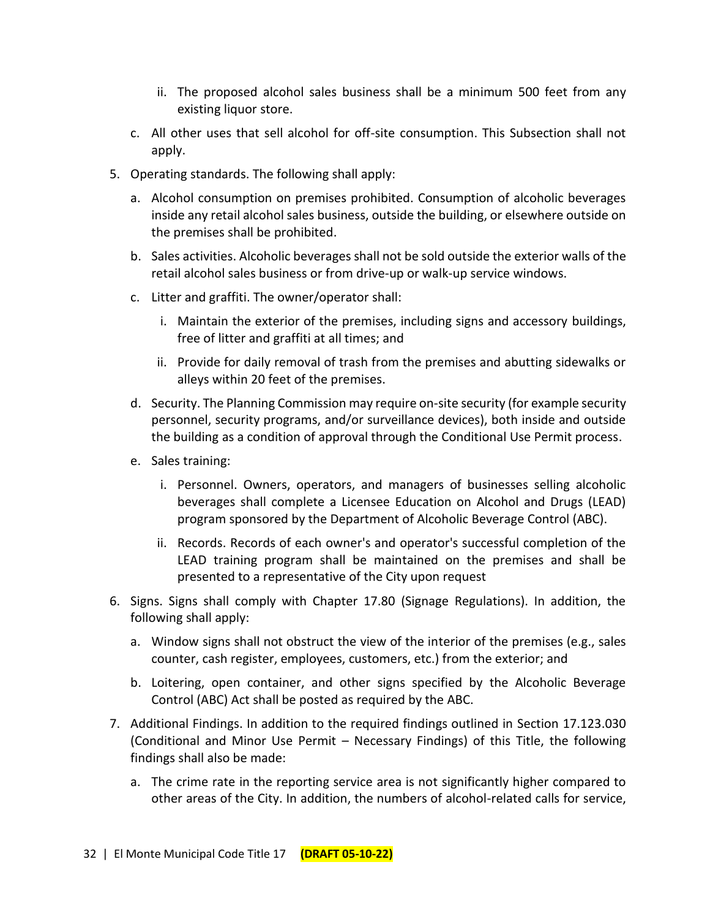- ii. The proposed alcohol sales business shall be a minimum 500 feet from any existing liquor store.
- c. All other uses that sell alcohol for off-site consumption. This Subsection shall not apply.
- 5. Operating standards. The following shall apply:
	- a. Alcohol consumption on premises prohibited. Consumption of alcoholic beverages inside any retail alcohol sales business, outside the building, or elsewhere outside on the premises shall be prohibited.
	- b. Sales activities. Alcoholic beverages shall not be sold outside the exterior walls of the retail alcohol sales business or from drive-up or walk-up service windows.
	- c. Litter and graffiti. The owner/operator shall:
		- i. Maintain the exterior of the premises, including signs and accessory buildings, free of litter and graffiti at all times; and
		- ii. Provide for daily removal of trash from the premises and abutting sidewalks or alleys within 20 feet of the premises.
	- d. Security. The Planning Commission may require on-site security (for example security personnel, security programs, and/or surveillance devices), both inside and outside the building as a condition of approval through the Conditional Use Permit process.
	- e. Sales training:
		- i. Personnel. Owners, operators, and managers of businesses selling alcoholic beverages shall complete a Licensee Education on Alcohol and Drugs (LEAD) program sponsored by the Department of Alcoholic Beverage Control (ABC).
		- ii. Records. Records of each owner's and operator's successful completion of the LEAD training program shall be maintained on the premises and shall be presented to a representative of the City upon request
- 6. Signs. Signs shall comply with Chapter 17.80 (Signage Regulations). In addition, the following shall apply:
	- a. Window signs shall not obstruct the view of the interior of the premises (e.g., sales counter, cash register, employees, customers, etc.) from the exterior; and
	- b. Loitering, open container, and other signs specified by the Alcoholic Beverage Control (ABC) Act shall be posted as required by the ABC.
- 7. Additional Findings. In addition to the required findings outlined in Section 17.123.030 (Conditional and Minor Use Permit – Necessary Findings) of this Title, the following findings shall also be made:
	- a. The crime rate in the reporting service area is not significantly higher compared to other areas of the City. In addition, the numbers of alcohol-related calls for service,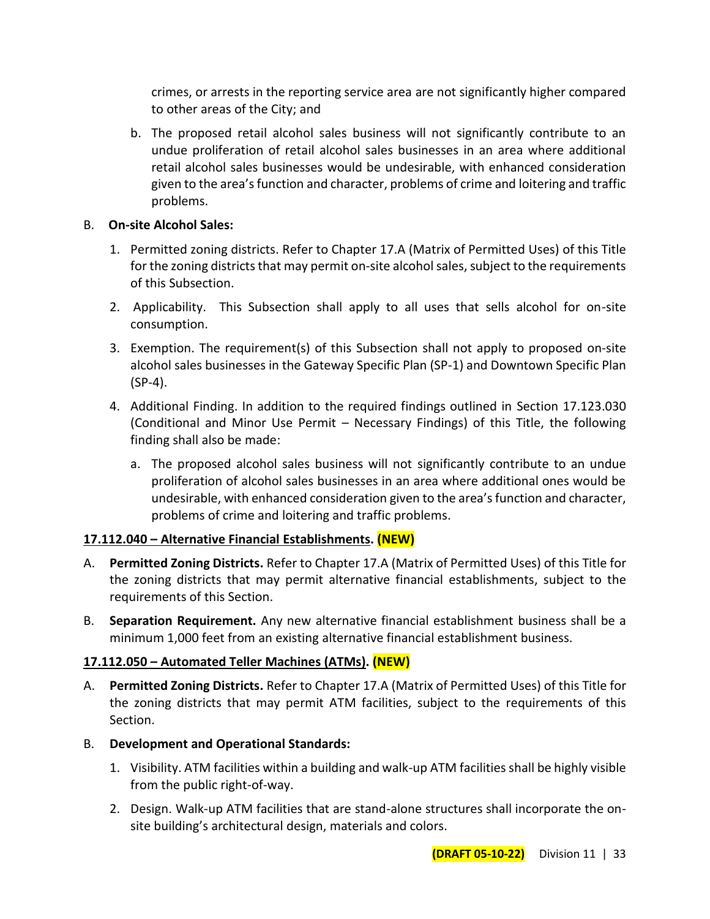crimes, or arrests in the reporting service area are not significantly higher compared to other areas of the City; and

b. The proposed retail alcohol sales business will not significantly contribute to an undue proliferation of retail alcohol sales businesses in an area where additional retail alcohol sales businesses would be undesirable, with enhanced consideration given to the area's function and character, problems of crime and loitering and traffic problems.

#### B. **On-site Alcohol Sales:**

- 1. Permitted zoning districts. Refer to Chapter 17.A (Matrix of Permitted Uses) of this Title for the zoning districts that may permit on-site alcohol sales, subject to the requirements of this Subsection.
- 2. Applicability. This Subsection shall apply to all uses that sells alcohol for on-site consumption.
- 3. Exemption. The requirement(s) of this Subsection shall not apply to proposed on-site alcohol sales businesses in the Gateway Specific Plan (SP-1) and Downtown Specific Plan (SP-4).
- 4. Additional Finding. In addition to the required findings outlined in Section 17.123.030 (Conditional and Minor Use Permit – Necessary Findings) of this Title, the following finding shall also be made:
	- a. The proposed alcohol sales business will not significantly contribute to an undue proliferation of alcohol sales businesses in an area where additional ones would be undesirable, with enhanced consideration given to the area's function and character, problems of crime and loitering and traffic problems.

## **17.112.040 – Alternative Financial Establishments. (NEW)**

- A. **Permitted Zoning Districts.** Refer to Chapter 17.A (Matrix of Permitted Uses) of this Title for the zoning districts that may permit alternative financial establishments, subject to the requirements of this Section.
- B. **Separation Requirement.** Any new alternative financial establishment business shall be a minimum 1,000 feet from an existing alternative financial establishment business.

## **17.112.050 – Automated Teller Machines (ATMs). (NEW)**

- A. **Permitted Zoning Districts.** Refer to Chapter 17.A (Matrix of Permitted Uses) of this Title for the zoning districts that may permit ATM facilities, subject to the requirements of this Section.
- B. **Development and Operational Standards:**
	- 1. Visibility. ATM facilities within a building and walk-up ATM facilities shall be highly visible from the public right-of-way.
	- 2. Design. Walk-up ATM facilities that are stand-alone structures shall incorporate the onsite building's architectural design, materials and colors.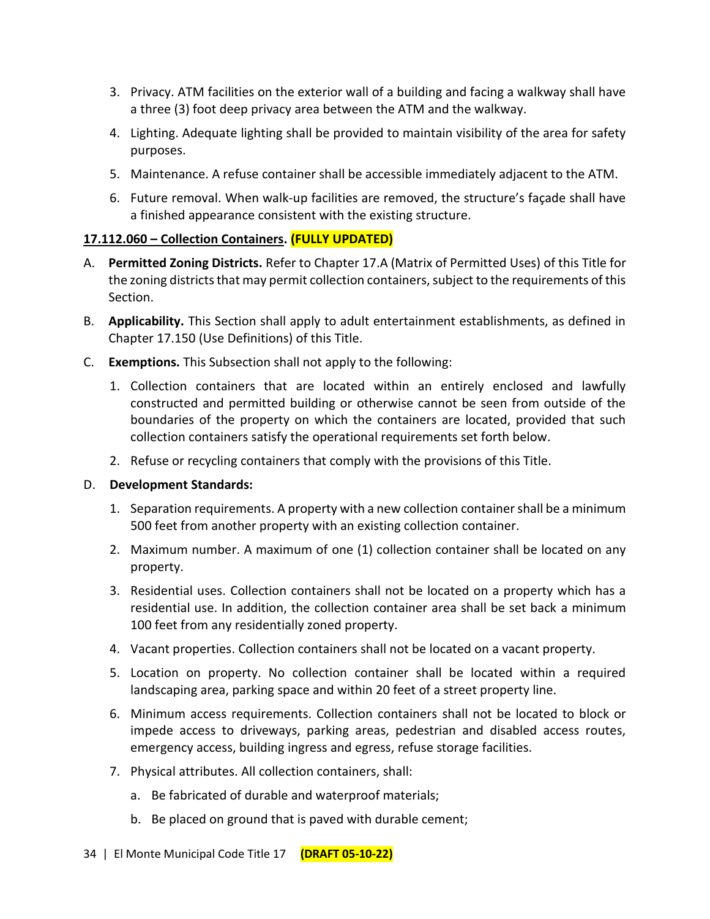- 3. Privacy. ATM facilities on the exterior wall of a building and facing a walkway shall have a three (3) foot deep privacy area between the ATM and the walkway.
- 4. Lighting. Adequate lighting shall be provided to maintain visibility of the area for safety purposes.
- 5. Maintenance. A refuse container shall be accessible immediately adjacent to the ATM.
- 6. Future removal. When walk-up facilities are removed, the structure's façade shall have a finished appearance consistent with the existing structure.

# **17.112.060 – Collection Containers. (FULLY UPDATED)**

- A. **Permitted Zoning Districts.** Refer to Chapter 17.A (Matrix of Permitted Uses) of this Title for the zoning districts that may permit collection containers, subject to the requirements of this Section.
- B. **Applicability.** This Section shall apply to adult entertainment establishments, as defined in Chapter 17.150 (Use Definitions) of this Title.
- C. **Exemptions.** This Subsection shall not apply to the following:
	- 1. Collection containers that are located within an entirely enclosed and lawfully constructed and permitted building or otherwise cannot be seen from outside of the boundaries of the property on which the containers are located, provided that such collection containers satisfy the operational requirements set forth below.
	- 2. Refuse or recycling containers that comply with the provisions of this Title.

## D. **Development Standards:**

- 1. Separation requirements. A property with a new collection container shall be a minimum 500 feet from another property with an existing collection container.
- 2. Maximum number. A maximum of one (1) collection container shall be located on any property.
- 3. Residential uses. Collection containers shall not be located on a property which has a residential use. In addition, the collection container area shall be set back a minimum 100 feet from any residentially zoned property.
- 4. Vacant properties. Collection containers shall not be located on a vacant property.
- 5. Location on property. No collection container shall be located within a required landscaping area, parking space and within 20 feet of a street property line.
- 6. Minimum access requirements. Collection containers shall not be located to block or impede access to driveways, parking areas, pedestrian and disabled access routes, emergency access, building ingress and egress, refuse storage facilities.
- 7. Physical attributes. All collection containers, shall:
	- a. Be fabricated of durable and waterproof materials;
	- b. Be placed on ground that is paved with durable cement;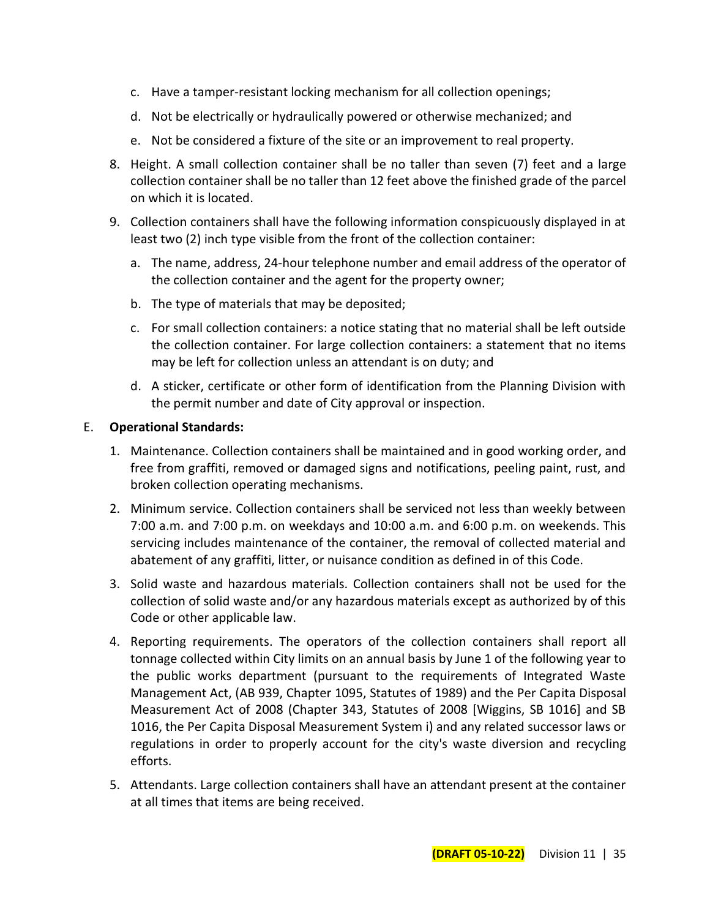- c. Have a tamper-resistant locking mechanism for all collection openings;
- d. Not be electrically or hydraulically powered or otherwise mechanized; and
- e. Not be considered a fixture of the site or an improvement to real property.
- 8. Height. A small collection container shall be no taller than seven (7) feet and a large collection container shall be no taller than 12 feet above the finished grade of the parcel on which it is located.
- 9. Collection containers shall have the following information conspicuously displayed in at least two (2) inch type visible from the front of the collection container:
	- a. The name, address, 24-hour telephone number and email address of the operator of the collection container and the agent for the property owner;
	- b. The type of materials that may be deposited;
	- c. For small collection containers: a notice stating that no material shall be left outside the collection container. For large collection containers: a statement that no items may be left for collection unless an attendant is on duty; and
	- d. A sticker, certificate or other form of identification from the Planning Division with the permit number and date of City approval or inspection.

#### E. **Operational Standards:**

- 1. Maintenance. Collection containers shall be maintained and in good working order, and free from graffiti, removed or damaged signs and notifications, peeling paint, rust, and broken collection operating mechanisms.
- 2. Minimum service. Collection containers shall be serviced not less than weekly between 7:00 a.m. and 7:00 p.m. on weekdays and 10:00 a.m. and 6:00 p.m. on weekends. This servicing includes maintenance of the container, the removal of collected material and abatement of any graffiti, litter, or nuisance condition as defined in of this Code.
- 3. Solid waste and hazardous materials. Collection containers shall not be used for the collection of solid waste and/or any hazardous materials except as authorized by of this Code or other applicable law.
- 4. Reporting requirements. The operators of the collection containers shall report all tonnage collected within City limits on an annual basis by June 1 of the following year to the public works department (pursuant to the requirements of Integrated Waste Management Act, (AB 939, Chapter 1095, Statutes of 1989) and the Per Capita Disposal Measurement Act of 2008 (Chapter 343, Statutes of 2008 [Wiggins, SB 1016] and SB 1016, the Per Capita Disposal Measurement System i) and any related successor laws or regulations in order to properly account for the city's waste diversion and recycling efforts.
- 5. Attendants. Large collection containers shall have an attendant present at the container at all times that items are being received.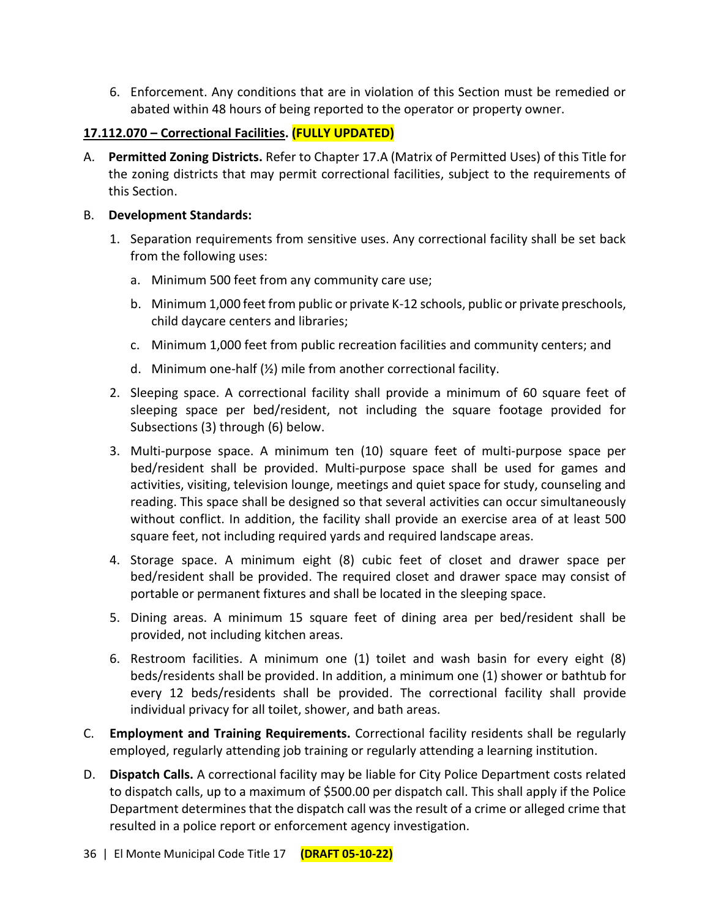6. Enforcement. Any conditions that are in violation of this Section must be remedied or abated within 48 hours of being reported to the operator or property owner.

## **17.112.070 – Correctional Facilities. (FULLY UPDATED)**

A. **Permitted Zoning Districts.** Refer to Chapter 17.A (Matrix of Permitted Uses) of this Title for the zoning districts that may permit correctional facilities, subject to the requirements of this Section.

#### B. **Development Standards:**

- 1. Separation requirements from sensitive uses. Any correctional facility shall be set back from the following uses:
	- a. Minimum 500 feet from any community care use;
	- b. Minimum 1,000 feet from public or private K-12 schools, public or private preschools, child daycare centers and libraries;
	- c. Minimum 1,000 feet from public recreation facilities and community centers; and
	- d. Minimum one-half (½) mile from another correctional facility.
- 2. Sleeping space. A correctional facility shall provide a minimum of 60 square feet of sleeping space per bed/resident, not including the square footage provided for Subsections (3) through (6) below.
- 3. Multi-purpose space. A minimum ten (10) square feet of multi-purpose space per bed/resident shall be provided. Multi-purpose space shall be used for games and activities, visiting, television lounge, meetings and quiet space for study, counseling and reading. This space shall be designed so that several activities can occur simultaneously without conflict. In addition, the facility shall provide an exercise area of at least 500 square feet, not including required yards and required landscape areas.
- 4. Storage space. A minimum eight (8) cubic feet of closet and drawer space per bed/resident shall be provided. The required closet and drawer space may consist of portable or permanent fixtures and shall be located in the sleeping space.
- 5. Dining areas. A minimum 15 square feet of dining area per bed/resident shall be provided, not including kitchen areas.
- 6. Restroom facilities. A minimum one (1) toilet and wash basin for every eight (8) beds/residents shall be provided. In addition, a minimum one (1) shower or bathtub for every 12 beds/residents shall be provided. The correctional facility shall provide individual privacy for all toilet, shower, and bath areas.
- C. **Employment and Training Requirements.** Correctional facility residents shall be regularly employed, regularly attending job training or regularly attending a learning institution.
- D. **Dispatch Calls.** A correctional facility may be liable for City Police Department costs related to dispatch calls, up to a maximum of \$500.00 per dispatch call. This shall apply if the Police Department determines that the dispatch call was the result of a crime or alleged crime that resulted in a police report or enforcement agency investigation.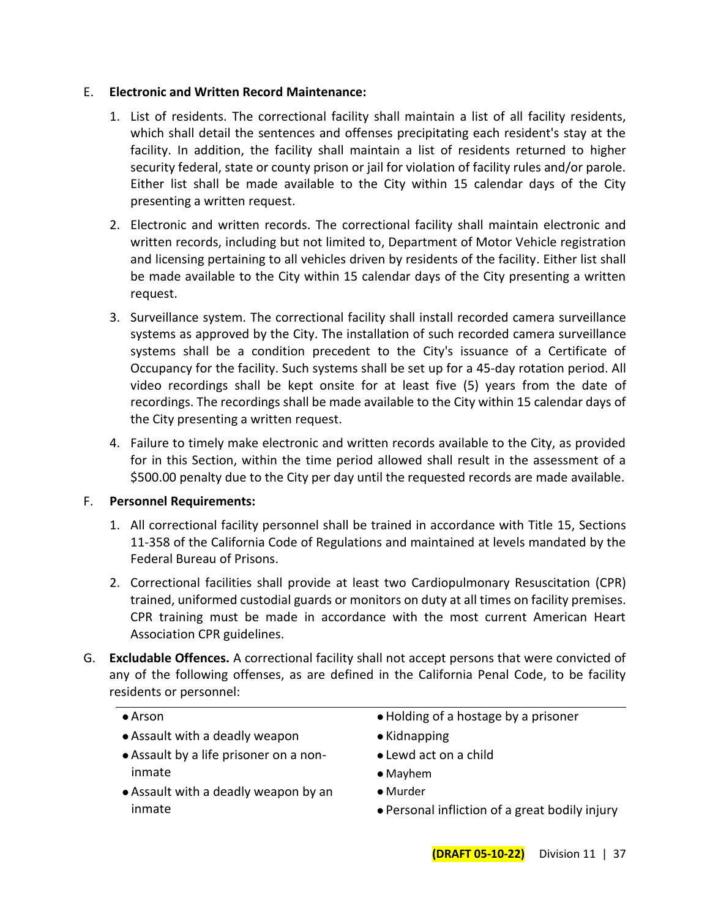#### E. **Electronic and Written Record Maintenance:**

- 1. List of residents. The correctional facility shall maintain a list of all facility residents, which shall detail the sentences and offenses precipitating each resident's stay at the facility. In addition, the facility shall maintain a list of residents returned to higher security federal, state or county prison or jail for violation of facility rules and/or parole. Either list shall be made available to the City within 15 calendar days of the City presenting a written request.
- 2. Electronic and written records. The correctional facility shall maintain electronic and written records, including but not limited to, Department of Motor Vehicle registration and licensing pertaining to all vehicles driven by residents of the facility. Either list shall be made available to the City within 15 calendar days of the City presenting a written request.
- 3. Surveillance system. The correctional facility shall install recorded camera surveillance systems as approved by the City. The installation of such recorded camera surveillance systems shall be a condition precedent to the City's issuance of a Certificate of Occupancy for the facility. Such systems shall be set up for a 45-day rotation period. All video recordings shall be kept onsite for at least five (5) years from the date of recordings. The recordings shall be made available to the City within 15 calendar days of the City presenting a written request.
- 4. Failure to timely make electronic and written records available to the City, as provided for in this Section, within the time period allowed shall result in the assessment of a \$500.00 penalty due to the City per day until the requested records are made available.

#### F. **Personnel Requirements:**

- 1. All correctional facility personnel shall be trained in accordance with Title 15, Sections 11-358 of the California Code of Regulations and maintained at levels mandated by the Federal Bureau of Prisons.
- 2. Correctional facilities shall provide at least two Cardiopulmonary Resuscitation (CPR) trained, uniformed custodial guards or monitors on duty at all times on facility premises. CPR training must be made in accordance with the most current American Heart Association CPR guidelines.
- G. **Excludable Offences.** A correctional facility shall not accept persons that were convicted of any of the following offenses, as are defined in the California Penal Code, to be facility residents or personnel:

#### ⚫ Arson

- ⚫ Assault with a deadly weapon
- ⚫ Assault by a life prisoner on a noninmate
- ⚫ Assault with a deadly weapon by an inmate
- ⚫ Holding of a hostage by a prisoner
- ⚫ Kidnapping
- ⚫ Lewd act on a child
- ⚫ Mayhem
- ⚫ Murder
- ⚫ Personal infliction of a great bodily injury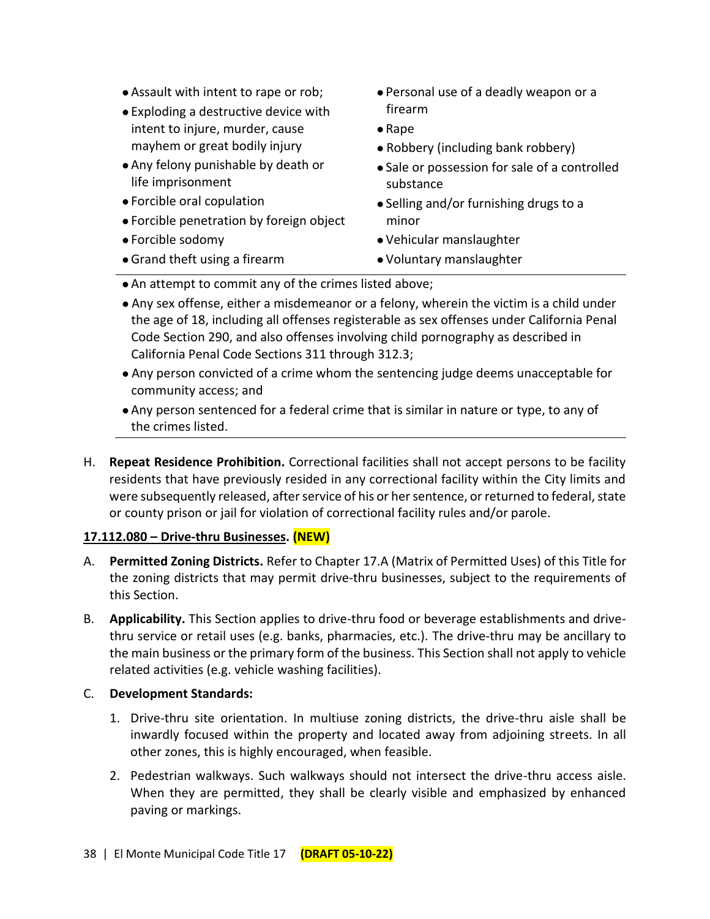- ⚫ Assault with intent to rape or rob;
- ⚫ Exploding a destructive device with intent to injure, murder, cause mayhem or great bodily injury
- ⚫ Any felony punishable by death or life imprisonment
- ⚫ Forcible oral copulation
- ⚫ Forcible penetration by foreign object
- ⚫ Forcible sodomy
- ⚫ Grand theft using a firearm
- ⚫ Personal use of a deadly weapon or a firearm
- ⚫ Rape
- ⚫ Robbery (including bank robbery)
- ⚫ Sale or possession for sale of a controlled substance
- ⚫ Selling and/or furnishing drugs to a minor
- ⚫ Vehicular manslaughter
- ⚫ Voluntary manslaughter
- ⚫ An attempt to commit any of the crimes listed above;
- ⚫ Any sex offense, either a misdemeanor or a felony, wherein the victim is a child under the age of 18, including all offenses registerable as sex offenses under California Penal Code Section 290, and also offenses involving child pornography as described in California Penal Code Sections 311 through 312.3;
- ⚫ Any person convicted of a crime whom the sentencing judge deems unacceptable for community access; and
- ⚫ Any person sentenced for a federal crime that is similar in nature or type, to any of the crimes listed.
- H. **Repeat Residence Prohibition.** Correctional facilities shall not accept persons to be facility residents that have previously resided in any correctional facility within the City limits and were subsequently released, after service of his or her sentence, or returned to federal, state or county prison or jail for violation of correctional facility rules and/or parole.

## **17.112.080 – Drive-thru Businesses. (NEW)**

- A. **Permitted Zoning Districts.** Refer to Chapter 17.A (Matrix of Permitted Uses) of this Title for the zoning districts that may permit drive-thru businesses, subject to the requirements of this Section.
- B. **Applicability.** This Section applies to drive-thru food or beverage establishments and drivethru service or retail uses (e.g. banks, pharmacies, etc.). The drive-thru may be ancillary to the main business or the primary form of the business. This Section shall not apply to vehicle related activities (e.g. vehicle washing facilities).
- C. **Development Standards:**
	- 1. Drive-thru site orientation. In multiuse zoning districts, the drive-thru aisle shall be inwardly focused within the property and located away from adjoining streets. In all other zones, this is highly encouraged, when feasible.
	- 2. Pedestrian walkways. Such walkways should not intersect the drive-thru access aisle. When they are permitted, they shall be clearly visible and emphasized by enhanced paving or markings.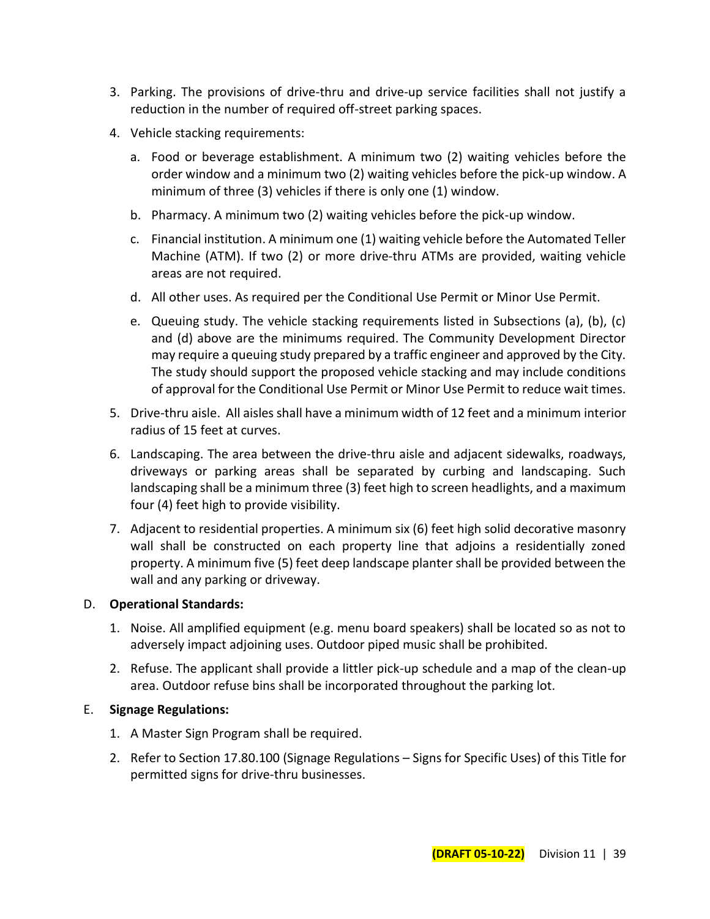- 3. Parking. The provisions of drive-thru and drive-up service facilities shall not justify a reduction in the number of required off-street parking spaces.
- 4. Vehicle stacking requirements:
	- a. Food or beverage establishment. A minimum two (2) waiting vehicles before the order window and a minimum two (2) waiting vehicles before the pick-up window. A minimum of three (3) vehicles if there is only one (1) window.
	- b. Pharmacy. A minimum two (2) waiting vehicles before the pick-up window.
	- c. Financial institution. A minimum one (1) waiting vehicle before the Automated Teller Machine (ATM). If two (2) or more drive-thru ATMs are provided, waiting vehicle areas are not required.
	- d. All other uses. As required per the Conditional Use Permit or Minor Use Permit.
	- e. Queuing study. The vehicle stacking requirements listed in Subsections (a), (b), (c) and (d) above are the minimums required. The Community Development Director may require a queuing study prepared by a traffic engineer and approved by the City. The study should support the proposed vehicle stacking and may include conditions of approval for the Conditional Use Permit or Minor Use Permit to reduce wait times.
- 5. Drive-thru aisle. All aisles shall have a minimum width of 12 feet and a minimum interior radius of 15 feet at curves.
- 6. Landscaping. The area between the drive-thru aisle and adjacent sidewalks, roadways, driveways or parking areas shall be separated by curbing and landscaping. Such landscaping shall be a minimum three (3) feet high to screen headlights, and a maximum four (4) feet high to provide visibility.
- 7. Adjacent to residential properties. A minimum six (6) feet high solid decorative masonry wall shall be constructed on each property line that adjoins a residentially zoned property. A minimum five (5) feet deep landscape planter shall be provided between the wall and any parking or driveway.

#### D. **Operational Standards:**

- 1. Noise. All amplified equipment (e.g. menu board speakers) shall be located so as not to adversely impact adjoining uses. Outdoor piped music shall be prohibited.
- 2. Refuse. The applicant shall provide a littler pick-up schedule and a map of the clean-up area. Outdoor refuse bins shall be incorporated throughout the parking lot.

#### E. **Signage Regulations:**

- 1. A Master Sign Program shall be required.
- 2. Refer to Section 17.80.100 (Signage Regulations Signs for Specific Uses) of this Title for permitted signs for drive-thru businesses.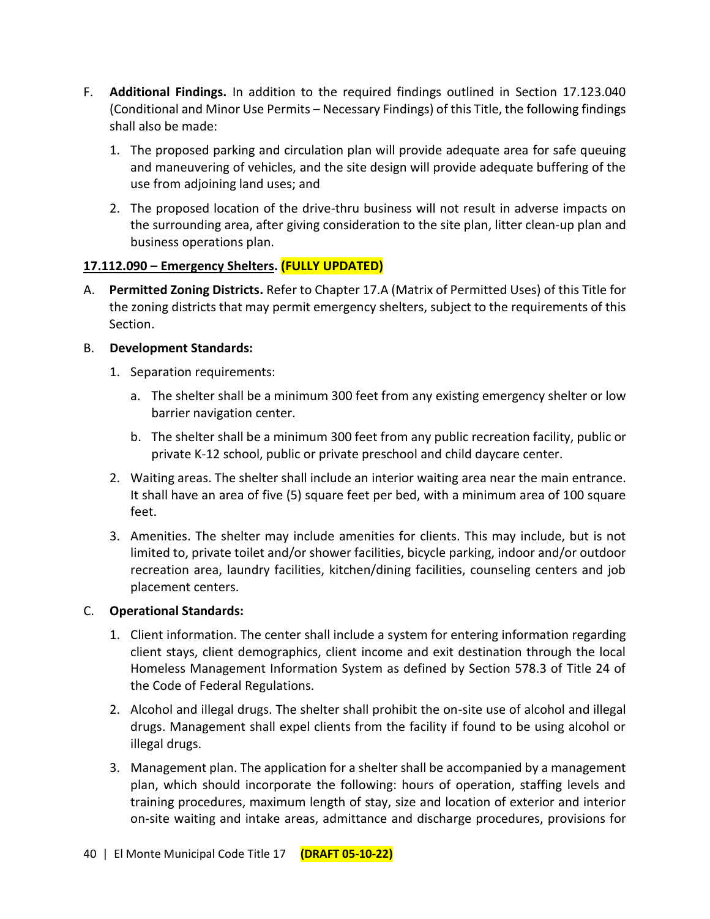- F. **Additional Findings.** In addition to the required findings outlined in Section 17.123.040 (Conditional and Minor Use Permits – Necessary Findings) of this Title, the following findings shall also be made:
	- 1. The proposed parking and circulation plan will provide adequate area for safe queuing and maneuvering of vehicles, and the site design will provide adequate buffering of the use from adjoining land uses; and
	- 2. The proposed location of the drive-thru business will not result in adverse impacts on the surrounding area, after giving consideration to the site plan, litter clean-up plan and business operations plan.

## **17.112.090 – Emergency Shelters. (FULLY UPDATED)**

A. **Permitted Zoning Districts.** Refer to Chapter 17.A (Matrix of Permitted Uses) of this Title for the zoning districts that may permit emergency shelters, subject to the requirements of this Section.

## B. **Development Standards:**

- 1. Separation requirements:
	- a. The shelter shall be a minimum 300 feet from any existing emergency shelter or low barrier navigation center.
	- b. The shelter shall be a minimum 300 feet from any public recreation facility, public or private K-12 school, public or private preschool and child daycare center.
- 2. Waiting areas. The shelter shall include an interior waiting area near the main entrance. It shall have an area of five (5) square feet per bed, with a minimum area of 100 square feet.
- 3. Amenities. The shelter may include amenities for clients. This may include, but is not limited to, private toilet and/or shower facilities, bicycle parking, indoor and/or outdoor recreation area, laundry facilities, kitchen/dining facilities, counseling centers and job placement centers.

## C. **Operational Standards:**

- 1. Client information. The center shall include a system for entering information regarding client stays, client demographics, client income and exit destination through the local Homeless Management Information System as defined by Section 578.3 of Title 24 of the Code of Federal Regulations.
- 2. Alcohol and illegal drugs. The shelter shall prohibit the on-site use of alcohol and illegal drugs. Management shall expel clients from the facility if found to be using alcohol or illegal drugs.
- 3. Management plan. The application for a shelter shall be accompanied by a management plan, which should incorporate the following: hours of operation, staffing levels and training procedures, maximum length of stay, size and location of exterior and interior on-site waiting and intake areas, admittance and discharge procedures, provisions for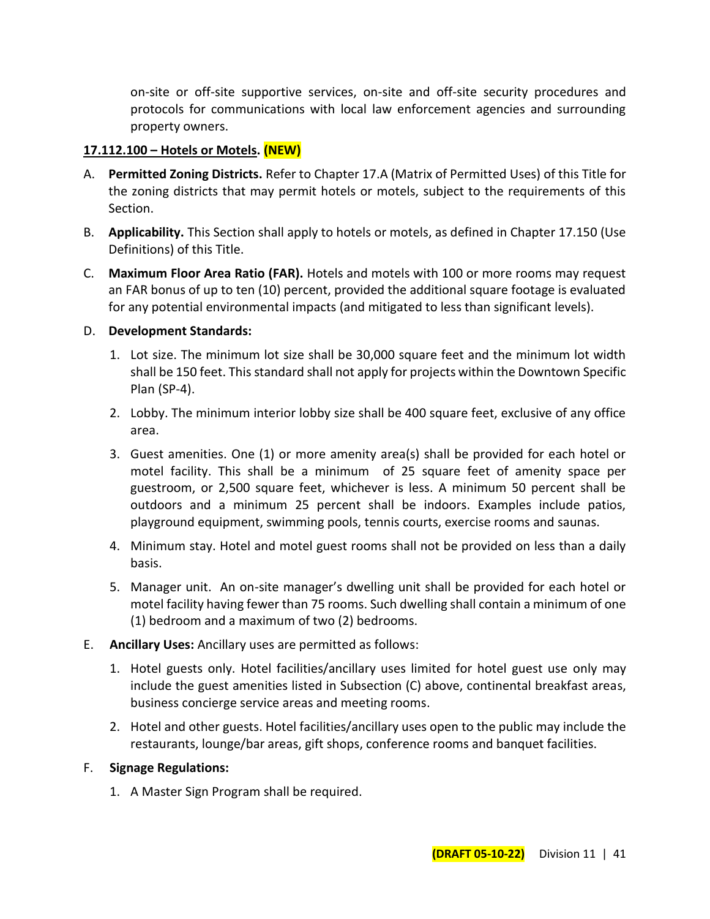on-site or off-site supportive services, on-site and off-site security procedures and protocols for communications with local law enforcement agencies and surrounding property owners.

#### **17.112.100 – Hotels or Motels. (NEW)**

- A. **Permitted Zoning Districts.** Refer to Chapter 17.A (Matrix of Permitted Uses) of this Title for the zoning districts that may permit hotels or motels, subject to the requirements of this Section.
- B. **Applicability.** This Section shall apply to hotels or motels, as defined in Chapter 17.150 (Use Definitions) of this Title.
- C. **Maximum Floor Area Ratio (FAR).** Hotels and motels with 100 or more rooms may request an FAR bonus of up to ten (10) percent, provided the additional square footage is evaluated for any potential environmental impacts (and mitigated to less than significant levels).

#### D. **Development Standards:**

- 1. Lot size. The minimum lot size shall be 30,000 square feet and the minimum lot width shall be 150 feet. This standard shall not apply for projects within the Downtown Specific Plan (SP-4).
- 2. Lobby. The minimum interior lobby size shall be 400 square feet, exclusive of any office area.
- 3. Guest amenities. One (1) or more amenity area(s) shall be provided for each hotel or motel facility. This shall be a minimum of 25 square feet of amenity space per guestroom, or 2,500 square feet, whichever is less. A minimum 50 percent shall be outdoors and a minimum 25 percent shall be indoors. Examples include patios, playground equipment, swimming pools, tennis courts, exercise rooms and saunas.
- 4. Minimum stay. Hotel and motel guest rooms shall not be provided on less than a daily basis.
- 5. Manager unit. An on-site manager's dwelling unit shall be provided for each hotel or motel facility having fewer than 75 rooms. Such dwelling shall contain a minimum of one (1) bedroom and a maximum of two (2) bedrooms.
- E. **Ancillary Uses:** Ancillary uses are permitted as follows:
	- 1. Hotel guests only. Hotel facilities/ancillary uses limited for hotel guest use only may include the guest amenities listed in Subsection (C) above, continental breakfast areas, business concierge service areas and meeting rooms.
	- 2. Hotel and other guests. Hotel facilities/ancillary uses open to the public may include the restaurants, lounge/bar areas, gift shops, conference rooms and banquet facilities.

#### F. **Signage Regulations:**

1. A Master Sign Program shall be required.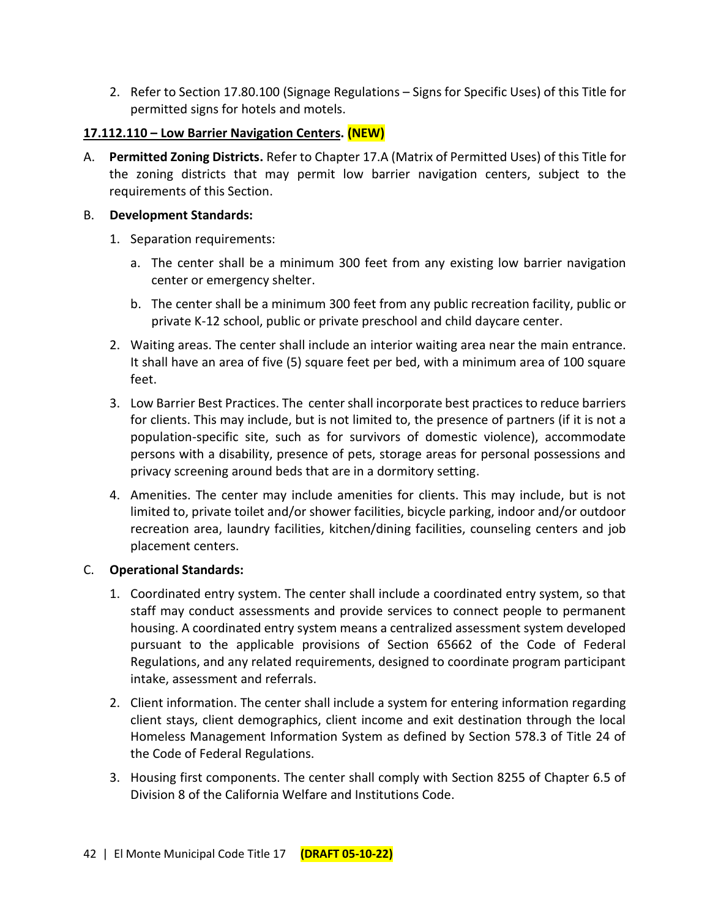2. Refer to Section 17.80.100 (Signage Regulations – Signs for Specific Uses) of this Title for permitted signs for hotels and motels.

## **17.112.110 – Low Barrier Navigation Centers. (NEW)**

A. **Permitted Zoning Districts.** Refer to Chapter 17.A (Matrix of Permitted Uses) of this Title for the zoning districts that may permit low barrier navigation centers, subject to the requirements of this Section.

#### B. **Development Standards:**

- 1. Separation requirements:
	- a. The center shall be a minimum 300 feet from any existing low barrier navigation center or emergency shelter.
	- b. The center shall be a minimum 300 feet from any public recreation facility, public or private K-12 school, public or private preschool and child daycare center.
- 2. Waiting areas. The center shall include an interior waiting area near the main entrance. It shall have an area of five (5) square feet per bed, with a minimum area of 100 square feet.
- 3. Low Barrier Best Practices. The center shall incorporate best practices to reduce barriers for clients. This may include, but is not limited to, the presence of partners (if it is not a population-specific site, such as for survivors of domestic violence), accommodate persons with a disability, presence of pets, storage areas for personal possessions and privacy screening around beds that are in a dormitory setting.
- 4. Amenities. The center may include amenities for clients. This may include, but is not limited to, private toilet and/or shower facilities, bicycle parking, indoor and/or outdoor recreation area, laundry facilities, kitchen/dining facilities, counseling centers and job placement centers.

## C. **Operational Standards:**

- 1. Coordinated entry system. The center shall include a coordinated entry system, so that staff may conduct assessments and provide services to connect people to permanent housing. A coordinated entry system means a centralized assessment system developed pursuant to the applicable provisions of Section 65662 of the Code of Federal Regulations, and any related requirements, designed to coordinate program participant intake, assessment and referrals.
- 2. Client information. The center shall include a system for entering information regarding client stays, client demographics, client income and exit destination through the local Homeless Management Information System as defined by Section 578.3 of Title 24 of the Code of Federal Regulations.
- 3. Housing first components. The center shall comply with Section 8255 of Chapter 6.5 of Division 8 of the California Welfare and Institutions Code.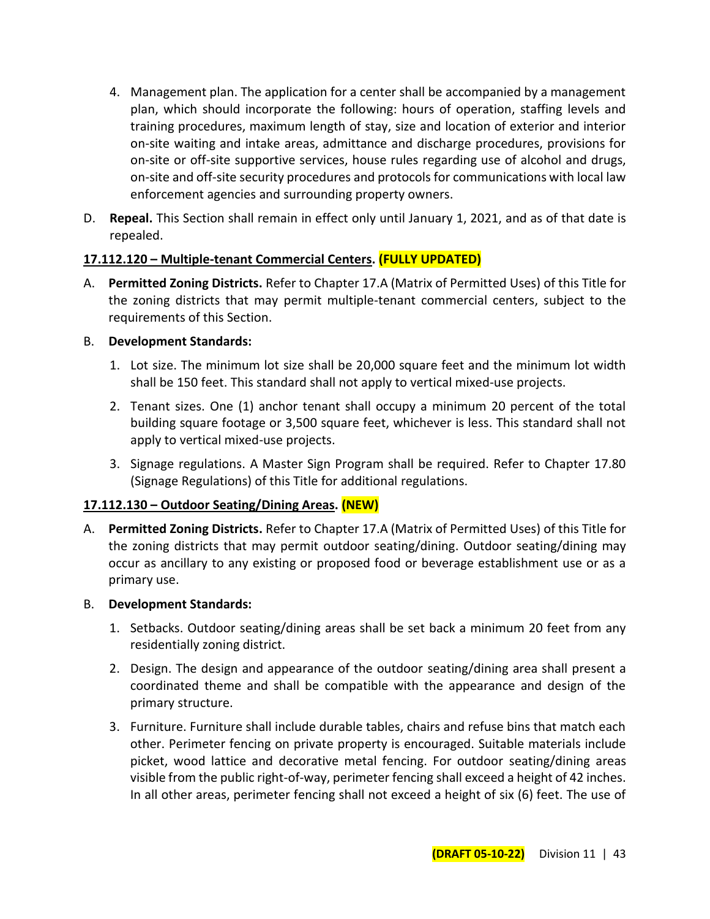- 4. Management plan. The application for a center shall be accompanied by a management plan, which should incorporate the following: hours of operation, staffing levels and training procedures, maximum length of stay, size and location of exterior and interior on-site waiting and intake areas, admittance and discharge procedures, provisions for on-site or off-site supportive services, house rules regarding use of alcohol and drugs, on-site and off-site security procedures and protocols for communications with local law enforcement agencies and surrounding property owners.
- D. **Repeal.** This Section shall remain in effect only until January 1, 2021, and as of that date is repealed.

## **17.112.120 – Multiple-tenant Commercial Centers. (FULLY UPDATED)**

A. **Permitted Zoning Districts.** Refer to Chapter 17.A (Matrix of Permitted Uses) of this Title for the zoning districts that may permit multiple-tenant commercial centers, subject to the requirements of this Section.

## B. **Development Standards:**

- 1. Lot size. The minimum lot size shall be 20,000 square feet and the minimum lot width shall be 150 feet. This standard shall not apply to vertical mixed-use projects.
- 2. Tenant sizes. One (1) anchor tenant shall occupy a minimum 20 percent of the total building square footage or 3,500 square feet, whichever is less. This standard shall not apply to vertical mixed-use projects.
- 3. Signage regulations. A Master Sign Program shall be required. Refer to Chapter 17.80 (Signage Regulations) of this Title for additional regulations.

## **17.112.130 – Outdoor Seating/Dining Areas. (NEW)**

A. **Permitted Zoning Districts.** Refer to Chapter 17.A (Matrix of Permitted Uses) of this Title for the zoning districts that may permit outdoor seating/dining. Outdoor seating/dining may occur as ancillary to any existing or proposed food or beverage establishment use or as a primary use.

## B. **Development Standards:**

- 1. Setbacks. Outdoor seating/dining areas shall be set back a minimum 20 feet from any residentially zoning district.
- 2. Design. The design and appearance of the outdoor seating/dining area shall present a coordinated theme and shall be compatible with the appearance and design of the primary structure.
- 3. Furniture. Furniture shall include durable tables, chairs and refuse bins that match each other. Perimeter fencing on private property is encouraged. Suitable materials include picket, wood lattice and decorative metal fencing. For outdoor seating/dining areas visible from the public right-of-way, perimeter fencing shall exceed a height of 42 inches. In all other areas, perimeter fencing shall not exceed a height of six (6) feet. The use of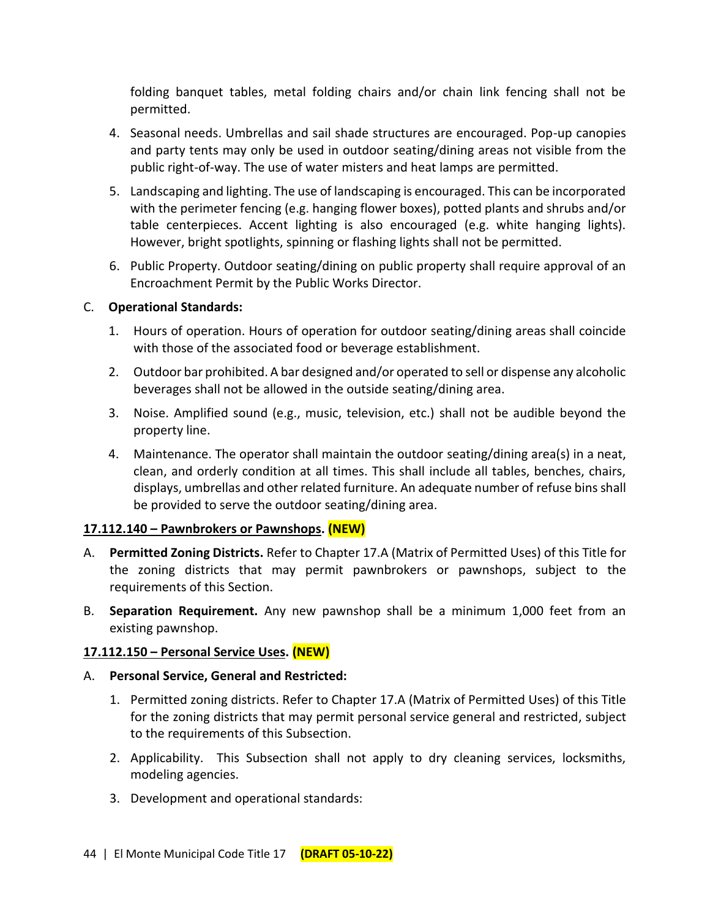folding banquet tables, metal folding chairs and/or chain link fencing shall not be permitted.

- 4. Seasonal needs. Umbrellas and sail shade structures are encouraged. Pop-up canopies and party tents may only be used in outdoor seating/dining areas not visible from the public right-of-way. The use of water misters and heat lamps are permitted.
- 5. Landscaping and lighting. The use of landscaping is encouraged. This can be incorporated with the perimeter fencing (e.g. hanging flower boxes), potted plants and shrubs and/or table centerpieces. Accent lighting is also encouraged (e.g. white hanging lights). However, bright spotlights, spinning or flashing lights shall not be permitted.
- 6. Public Property. Outdoor seating/dining on public property shall require approval of an Encroachment Permit by the Public Works Director.

#### C. **Operational Standards:**

- 1. Hours of operation. Hours of operation for outdoor seating/dining areas shall coincide with those of the associated food or beverage establishment.
- 2. Outdoor bar prohibited. A bar designed and/or operated to sell or dispense any alcoholic beverages shall not be allowed in the outside seating/dining area.
- 3. Noise. Amplified sound (e.g., music, television, etc.) shall not be audible beyond the property line.
- 4. Maintenance. The operator shall maintain the outdoor seating/dining area(s) in a neat, clean, and orderly condition at all times. This shall include all tables, benches, chairs, displays, umbrellas and other related furniture. An adequate number of refuse bins shall be provided to serve the outdoor seating/dining area.

## **17.112.140 – Pawnbrokers or Pawnshops. (NEW)**

- A. **Permitted Zoning Districts.** Refer to Chapter 17.A (Matrix of Permitted Uses) of this Title for the zoning districts that may permit pawnbrokers or pawnshops, subject to the requirements of this Section.
- B. **Separation Requirement.** Any new pawnshop shall be a minimum 1,000 feet from an existing pawnshop.

## **17.112.150 – Personal Service Uses. (NEW)**

## A. **Personal Service, General and Restricted:**

- 1. Permitted zoning districts. Refer to Chapter 17.A (Matrix of Permitted Uses) of this Title for the zoning districts that may permit personal service general and restricted, subject to the requirements of this Subsection.
- 2. Applicability. This Subsection shall not apply to dry cleaning services, locksmiths, modeling agencies.
- 3. Development and operational standards: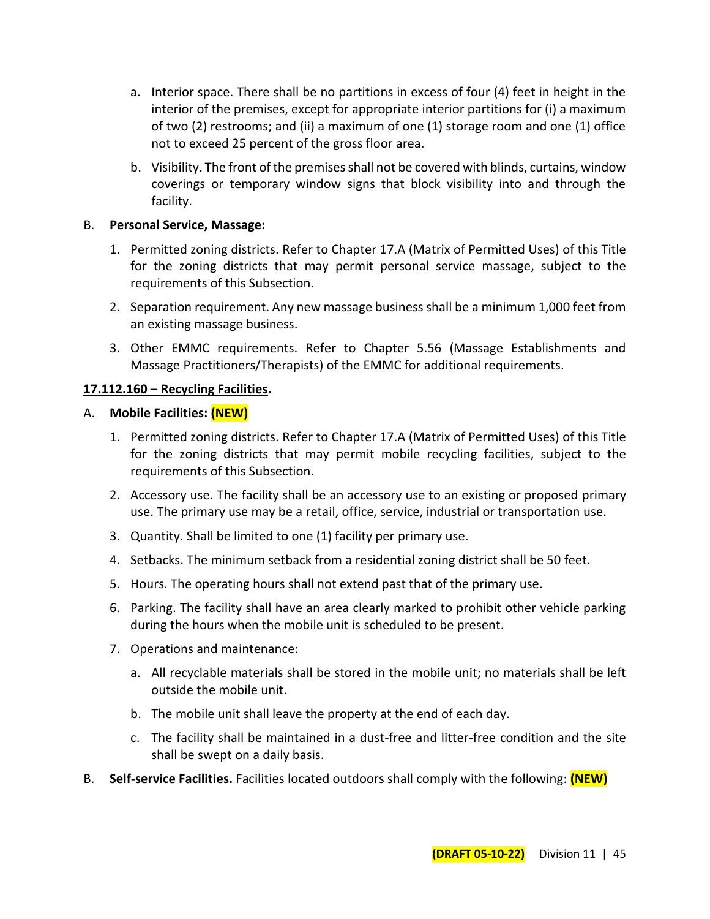- a. Interior space. There shall be no partitions in excess of four (4) feet in height in the interior of the premises, except for appropriate interior partitions for (i) a maximum of two (2) restrooms; and (ii) a maximum of one (1) storage room and one (1) office not to exceed 25 percent of the gross floor area.
- b. Visibility. The front of the premises shall not be covered with blinds, curtains, window coverings or temporary window signs that block visibility into and through the facility.

#### B. **Personal Service, Massage:**

- 1. Permitted zoning districts. Refer to Chapter 17.A (Matrix of Permitted Uses) of this Title for the zoning districts that may permit personal service massage, subject to the requirements of this Subsection.
- 2. Separation requirement. Any new massage business shall be a minimum 1,000 feet from an existing massage business.
- 3. Other EMMC requirements. Refer to Chapter 5.56 (Massage Establishments and Massage Practitioners/Therapists) of the EMMC for additional requirements.

## **17.112.160 – Recycling Facilities.**

#### A. **Mobile Facilities: (NEW)**

- 1. Permitted zoning districts. Refer to Chapter 17.A (Matrix of Permitted Uses) of this Title for the zoning districts that may permit mobile recycling facilities, subject to the requirements of this Subsection.
- 2. Accessory use. The facility shall be an accessory use to an existing or proposed primary use. The primary use may be a retail, office, service, industrial or transportation use.
- 3. Quantity. Shall be limited to one (1) facility per primary use.
- 4. Setbacks. The minimum setback from a residential zoning district shall be 50 feet.
- 5. Hours. The operating hours shall not extend past that of the primary use.
- 6. Parking. The facility shall have an area clearly marked to prohibit other vehicle parking during the hours when the mobile unit is scheduled to be present.
- 7. Operations and maintenance:
	- a. All recyclable materials shall be stored in the mobile unit; no materials shall be left outside the mobile unit.
	- b. The mobile unit shall leave the property at the end of each day.
	- c. The facility shall be maintained in a dust-free and litter-free condition and the site shall be swept on a daily basis.
- B. **Self-service Facilities.** Facilities located outdoors shall comply with the following: **(NEW)**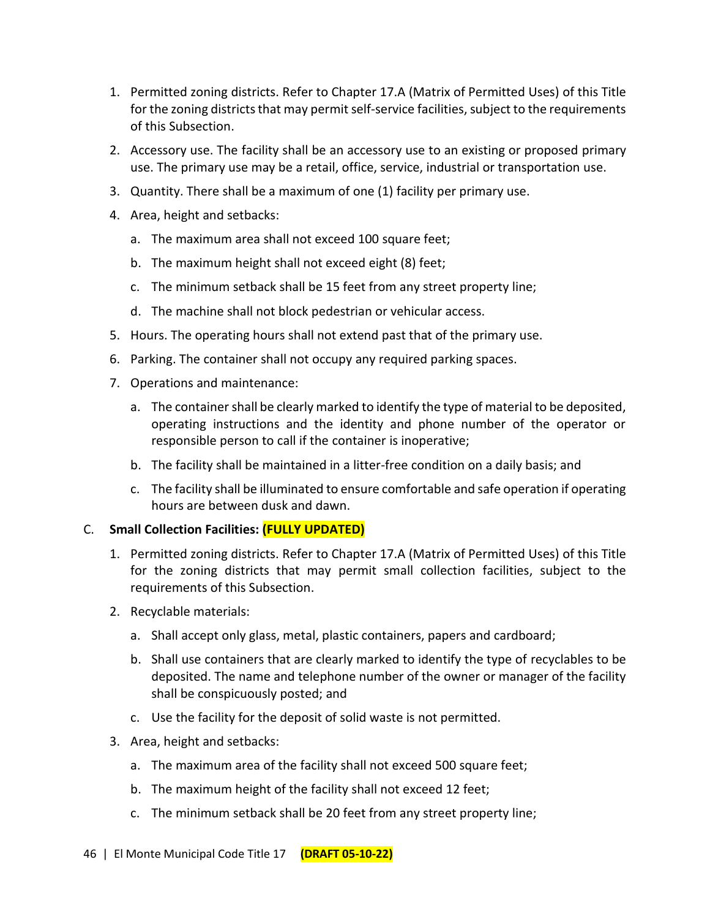- 1. Permitted zoning districts. Refer to Chapter 17.A (Matrix of Permitted Uses) of this Title for the zoning districts that may permit self-service facilities, subject to the requirements of this Subsection.
- 2. Accessory use. The facility shall be an accessory use to an existing or proposed primary use. The primary use may be a retail, office, service, industrial or transportation use.
- 3. Quantity. There shall be a maximum of one (1) facility per primary use.
- 4. Area, height and setbacks:
	- a. The maximum area shall not exceed 100 square feet;
	- b. The maximum height shall not exceed eight (8) feet;
	- c. The minimum setback shall be 15 feet from any street property line;
	- d. The machine shall not block pedestrian or vehicular access.
- 5. Hours. The operating hours shall not extend past that of the primary use.
- 6. Parking. The container shall not occupy any required parking spaces.
- 7. Operations and maintenance:
	- a. The container shall be clearly marked to identify the type of material to be deposited, operating instructions and the identity and phone number of the operator or responsible person to call if the container is inoperative;
	- b. The facility shall be maintained in a litter-free condition on a daily basis; and
	- c. The facility shall be illuminated to ensure comfortable and safe operation if operating hours are between dusk and dawn.

# C. **Small Collection Facilities: (FULLY UPDATED)**

- 1. Permitted zoning districts. Refer to Chapter 17.A (Matrix of Permitted Uses) of this Title for the zoning districts that may permit small collection facilities, subject to the requirements of this Subsection.
- 2. Recyclable materials:
	- a. Shall accept only glass, metal, plastic containers, papers and cardboard;
	- b. Shall use containers that are clearly marked to identify the type of recyclables to be deposited. The name and telephone number of the owner or manager of the facility shall be conspicuously posted; and
	- c. Use the facility for the deposit of solid waste is not permitted.
- 3. Area, height and setbacks:
	- a. The maximum area of the facility shall not exceed 500 square feet;
	- b. The maximum height of the facility shall not exceed 12 feet;
	- c. The minimum setback shall be 20 feet from any street property line;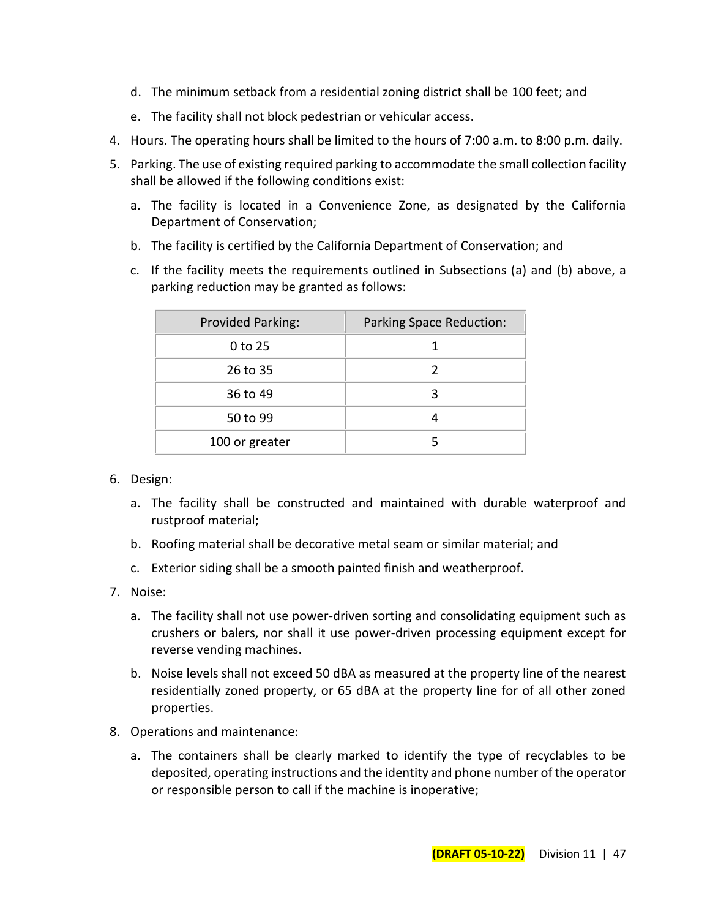- d. The minimum setback from a residential zoning district shall be 100 feet; and
- e. The facility shall not block pedestrian or vehicular access.
- 4. Hours. The operating hours shall be limited to the hours of 7:00 a.m. to 8:00 p.m. daily.
- 5. Parking. The use of existing required parking to accommodate the small collection facility shall be allowed if the following conditions exist:
	- a. The facility is located in a Convenience Zone, as designated by the California Department of Conservation;
	- b. The facility is certified by the California Department of Conservation; and
	- c. If the facility meets the requirements outlined in Subsections (a) and (b) above, a parking reduction may be granted as follows:

| Provided Parking: | <b>Parking Space Reduction:</b> |
|-------------------|---------------------------------|
| 0 to 25           |                                 |
| 26 to 35          | 2                               |
| 36 to 49          | 3                               |
| 50 to 99          | 4                               |
| 100 or greater    |                                 |

- 6. Design:
	- a. The facility shall be constructed and maintained with durable waterproof and rustproof material;
	- b. Roofing material shall be decorative metal seam or similar material; and
	- c. Exterior siding shall be a smooth painted finish and weatherproof.
- 7. Noise:
	- a. The facility shall not use power-driven sorting and consolidating equipment such as crushers or balers, nor shall it use power-driven processing equipment except for reverse vending machines.
	- b. Noise levels shall not exceed 50 dBA as measured at the property line of the nearest residentially zoned property, or 65 dBA at the property line for of all other zoned properties.
- 8. Operations and maintenance:
	- a. The containers shall be clearly marked to identify the type of recyclables to be deposited, operating instructions and the identity and phone number of the operator or responsible person to call if the machine is inoperative;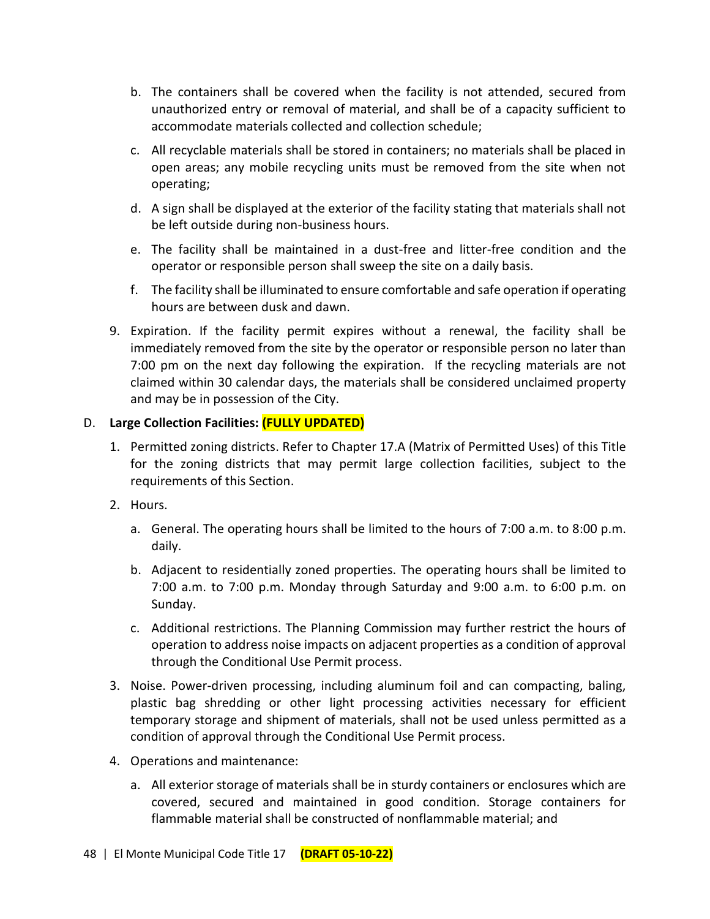- b. The containers shall be covered when the facility is not attended, secured from unauthorized entry or removal of material, and shall be of a capacity sufficient to accommodate materials collected and collection schedule;
- c. All recyclable materials shall be stored in containers; no materials shall be placed in open areas; any mobile recycling units must be removed from the site when not operating;
- d. A sign shall be displayed at the exterior of the facility stating that materials shall not be left outside during non-business hours.
- e. The facility shall be maintained in a dust-free and litter-free condition and the operator or responsible person shall sweep the site on a daily basis.
- f. The facility shall be illuminated to ensure comfortable and safe operation if operating hours are between dusk and dawn.
- 9. Expiration. If the facility permit expires without a renewal, the facility shall be immediately removed from the site by the operator or responsible person no later than 7:00 pm on the next day following the expiration. If the recycling materials are not claimed within 30 calendar days, the materials shall be considered unclaimed property and may be in possession of the City.

## D. **Large Collection Facilities: (FULLY UPDATED)**

- 1. Permitted zoning districts. Refer to Chapter 17.A (Matrix of Permitted Uses) of this Title for the zoning districts that may permit large collection facilities, subject to the requirements of this Section.
- 2. Hours.
	- a. General. The operating hours shall be limited to the hours of 7:00 a.m. to 8:00 p.m. daily.
	- b. Adjacent to residentially zoned properties. The operating hours shall be limited to 7:00 a.m. to 7:00 p.m. Monday through Saturday and 9:00 a.m. to 6:00 p.m. on Sunday.
	- c. Additional restrictions. The Planning Commission may further restrict the hours of operation to address noise impacts on adjacent properties as a condition of approval through the Conditional Use Permit process.
- 3. Noise. Power-driven processing, including aluminum foil and can compacting, baling, plastic bag shredding or other light processing activities necessary for efficient temporary storage and shipment of materials, shall not be used unless permitted as a condition of approval through the Conditional Use Permit process.
- 4. Operations and maintenance:
	- a. All exterior storage of materials shall be in sturdy containers or enclosures which are covered, secured and maintained in good condition. Storage containers for flammable material shall be constructed of nonflammable material; and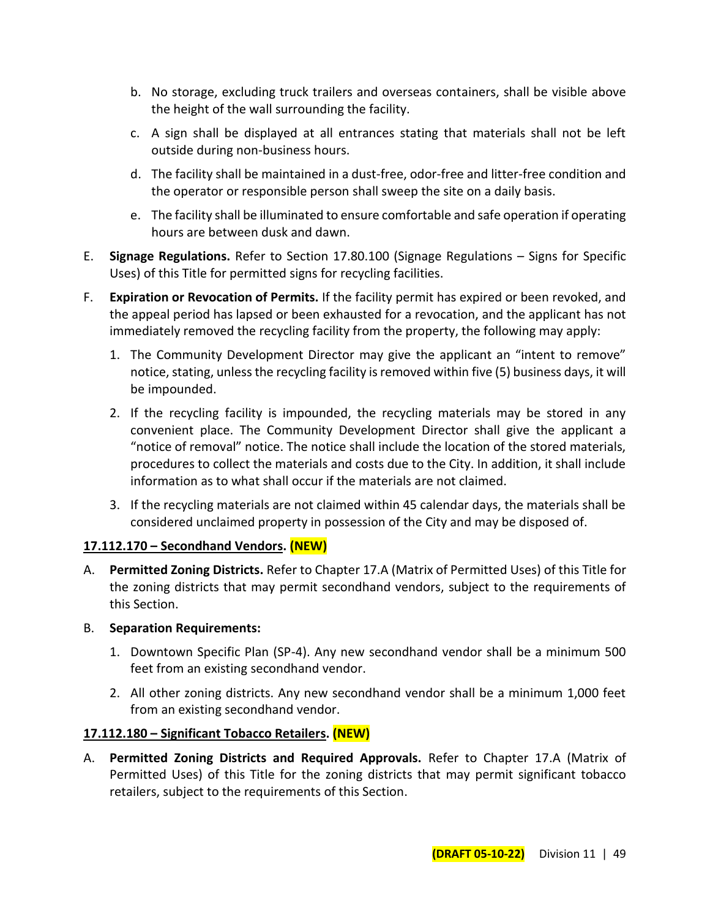- b. No storage, excluding truck trailers and overseas containers, shall be visible above the height of the wall surrounding the facility.
- c. A sign shall be displayed at all entrances stating that materials shall not be left outside during non-business hours.
- d. The facility shall be maintained in a dust-free, odor-free and litter-free condition and the operator or responsible person shall sweep the site on a daily basis.
- e. The facility shall be illuminated to ensure comfortable and safe operation if operating hours are between dusk and dawn.
- E. **Signage Regulations.** Refer to Section 17.80.100 (Signage Regulations Signs for Specific Uses) of this Title for permitted signs for recycling facilities.
- F. **Expiration or Revocation of Permits.** If the facility permit has expired or been revoked, and the appeal period has lapsed or been exhausted for a revocation, and the applicant has not immediately removed the recycling facility from the property, the following may apply:
	- 1. The Community Development Director may give the applicant an "intent to remove" notice, stating, unless the recycling facility is removed within five (5) business days, it will be impounded.
	- 2. If the recycling facility is impounded, the recycling materials may be stored in any convenient place. The Community Development Director shall give the applicant a "notice of removal" notice. The notice shall include the location of the stored materials, procedures to collect the materials and costs due to the City. In addition, it shall include information as to what shall occur if the materials are not claimed.
	- 3. If the recycling materials are not claimed within 45 calendar days, the materials shall be considered unclaimed property in possession of the City and may be disposed of.

# **17.112.170 – Secondhand Vendors. (NEW)**

- A. **Permitted Zoning Districts.** Refer to Chapter 17.A (Matrix of Permitted Uses) of this Title for the zoning districts that may permit secondhand vendors, subject to the requirements of this Section.
- B. **Separation Requirements:**
	- 1. Downtown Specific Plan (SP-4). Any new secondhand vendor shall be a minimum 500 feet from an existing secondhand vendor.
	- 2. All other zoning districts. Any new secondhand vendor shall be a minimum 1,000 feet from an existing secondhand vendor.

# **17.112.180 – Significant Tobacco Retailers. (NEW)**

A. **Permitted Zoning Districts and Required Approvals.** Refer to Chapter 17.A (Matrix of Permitted Uses) of this Title for the zoning districts that may permit significant tobacco retailers, subject to the requirements of this Section.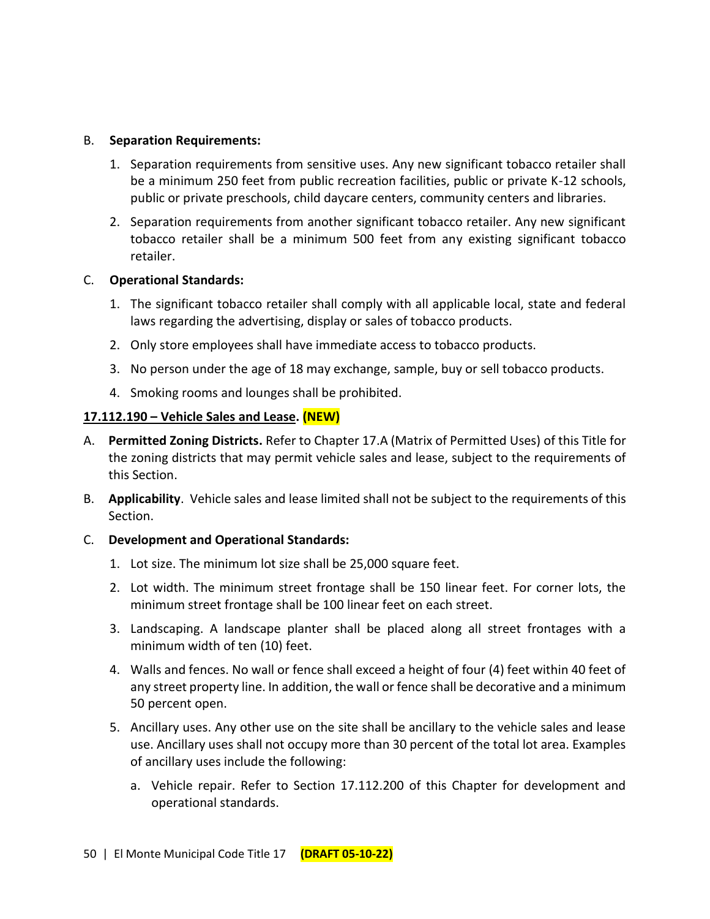#### B. **Separation Requirements:**

- 1. Separation requirements from sensitive uses. Any new significant tobacco retailer shall be a minimum 250 feet from public recreation facilities, public or private K-12 schools, public or private preschools, child daycare centers, community centers and libraries.
- 2. Separation requirements from another significant tobacco retailer. Any new significant tobacco retailer shall be a minimum 500 feet from any existing significant tobacco retailer.

#### C. **Operational Standards:**

- 1. The significant tobacco retailer shall comply with all applicable local, state and federal laws regarding the advertising, display or sales of tobacco products.
- 2. Only store employees shall have immediate access to tobacco products.
- 3. No person under the age of 18 may exchange, sample, buy or sell tobacco products.
- 4. Smoking rooms and lounges shall be prohibited.

#### **17.112.190 – Vehicle Sales and Lease. (NEW)**

- A. **Permitted Zoning Districts.** Refer to Chapter 17.A (Matrix of Permitted Uses) of this Title for the zoning districts that may permit vehicle sales and lease, subject to the requirements of this Section.
- B. **Applicability**. Vehicle sales and lease limited shall not be subject to the requirements of this Section.
- C. **Development and Operational Standards:**
	- 1. Lot size. The minimum lot size shall be 25,000 square feet.
	- 2. Lot width. The minimum street frontage shall be 150 linear feet. For corner lots, the minimum street frontage shall be 100 linear feet on each street.
	- 3. Landscaping. A landscape planter shall be placed along all street frontages with a minimum width of ten (10) feet.
	- 4. Walls and fences. No wall or fence shall exceed a height of four (4) feet within 40 feet of any street property line. In addition, the wall or fence shall be decorative and a minimum 50 percent open.
	- 5. Ancillary uses. Any other use on the site shall be ancillary to the vehicle sales and lease use. Ancillary uses shall not occupy more than 30 percent of the total lot area. Examples of ancillary uses include the following:
		- a. Vehicle repair. Refer to Section 17.112.200 of this Chapter for development and operational standards.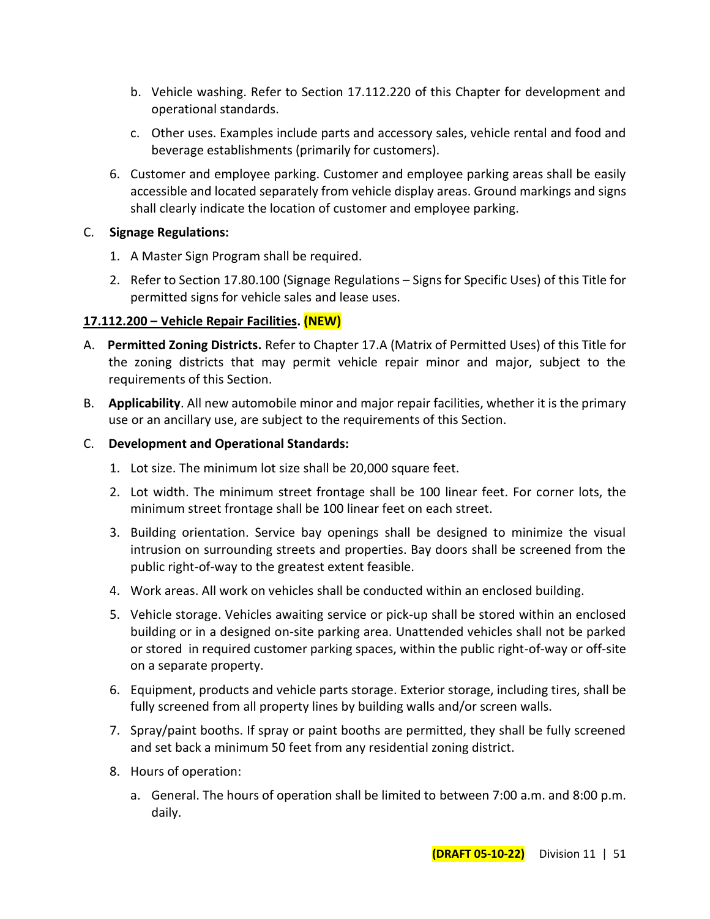- b. Vehicle washing. Refer to Section 17.112.220 of this Chapter for development and operational standards.
- c. Other uses. Examples include parts and accessory sales, vehicle rental and food and beverage establishments (primarily for customers).
- 6. Customer and employee parking. Customer and employee parking areas shall be easily accessible and located separately from vehicle display areas. Ground markings and signs shall clearly indicate the location of customer and employee parking.

## C. **Signage Regulations:**

- 1. A Master Sign Program shall be required.
- 2. Refer to Section 17.80.100 (Signage Regulations Signs for Specific Uses) of this Title for permitted signs for vehicle sales and lease uses.

## **17.112.200 – Vehicle Repair Facilities. (NEW)**

- A. **Permitted Zoning Districts.** Refer to Chapter 17.A (Matrix of Permitted Uses) of this Title for the zoning districts that may permit vehicle repair minor and major, subject to the requirements of this Section.
- B. **Applicability**. All new automobile minor and major repair facilities, whether it is the primary use or an ancillary use, are subject to the requirements of this Section.

## C. **Development and Operational Standards:**

- 1. Lot size. The minimum lot size shall be 20,000 square feet.
- 2. Lot width. The minimum street frontage shall be 100 linear feet. For corner lots, the minimum street frontage shall be 100 linear feet on each street.
- 3. Building orientation. Service bay openings shall be designed to minimize the visual intrusion on surrounding streets and properties. Bay doors shall be screened from the public right-of-way to the greatest extent feasible.
- 4. Work areas. All work on vehicles shall be conducted within an enclosed building.
- 5. Vehicle storage. Vehicles awaiting service or pick-up shall be stored within an enclosed building or in a designed on-site parking area. Unattended vehicles shall not be parked or stored in required customer parking spaces, within the public right-of-way or off-site on a separate property.
- 6. Equipment, products and vehicle parts storage. Exterior storage, including tires, shall be fully screened from all property lines by building walls and/or screen walls.
- 7. Spray/paint booths. If spray or paint booths are permitted, they shall be fully screened and set back a minimum 50 feet from any residential zoning district.
- 8. Hours of operation:
	- a. General. The hours of operation shall be limited to between 7:00 a.m. and 8:00 p.m. daily.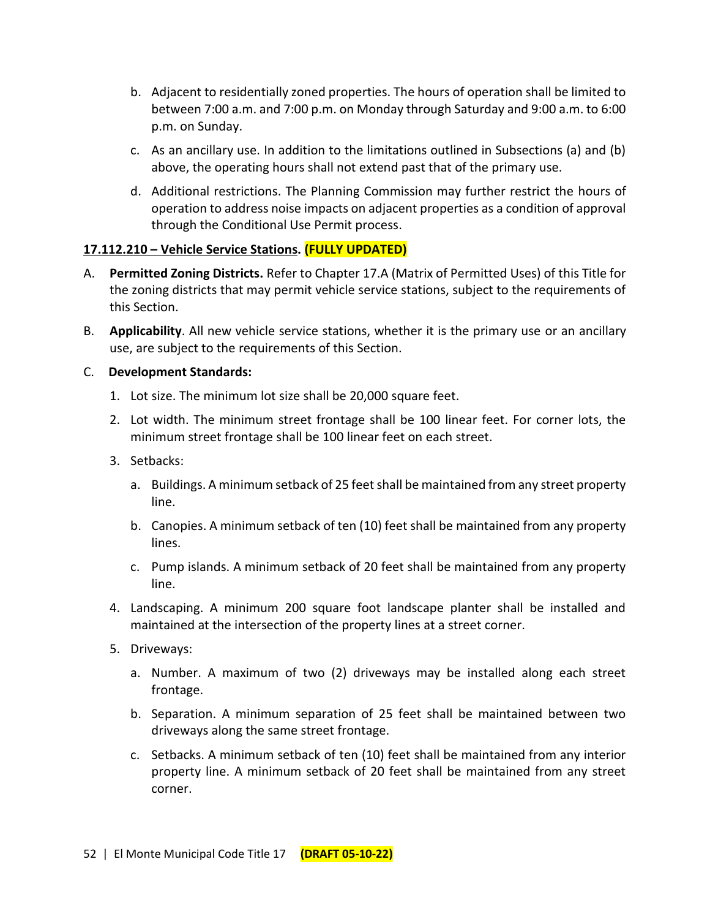- b. Adjacent to residentially zoned properties. The hours of operation shall be limited to between 7:00 a.m. and 7:00 p.m. on Monday through Saturday and 9:00 a.m. to 6:00 p.m. on Sunday.
- c. As an ancillary use. In addition to the limitations outlined in Subsections (a) and (b) above, the operating hours shall not extend past that of the primary use.
- d. Additional restrictions. The Planning Commission may further restrict the hours of operation to address noise impacts on adjacent properties as a condition of approval through the Conditional Use Permit process.

## **17.112.210 – Vehicle Service Stations. (FULLY UPDATED)**

- A. **Permitted Zoning Districts.** Refer to Chapter 17.A (Matrix of Permitted Uses) of this Title for the zoning districts that may permit vehicle service stations, subject to the requirements of this Section.
- B. **Applicability**. All new vehicle service stations, whether it is the primary use or an ancillary use, are subject to the requirements of this Section.

#### C. **Development Standards:**

- 1. Lot size. The minimum lot size shall be 20,000 square feet.
- 2. Lot width. The minimum street frontage shall be 100 linear feet. For corner lots, the minimum street frontage shall be 100 linear feet on each street.
- 3. Setbacks:
	- a. Buildings. A minimum setback of 25 feet shall be maintained from any street property line.
	- b. Canopies. A minimum setback of ten (10) feet shall be maintained from any property lines.
	- c. Pump islands. A minimum setback of 20 feet shall be maintained from any property line.
- 4. Landscaping. A minimum 200 square foot landscape planter shall be installed and maintained at the intersection of the property lines at a street corner.
- 5. Driveways:
	- a. Number. A maximum of two (2) driveways may be installed along each street frontage.
	- b. Separation. A minimum separation of 25 feet shall be maintained between two driveways along the same street frontage.
	- c. Setbacks. A minimum setback of ten (10) feet shall be maintained from any interior property line. A minimum setback of 20 feet shall be maintained from any street corner.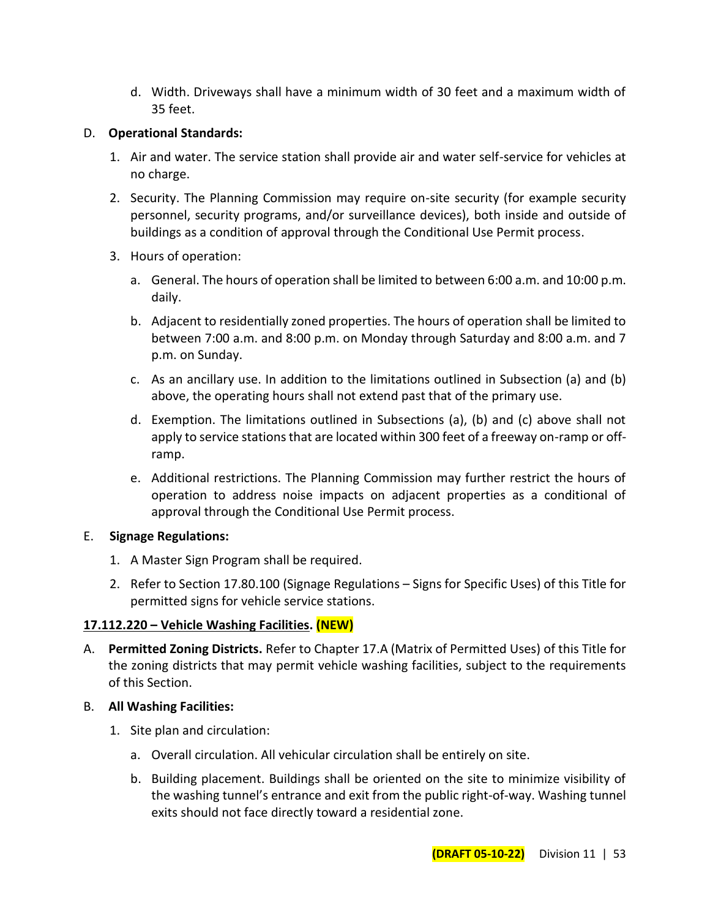d. Width. Driveways shall have a minimum width of 30 feet and a maximum width of 35 feet.

## D. **Operational Standards:**

- 1. Air and water. The service station shall provide air and water self-service for vehicles at no charge.
- 2. Security. The Planning Commission may require on-site security (for example security personnel, security programs, and/or surveillance devices), both inside and outside of buildings as a condition of approval through the Conditional Use Permit process.
- 3. Hours of operation:
	- a. General. The hours of operation shall be limited to between 6:00 a.m. and 10:00 p.m. daily.
	- b. Adjacent to residentially zoned properties. The hours of operation shall be limited to between 7:00 a.m. and 8:00 p.m. on Monday through Saturday and 8:00 a.m. and 7 p.m. on Sunday.
	- c. As an ancillary use. In addition to the limitations outlined in Subsection (a) and (b) above, the operating hours shall not extend past that of the primary use.
	- d. Exemption. The limitations outlined in Subsections (a), (b) and (c) above shall not apply to service stations that are located within 300 feet of a freeway on-ramp or offramp.
	- e. Additional restrictions. The Planning Commission may further restrict the hours of operation to address noise impacts on adjacent properties as a conditional of approval through the Conditional Use Permit process.

## E. **Signage Regulations:**

- 1. A Master Sign Program shall be required.
- 2. Refer to Section 17.80.100 (Signage Regulations Signs for Specific Uses) of this Title for permitted signs for vehicle service stations.

## **17.112.220 – Vehicle Washing Facilities. (NEW)**

- A. **Permitted Zoning Districts.** Refer to Chapter 17.A (Matrix of Permitted Uses) of this Title for the zoning districts that may permit vehicle washing facilities, subject to the requirements of this Section.
- B. **All Washing Facilities:**
	- 1. Site plan and circulation:
		- a. Overall circulation. All vehicular circulation shall be entirely on site.
		- b. Building placement. Buildings shall be oriented on the site to minimize visibility of the washing tunnel's entrance and exit from the public right-of-way. Washing tunnel exits should not face directly toward a residential zone.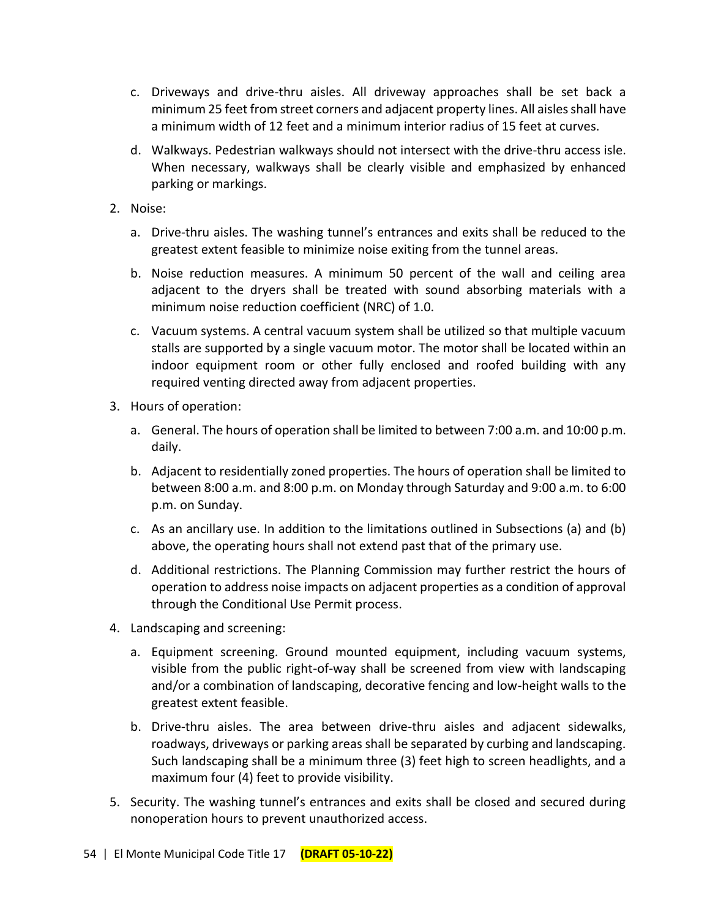- c. Driveways and drive-thru aisles. All driveway approaches shall be set back a minimum 25 feet from street corners and adjacent property lines. All aisles shall have a minimum width of 12 feet and a minimum interior radius of 15 feet at curves.
- d. Walkways. Pedestrian walkways should not intersect with the drive-thru access isle. When necessary, walkways shall be clearly visible and emphasized by enhanced parking or markings.
- 2. Noise:
	- a. Drive-thru aisles. The washing tunnel's entrances and exits shall be reduced to the greatest extent feasible to minimize noise exiting from the tunnel areas.
	- b. Noise reduction measures. A minimum 50 percent of the wall and ceiling area adjacent to the dryers shall be treated with sound absorbing materials with a minimum noise reduction coefficient (NRC) of 1.0.
	- c. Vacuum systems. A central vacuum system shall be utilized so that multiple vacuum stalls are supported by a single vacuum motor. The motor shall be located within an indoor equipment room or other fully enclosed and roofed building with any required venting directed away from adjacent properties.
- 3. Hours of operation:
	- a. General. The hours of operation shall be limited to between 7:00 a.m. and 10:00 p.m. daily.
	- b. Adjacent to residentially zoned properties. The hours of operation shall be limited to between 8:00 a.m. and 8:00 p.m. on Monday through Saturday and 9:00 a.m. to 6:00 p.m. on Sunday.
	- c. As an ancillary use. In addition to the limitations outlined in Subsections (a) and (b) above, the operating hours shall not extend past that of the primary use.
	- d. Additional restrictions. The Planning Commission may further restrict the hours of operation to address noise impacts on adjacent properties as a condition of approval through the Conditional Use Permit process.
- 4. Landscaping and screening:
	- a. Equipment screening. Ground mounted equipment, including vacuum systems, visible from the public right-of-way shall be screened from view with landscaping and/or a combination of landscaping, decorative fencing and low-height walls to the greatest extent feasible.
	- b. Drive-thru aisles. The area between drive-thru aisles and adjacent sidewalks, roadways, driveways or parking areas shall be separated by curbing and landscaping. Such landscaping shall be a minimum three (3) feet high to screen headlights, and a maximum four (4) feet to provide visibility.
- 5. Security. The washing tunnel's entrances and exits shall be closed and secured during nonoperation hours to prevent unauthorized access.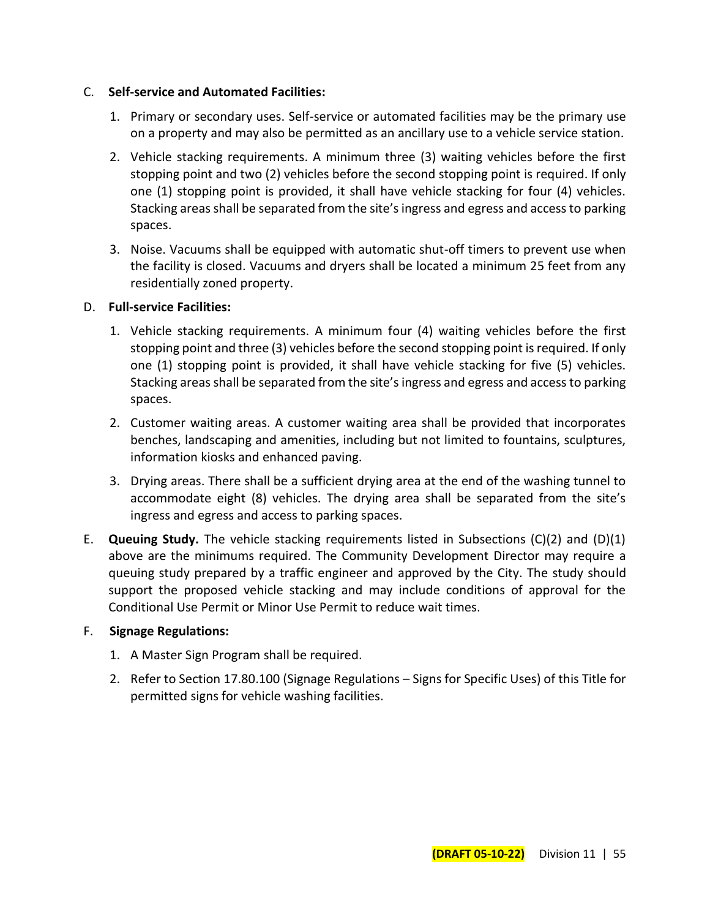#### C. **Self-service and Automated Facilities:**

- 1. Primary or secondary uses. Self-service or automated facilities may be the primary use on a property and may also be permitted as an ancillary use to a vehicle service station.
- 2. Vehicle stacking requirements. A minimum three (3) waiting vehicles before the first stopping point and two (2) vehicles before the second stopping point is required. If only one (1) stopping point is provided, it shall have vehicle stacking for four (4) vehicles. Stacking areas shall be separated from the site's ingress and egress and access to parking spaces.
- 3. Noise. Vacuums shall be equipped with automatic shut-off timers to prevent use when the facility is closed. Vacuums and dryers shall be located a minimum 25 feet from any residentially zoned property.

#### D. **Full-service Facilities:**

- 1. Vehicle stacking requirements. A minimum four (4) waiting vehicles before the first stopping point and three (3) vehicles before the second stopping point is required. If only one (1) stopping point is provided, it shall have vehicle stacking for five (5) vehicles. Stacking areas shall be separated from the site's ingress and egress and access to parking spaces.
- 2. Customer waiting areas. A customer waiting area shall be provided that incorporates benches, landscaping and amenities, including but not limited to fountains, sculptures, information kiosks and enhanced paving.
- 3. Drying areas. There shall be a sufficient drying area at the end of the washing tunnel to accommodate eight (8) vehicles. The drying area shall be separated from the site's ingress and egress and access to parking spaces.
- E. **Queuing Study.** The vehicle stacking requirements listed in Subsections (C)(2) and (D)(1) above are the minimums required. The Community Development Director may require a queuing study prepared by a traffic engineer and approved by the City. The study should support the proposed vehicle stacking and may include conditions of approval for the Conditional Use Permit or Minor Use Permit to reduce wait times.

#### F. **Signage Regulations:**

- 1. A Master Sign Program shall be required.
- 2. Refer to Section 17.80.100 (Signage Regulations Signs for Specific Uses) of this Title for permitted signs for vehicle washing facilities.